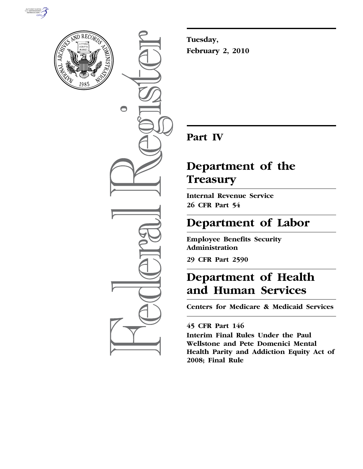



 $\bigcirc$ 

**Tuesday, February 2, 2010** 

# **Part IV**

# **Department of the Treasury**

**Internal Revenue Service 26 CFR Part 54** 

# **Department of Labor**

**Employee Benefits Security Administration** 

**29 CFR Part 2590** 

# **Department of Health and Human Services**

**Centers for Medicare & Medicaid Services** 

## **45 CFR Part 146**

**Interim Final Rules Under the Paul Wellstone and Pete Domenici Mental Health Parity and Addiction Equity Act of 2008; Final Rule**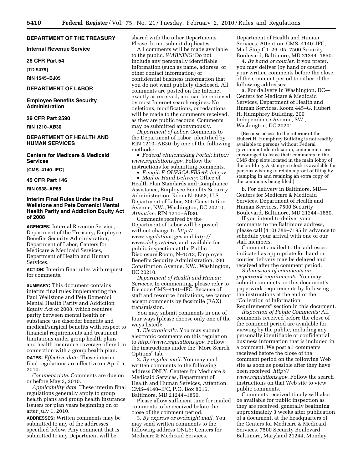## **DEPARTMENT OF THE TREASURY**

**Internal Revenue Service** 

#### **26 CFR Part 54**

**[TD 9479]** 

**RIN 1545–BJ05** 

#### **DEPARTMENT OF LABOR**

**Employee Benefits Security Administration** 

## **29 CFR Part 2590**

**RIN 1210–AB30** 

## **DEPARTMENT OF HEALTH AND HUMAN SERVICES**

**Centers for Medicare & Medicaid Services** 

**[CMS–4140–IFC]** 

#### **45 CFR Part 146**

**RIN 0938–AP65** 

## **Interim Final Rules Under the Paul Wellstone and Pete Domenici Mental Health Parity and Addiction Equity Act of 2008**

**AGENCIES:** Internal Revenue Service, Department of the Treasury; Employee Benefits Security Administration, Department of Labor; Centers for Medicare & Medicaid Services, Department of Health and Human Services.

**ACTION:** Interim final rules with request for comments.

**SUMMARY:** This document contains interim final rules implementing the Paul Wellstone and Pete Domenici Mental Health Parity and Addiction Equity Act of 2008, which requires parity between mental health or substance use disorder benefits and medical/surgical benefits with respect to financial requirements and treatment limitations under group health plans and health insurance coverage offered in connection with a group health plan. **DATES:** *Effective date.* These interim final regulations are effective on April 5, 2010.

*Comment date.* Comments are due on or before May 3, 2010.

*Applicability date.* These interim final regulations generally apply to group health plans and group health insurance issuers for plan years beginning on or after July 1, 2010.

**ADDRESSES:** Written comments may be submitted to any of the addresses specified below. Any comment that is submitted to any Department will be

shared with the other Departments. Please do not submit duplicates.

All comments will be made available to the public. *WARNING:* Do not include any personally identifiable information (such as name, address, or other contact information) or confidential business information that you do not want publicly disclosed. All comments are posted on the Internet exactly as received, and can be retrieved by most Internet search engines. No deletions, modifications, or redactions will be made to the comments received, as they are public records. Comments may be submitted anonymously.

*Department of Labor.* Comments to the Department of Labor, identified by RIN 1210–AB30, by one of the following methods:

• *Federal eRulemaking Portal: http:// www.regulations.gov.* Follow the instructions for submitting comments.

• *E-mail: E-OHPSCA.EBSA@dol.gov.* 

• *Mail or Hand Delivery:* Office of Health Plan Standards and Compliance Assistance, Employee Benefits Security Administration, Room N–5653, U.S. Department of Labor, 200 Constitution Avenue, NW., Washington, DC 20210, *Attention:* RIN 1210–AB30.

Comments received by the Department of Labor will be posted without change to *http:// www.regulations.gov* and *http:// www.dol.gov/ebsa,* and available for public inspection at the Public Disclosure Room, N–1513, Employee Benefits Security Administration, 200 Constitution Avenue, NW., Washington, DC 20210.

*Department of Health and Human Services.* In commenting, please refer to file code CMS–4140–IFC. Because of staff and resource limitations, we cannot accept comments by facsimile (FAX) transmission.

You may submit comments in one of four ways (please choose only one of the ways listed):

1. *Electronically.* You may submit electronic comments on this regulation to *http://www.regulations.gov.* Follow the instructions under the ''More Search Options'' tab.

2. *By regular mail.* You may mail written comments to the following address ONLY: Centers for Medicare & Medicaid Services, Department of Health and Human Services, Attention: CMS–4140–IFC, P.O. Box 8016, Baltimore, MD 21244–1850.

Please allow sufficient time for mailed comments to be received before the close of the comment period.

3. *By express or overnight mail.* You may send written comments to the following address ONLY: Centers for Medicare & Medicaid Services,

Department of Health and Human Services, Attention: CMS–4140–IFC, Mail Stop C4–26–05, 7500 Security Boulevard, Baltimore, MD 21244–1850.

4. *By hand or courier.* If you prefer, you may deliver (by hand or courier) your written comments before the close of the comment period to either of the following addresses:

a. For delivery in Washington, DC— Centers for Medicare & Medicaid Services, Department of Health and Human Services, Room 445–G, Hubert H. Humphrey Building, 200 Independence Avenue, SW., Washington, DC 20201.

(Because access to the interior of the Hubert H. Humphrey Building is not readily available to persons without Federal government identification, commenters are encouraged to leave their comments in the CMS drop slots located in the main lobby of the building. A stamp-in clock is available for persons wishing to retain a proof of filing by stamping in and retaining an extra copy of the comments being filed.)

b. For delivery in Baltimore, MD— Centers for Medicare & Medicaid Services, Department of Health and Human Services, 7500 Security Boulevard, Baltimore, MD 21244–1850.

If you intend to deliver your comments to the Baltimore address, please call (410) 786–7195 in advance to schedule your arrival with one of our staff members.

Comments mailed to the addresses indicated as appropriate for hand or courier delivery may be delayed and received after the comment period.

*Submission of comments on paperwork requirements.* You may submit comments on this document's paperwork requirements by following the instructions at the end of the ''Collection of Information Requirements'' section in this document.

*Inspection of Public Comments:* All comments received before the close of the comment period are available for viewing by the public, including any personally identifiable or confidential business information that is included in a comment. We post all comments received before the close of the comment period on the following Web site as soon as possible after they have been received: *http:// www.regulations.gov.* Follow the search instructions on that Web site to view public comments.

Comments received timely will also be available for public inspection as they are received, generally beginning approximately 3 weeks after publication of a document, at the headquarters of the Centers for Medicare & Medicaid Services, 7500 Security Boulevard, Baltimore, Maryland 21244, Monday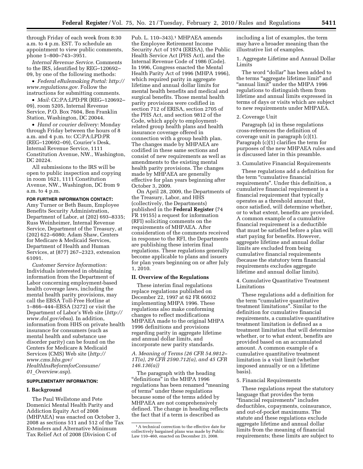through Friday of each week from 8:30 a.m. to 4 p.m. EST. To schedule an appointment to view public comments, phone 1–800–743–3951.

*Internal Revenue Service.* Comments to the IRS, identified by REG–120692– 09, by one of the following methods:

• *Federal eRulemaking Portal: http:// www.regulations.gov.* Follow the instructions for submitting comments.

• *Mail:* CC:PA:LPD:PR (REG–120692– 09), room 5205, Internal Revenue Service, P.O. Box 7604, Ben Franklin Station, Washington, DC 20044.

• *Hand or courier delivery:* Monday through Friday between the hours of 8 a.m. and 4 p.m. to: CC:PA:LPD:PR (REG–120692–09), Courier's Desk, Internal Revenue Service, 1111 Constitution Avenue, NW., Washington, DC 20224.

All submissions to the IRS will be open to public inspection and copying in room 1621, 1111 Constitution Avenue, NW., Washington, DC from 9 a.m. to 4 p.m.

**FOR FURTHER INFORMATION CONTACT:**  Amy Turner or Beth Baum, Employee Benefits Security Administration, Department of Labor, at (202) 693–8335; Russ Weinheimer, Internal Revenue Service, Department of the Treasury, at (202) 622–6080; Adam Shaw, Centers for Medicare & Medicaid Services, Department of Health and Human Services, at (877) 267–2323, extension 61091.

*Customer Service Information:*  Individuals interested in obtaining information from the Department of Labor concerning employment-based health coverage laws, including the mental health parity provisions, may call the EBSA Toll-Free Hotline at 1–866–444–EBSA (3272) or visit the Department of Labor's Web site (*http:// www.dol.gov/ebsa*). In addition, information from HHS on private health insurance for consumers (such as mental health and substance use disorder parity) can be found on the Centers for Medicare & Medicaid Services (CMS) Web site (*http:// www.cms.hhs.gov/ HealthInsReformforConsume/ 01*\_*Overview.asp*).

#### **SUPPLEMENTARY INFORMATION:**

#### **I. Background**

The Paul Wellstone and Pete Domenici Mental Health Parity and Addiction Equity Act of 2008 (MHPAEA) was enacted on October 3, 2008 as sections 511 and 512 of the Tax Extenders and Alternative Minimum Tax Relief Act of 2008 (Division C of

Pub. L. 110-343).<sup>1</sup> MHPAEA amends the Employee Retirement Income Security Act of 1974 (ERISA), the Public Health Service Act (PHS Act), and the Internal Revenue Code of 1986 (Code). In 1996, Congress enacted the Mental Health Parity Act of 1996 (MHPA 1996), which required parity in aggregate lifetime and annual dollar limits for mental health benefits and medical and surgical benefits. Those mental health parity provisions were codified in section 712 of ERISA, section 2705 of the PHS Act, and section 9812 of the Code, which apply to employmentrelated group health plans and health insurance coverage offered in connection with a group health plan. The changes made by MHPAEA are codified in these same sections and consist of new requirements as well as amendments to the existing mental health parity provisions. The changes made by MHPAEA are generally effective for plan years beginning after October 3, 2009.

On April 28, 2009, the Departments of the Treasury, Labor, and HHS (collectively, the Departments) published in the **Federal Register** (74 FR 19155) a request for information (RFI) soliciting comments on the requirements of MHPAEA. After consideration of the comments received in response to the RFI, the Departments are publishing these interim final regulations. These regulations generally become applicable to plans and issuers for plan years beginning on or after July 1, 2010.

#### **II. Overview of the Regulations**

These interim final regulations replace regulations published on December 22, 1997 at 62 FR 66932 implementing MHPA 1996. These regulations also make conforming changes to reflect modifications MHPAEA made to the original MHPA 1996 definitions and provisions regarding parity in aggregate lifetime and annual dollar limits, and incorporate new parity standards.

## *A. Meaning of Terms (26 CFR 54.9812– 1T(a), 29 CFR 2590.712(a), and 45 CFR 146.136(a))*

The paragraph with the heading "definitions" in the MHPA 1996 regulations has been renamed ''meaning of terms'' under these regulations because some of the terms added by MHPAEA are not comprehensively defined. The change in heading reflects the fact that if a term is described as

including a list of examples, the term may have a broader meaning than the illustrative list of examples.

1. Aggregate Lifetime and Annual Dollar Limits

The word "dollar" has been added to the terms "aggregate lifetime limit" and "annual limit" under the MHPA 1996 regulations to distinguish them from lifetime and annual limits expressed in terms of days or visits which are subject to new requirements under MHPAEA.

#### 2. Coverage Unit

Paragraph (a) in these regulations cross-references the definition of coverage unit in paragraph (c)(1). Paragraph (c)(1) clarifies the term for purposes of the new MHPAEA rules and is discussed later in this preamble.

3. Cumulative Financial Requirements

These regulations add a definition for the term "cumulative financial requirements''. Under this definition, a cumulative financial requirement is a financial requirement that typically operates as a threshold amount that, once satisfied, will determine whether, or to what extent, benefits are provided. A common example of a cumulative financial requirement is a deductible that must be satisfied before a plan will start paying for benefits. However, aggregate lifetime and annual dollar limits are excluded from being cumulative financial requirements (because the statutory term financial requirements excludes aggregate lifetime and annual dollar limits).

4. Cumulative Quantitative Treatment Limitations

These regulations add a definition for the term ''cumulative quantitative treatment limitations''. Similar to the definition for cumulative financial requirements, a cumulative quantitative treatment limitation is defined as a treatment limitation that will determine whether, or to what extent, benefits are provided based on an accumulated amount. A common example of a cumulative quantitative treatment limitation is a visit limit (whether imposed annually or on a lifetime basis).

#### 5. Financial Requirements

These regulations repeat the statutory language that provides the term ''financial requirements'' includes deductibles, copayments, coinsurance, and out-of-pocket maximums. The statute and these regulations exclude aggregate lifetime and annual dollar limits from the meaning of financial requirements; these limits are subject to

<sup>1</sup>A technical correction to the effective date for collectively bargained plans was made by Public Law 110–460, enacted on December 23, 2008.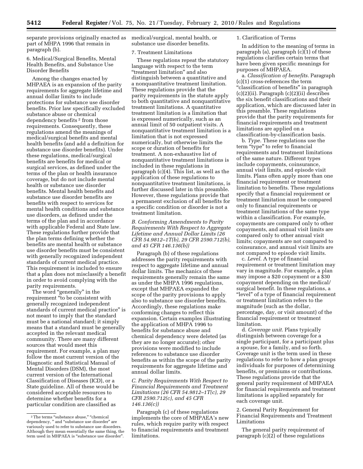separate provisions originally enacted as medical/surgical, mental health, or part of MHPA 1996 that remain in paragraph (b).

## 6. Medical/Surgical Benefits, Mental Health Benefits, and Substance Use Disorder Benefits

Among the changes enacted by MHPAEA is an expansion of the parity requirements for aggregate lifetime and annual dollar limits to include protections for substance use disorder benefits. Prior law specifically excluded substance abuse or chemical dependency benefits 2 from those requirements. Consequently, these regulations amend the meanings of medical/surgical benefits and mental health benefits (and add a definition for substance use disorder benefits). Under these regulations, medical/surgical benefits are benefits for medical or surgical services, as defined under the terms of the plan or health insurance coverage, but do not include mental health or substance use disorder benefits. Mental health benefits and substance use disorder benefits are benefits with respect to services for mental health conditions and substance use disorders, as defined under the terms of the plan and in accordance with applicable Federal and State law. These regulations further provide that the plan terms defining whether the benefits are mental health or substance use disorder benefits must be consistent with generally recognized independent standards of current medical practice. This requirement is included to ensure that a plan does not misclassify a benefit in order to avoid complying with the parity requirements.

The word "generally" in the requirement ''to be consistent with generally recognized independent standards of current medical practice'' is not meant to imply that the standard must be a national standard; it simply means that a standard must be generally accepted in the relevant medical community. There are many different sources that would meet this requirement. For example, a plan may follow the most current version of the Diagnostic and Statistical Manual of Mental Disorders (DSM), the most current version of the International Classification of Diseases (ICD), or a State guideline. All of these would be considered acceptable resources to determine whether benefits for a particular condition are classified as

substance use disorder benefits.

#### 7. Treatment Limitations

These regulations repeat the statutory language with respect to the term ''treatment limitation'' and also distinguish between a quantitative and a nonquantitative treatment limitation. These regulations provide that the parity requirements in the statute apply to both quantitative and nonquantitative treatment limitations. A quantitative treatment limitation is a limitation that is expressed numerically, such as an annual limit of 50 outpatient visits. A nonquantitative treatment limitation is a limitation that is not expressed numerically, but otherwise limits the scope or duration of benefits for treatment. A non-exhaustive list of nonquantitative treatment limitations is included in these regulations in paragraph (c)(4). This list, as well as the application of these regulations to nonquantitative treatment limitations, is further discussed later in this preamble. However, these regulations provide that a permanent exclusion of all benefits for a specific condition or disorder is not a treatment limitation.

*B. Conforming Amendments to Parity Requirements With Respect to Aggregate Lifetime and Annual Dollar Limits (26 CFR 54.9812–1T(b), 29 CFR 2590.712(b), and 45 CFR 146.136(b))* 

Paragraph (b) of these regulations addresses the parity requirements with respect to aggregate lifetime and annual dollar limits. The mechanics of these requirements generally remain the same as under the MHPA 1996 regulations, except that MHPAEA expanded the scope of the parity provisions to apply also to substance use disorder benefits. Accordingly, these regulations make conforming changes to reflect this expansion. Certain examples illustrating the application of MHPA 1996 to benefits for substance abuse and chemical dependency were deleted (as they are no longer accurate); other provisions were modified to include references to substance use disorder benefits as within the scope of the parity requirements for aggregate lifetime and annual dollar limits.

*C. Parity Requirements With Respect to Financial Requirements and Treatment Limitations (26 CFR 54.9812–1T(c), 29 CFR 2590.712(c), and 45 CFR 146.136(c))* 

Paragraph (c) of these regulations implements the core of MHPAEA's new rules, which require parity with respect to financial requirements and treatment limitations.

#### 1. Clarification of Terms

In addition to the meaning of terms in paragraph (a), paragraph (c)(1) of these regulations clarifies certain terms that have been given specific meanings for purposes of MHPAEA.

a. *Classification of benefits.* Paragraph (c)(1) cross-references the term "classification of benefits" in paragraph (c)(2)(ii). Paragraph (c)(2)(ii) describes the six benefit classifications and their application, which are discussed later in this preamble. These regulations provide that the parity requirements for financial requirements and treatment limitations are applied on a classification-by-classification basis.

b. *Type.* These regulations use the term "type" to refer to financial requirements and treatment limitations of the same nature. Different types include copayments, coinsurance, annual visit limits, and episode visit limits. Plans often apply more than one financial requirement or treatment limitation to benefits. These regulations specify that a financial requirement or treatment limitation must be compared only to financial requirements or treatment limitations of the same type within a classification. For example, copayments are compared only to other copayments, and annual visit limits are compared only to other annual visit limits; copayments are not compared to coinsurance, and annual visit limits are not compared to episode visit limits.

c. *Level.* A type of financial requirement or treatment limitation may vary in magnitude. For example, a plan may impose a \$20 copayment or a \$30 copayment depending on the medical/ surgical benefit. In these regulations, a "level" of a type of financial requirement or treatment limitation refers to the magnitude (such as the dollar, percentage, day, or visit amount) of the financial requirement or treatment limitation.

d. *Coverage unit.* Plans typically distinguish between coverage for a single participant, for a participant plus a spouse, for a family, and so forth. Coverage unit is the term used in these regulations to refer to how a plan groups individuals for purposes of determining benefits, or premiums or contributions. These regulations provide that the general parity requirement of MHPAEA for financial requirements and treatment limitations is applied separately for each coverage unit.

2. General Parity Requirement for Financial Requirements and Treatment Limitations

The general parity requirement of paragraph (c)(2) of these regulations

 $^{\rm 2}$  The terms "substance abuse," "chemical dependency, " and "substance use disorder" are variously used to refer to substance use disorders. Although they mean essentially the same thing, the term used in MHPAEA is ''substance use disorder''.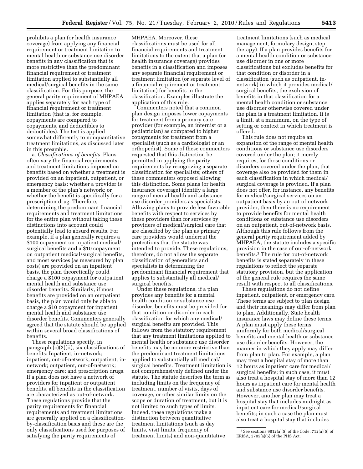prohibits a plan (or health insurance coverage) from applying any financial requirement or treatment limitation to mental health or substance use disorder benefits in any classification that is more restrictive than the predominant financial requirement or treatment limitation applied to substantially all medical/surgical benefits in the same classification. For this purpose, the general parity requirement of MHPAEA applies separately for each type of financial requirement or treatment limitation (that is, for example, copayments are compared to copayments, and deductibles to deductibles). The test is applied somewhat differently to nonquantitative treatment limitations, as discussed later in this preamble.

a. *Classifications of benefits.* Plans often vary the financial requirements and treatment limitations imposed on benefits based on whether a treatment is provided on an inpatient, outpatient, or emergency basis; whether a provider is a member of the plan's network; or whether the benefit is specifically for a prescription drug. Therefore, determining the predominant financial requirements and treatment limitations for the entire plan without taking these distinctions into account could potentially lead to absurd results. For example, if a plan generally requires a \$100 copayment on inpatient medical/ surgical benefits and a \$10 copayment on outpatient medical/surgical benefits, and most services (as measured by plan costs) are provided on an inpatient basis, the plan theoretically could charge a \$100 copayment for outpatient mental health and substance use disorder benefits. Similarly, if most benefits are provided on an outpatient basis, the plan would only be able to charge a \$10 copayment for inpatient mental health and substance use disorder benefits. Commenters generally agreed that the statute should be applied within several broad classifications of benefits.

These regulations specify, in paragraph (c)(2)(ii), six classifications of benefits: Inpatient, in-network; inpatient, out-of-network; outpatient, innetwork; outpatient, out-of-network; emergency care; and prescription drugs. If a plan does not have a network of providers for inpatient or outpatient benefits, all benefits in the classification are characterized as out-of-network. These regulations provide that the parity requirements for financial requirements and treatment limitations are generally applied on a classificationby-classification basis and these are the only classifications used for purposes of satisfying the parity requirements of

MHPAEA. Moreover, these classifications must be used for all financial requirements and treatment limitations to the extent that a plan (or health insurance coverage) provides benefits in a classification and imposes any separate financial requirement or treatment limitation (or separate level of a financial requirement or treatment limitation) for benefits in the classification. Examples illustrate the application of this rule.

Commenters noted that a common plan design imposes lower copayments for treatment from a primary care provider (for example, an internist or a pediatrician) as compared to higher copayments for treatment from a specialist (such as a cardiologist or an orthopedist). Some of these commenters requested that this distinction be permitted in applying the parity requirements by recognizing a separate classification for specialists; others of these commenters opposed allowing this distinction. Some plans (or health insurance coverage) identify a large range of mental health and substance use disorder providers as specialists. Allowing plans to provide less favorable benefits with respect to services by these providers than for services by providers of medical/surgical care that are classified by the plan as primary care providers would undercut the protections that the statute was intended to provide. These regulations, therefore, do not allow the separate classification of generalists and specialists in determining the predominant financial requirement that applies to substantially all medical/ surgical benefits.

Under these regulations, if a plan provides any benefits for a mental health condition or substance use disorder, benefits must be provided for that condition or disorder in each classification for which any medical/ surgical benefits are provided. This follows from the statutory requirement that any treatment limitations applied to mental health or substance use disorder benefits may be no more restrictive than the predominant treatment limitations applied to substantially all medical/ surgical benefits. Treatment limitation is not comprehensively defined under the statute. The statute describes the term as including limits on the frequency of treatment, number of visits, days of coverage, or other similar limits on the scope or duration of treatment, but it is not limited to such types of limits. Indeed, these regulations make a distinction between quantitative treatment limitations (such as day limits, visit limits, frequency of treatment limits) and non-quantitative

treatment limitations (such as medical management, formulary design, step therapy). If a plan provides benefits for a mental health condition or substance use disorder in one or more classifications but excludes benefits for that condition or disorder in a classification (such as outpatient, innetwork) in which it provides medical/ surgical benefits, the exclusion of benefits in that classification for a mental health condition or substance use disorder otherwise covered under the plan is a treatment limitation. It is a limit, at a minimum, on the type of setting or context in which treatment is offered.

This rule does not require an expansion of the range of mental health conditions or substance use disorders covered under the plan; it merely requires, for those conditions or disorders covered under the plan, that coverage also be provided for them in each classification in which medical/ surgical coverage is provided. If a plan does not offer, for instance, any benefits for medical/surgical services on an outpatient basis by an out-of-network provider, then there is no requirement to provide benefits for mental health conditions or substance use disorders on an outpatient, out-of-network basis. Although this rule follows from the general parity requirement added by MHPAEA, the statute includes a specific provision in the case of out-of-network benefits.3 The rule for out-of-network benefits is stated separately in these regulations to reflect the separate statutory provision, but the application of the general rule requires the same result with respect to all classifications.

These regulations do not define inpatient, outpatient, or emergency care. These terms are subject to plan design and their meanings may differ from plan to plan. Additionally, State health insurance laws may define these terms. A plan must apply these terms uniformly for both medical/surgical benefits and mental health or substance use disorder benefits. However, the manner in which they apply may differ from plan to plan. For example, a plan may treat a hospital stay of more than 12 hours as inpatient care for medical/ surgical benefits; in such case, it must also treat a hospital stay of more than 12 hours as inpatient care for mental health and substance use disorder benefits. However, another plan may treat a hospital stay that includes midnight as inpatient care for medical/surgical benefits; in such a case the plan must also treat a hospital stay that includes

 $3$  See sections  $9812(a)(5)$  of the Code,  $712(a)(5)$  of ERISA, 2705(a)(5) of the PHS Act.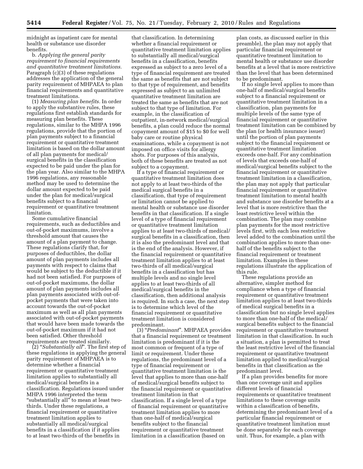midnight as inpatient care for mental health or substance use disorder benefits.

b. *Applying the general parity requirement to financial requirements and quantitative treatment limitations.*  Paragraph (c)(3) of these regulations addresses the application of the general parity requirement of MHPAEA to plan financial requirements and quantitative treatment limitations.

(1) *Measuring plan benefits.* In order to apply the substantive rules, these regulations first establish standards for measuring plan benefits. These regulations, similar to the MHPA 1996 regulations, provide that the portion of plan payments subject to a financial requirement or quantitative treatment limitation is based on the dollar amount of all plan payments for medical/ surgical benefits in the classification expected to be paid under the plan for the plan year. Also similar to the MHPA 1996 regulations, any reasonable method may be used to determine the dollar amount expected to be paid under the plan for medical/surgical benefits subject to a financial requirement or quantitative treatment limitation.

Some cumulative financial requirements, such as deductibles and out-of-pocket maximums, involve a threshold amount that causes the amount of a plan payment to change. These regulations clarify that, for purposes of deductibles, the dollar amount of plan payments includes all payments with respect to claims that would be subject to the deductible if it had not been satisfied. For purposes of out-of-pocket maximums, the dollar amount of plan payments includes all plan payments associated with out-ofpocket payments that were taken into account towards the out-of-pocket maximum as well as all plan payments associated with out-of-pocket payments that would have been made towards the out-of-pocket maximum if it had not been satisfied. Other threshold requirements are treated similarly.

(2) ''*Substantially all*''*.* The first step of these regulations in applying the general parity requirement of MHPAEA is to determine whether a financial requirement or quantitative treatment limitation applies to substantially all medical/surgical benefits in a classification. Regulations issued under MHPA 1996 interpreted the term ''substantially all'' to mean at least twothirds. Under these regulations, a financial requirement or quantitative treatment limitation applies to substantially all medical/surgical benefits in a classification if it applies to at least two-thirds of the benefits in

that classification. In determining whether a financial requirement or quantitative treatment limitation applies to substantially all medical/surgical benefits in a classification, benefits expressed as subject to a zero level of a type of financial requirement are treated the same as benefits that are not subject to that type of requirement, and benefits expressed as subject to an unlimited quantitative treatment limitation are treated the same as benefits that are not subject to that type of limitation. For example, in the classification of outpatient, in-network medical/surgical benefits, a plan could reduce the normal copayment amount of \$15 to \$0 for well baby care or routine physical examinations, while a copayment is not imposed on office visits for allergy shots. For purposes of this analysis, both of these benefits are treated as not subject to a copayment.

If a type of financial requirement or quantitative treatment limitation does not apply to at least two-thirds of the medical surgical benefits in a classification, that type of requirement or limitation cannot be applied to mental health or substance use disorder benefits in that classification. If a single level of a type of financial requirement or quantitative treatment limitation applies to at least two-thirds of medical/ surgical benefits in a classification, then it is also the predominant level and that is the end of the analysis. However, if the financial requirement or quantitative treatment limitation applies to at least two-thirds of all medical/surgical benefits in a classification but has multiple levels and no single level applies to at least two-thirds of all medical/surgical benefits in the classification, then additional analysis is required. In such a case, the next step is to determine which level of the financial requirement or quantitative treatment limitation is considered predominant.

(3) ''*Predominant*''*.* MHPAEA provides that a financial requirement or treatment limitation is predominant if it is the most common or frequent of a type of limit or requirement. Under these regulations, the predominant level of a type of financial requirement or quantitative treatment limitation is the level that applies to more than one-half of medical/surgical benefits subject to the financial requirement or quantitative treatment limitation in that classification. If a single level of a type of financial requirement or quantitative treatment limitation applies to more than one-half of medical/surgical benefits subject to the financial requirement or quantitative treatment limitation in a classification (based on

plan costs, as discussed earlier in this preamble), the plan may not apply that particular financial requirement or quantitative treatment limitation to mental health or substance use disorder benefits at a level that is more restrictive than the level that has been determined to be predominant.

If no single level applies to more than one-half of medical/surgical benefits subject to a financial requirement or quantitative treatment limitation in a classification, plan payments for multiple levels of the same type of financial requirement or quantitative treatment limitation can be combined by the plan (or health insurance issuer) until the portion of plan payments subject to the financial requirement or quantitative treatment limitation exceeds one-half. For any combination of levels that exceeds one-half of medical/surgical benefits subject to the financial requirement or quantitative treatment limitation in a classification, the plan may not apply that particular financial requirement or quantitative treatment limitation to mental health and substance use disorder benefits at a level that is more restrictive than the least restrictive level within the combination. The plan may combine plan payments for the most restrictive levels first, with each less restrictive level added to the combination until the combination applies to more than onehalf of the benefits subject to the financial requirement or treatment limitation. Examples in these regulations illustrate the application of this rule.

These regulations provide an alternative, simpler method for compliance when a type of financial requirement or quantitative treatment limitation applies to at least two-thirds of medical surgical benefits in a classification but no single level applies to more than one-half of the medical/ surgical benefits subject to the financial requirement or quantitative treatment limitation in that classification. In such a situation, a plan is permitted to treat the least restrictive level of the financial requirement or quantitative treatment limitation applied to medical/surgical benefits in that classification as the predominant level.

If a plan provides benefits for more than one coverage unit and applies different levels of financial requirements or quantitative treatment limitations to these coverage units within a classification of benefits, determining the predominant level of a particular financial requirement or quantitative treatment limitation must be done separately for each coverage unit. Thus, for example, a plan with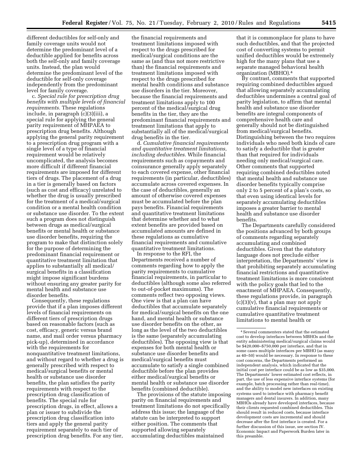different deductibles for self-only and family coverage units would not determine the predominant level of a deductible applied for benefits across both the self-only and family coverage units. Instead, the plan would determine the predominant level of the deductible for self-only coverage independently from the predominant level for family coverage.

c. *Special rule for prescription drug benefits with multiple levels of financial requirements.* These regulations include, in paragraph (c)(3)(iii), a special rule for applying the general parity requirement of MHPAEA to prescription drug benefits. Although applying the general parity requirement to a prescription drug program with a single level of a type of financial requirement would be relatively uncomplicated, the analysis becomes more difficult if different financial requirements are imposed for different tiers of drugs. The placement of a drug in a tier is generally based on factors (such as cost and efficacy) unrelated to whether the drug is usually prescribed for the treatment of a medical/surgical condition or a mental health condition or substance use disorder. To the extent such a program does not distinguish between drugs as medical/surgical benefits or mental health or substance use disorder benefits, requiring the program to make that distinction solely for the purpose of determining the predominant financial requirement or quantitative treatment limitation that applies to substantially all medical/ surgical benefits in a classification might impose significant burdens without ensuring any greater parity for mental health and substance use disorder benefits.

Consequently, these regulations provide that if a plan imposes different levels of financial requirements on different tiers of prescription drugs based on reasonable factors (such as cost, efficacy, generic versus brand name, and mail order versus pharmacy pick-up), determined in accordance with the requirements for nonquantitative treatment limitations, and without regard to whether a drug is generally prescribed with respect to medical/surgical benefits or mental health or substance use disorder benefits, the plan satisfies the parity requirements with respect to the prescription drug classification of benefits. The special rule for prescription drugs, in effect, allows a plan or issuer to subdivide the prescription drug classification into tiers and apply the general parity requirement separately to each tier of prescription drug benefits. For any tier,

the financial requirements and treatment limitations imposed with respect to the drugs prescribed for medical/surgical conditions are the same as (and thus not more restrictive than) the financial requirements and treatment limitations imposed with respect to the drugs prescribed for mental health conditions and substance use disorders in the tier. Moreover, because the financial requirements and treatment limitations apply to 100 percent of the medical/surgical drug benefits in the tier, they are the predominant financial requirements and treatment limitations that apply to substantially all of the medical/surgical drug benefits in the tier.

d. *Cumulative financial requirements and quantitative treatment limitations, including deductibles.* While financial requirements such as copayments and coinsurance generally apply separately to each covered expense, other financial requirements (in particular, deductibles) accumulate across covered expenses. In the case of deductibles, generally an amount of otherwise covered expenses must be accumulated before the plan pays benefits. Financial requirements and quantitative treatment limitations that determine whether and to what extent benefits are provided based on accumulated amounts are defined in these regulations as cumulative financial requirements and cumulative quantitative treatment limitations.

In response to the RFI, the Departments received a number of comments regarding how to apply the parity requirements to cumulative financial requirements, in particular to deductibles (although some also referred to out-of-pocket maximums). The comments reflect two opposing views. One view is that a plan can have deductibles that accumulate separately for medical/surgical benefits on the one hand, and mental health or substance use disorder benefits on the other, as long as the level of the two deductibles is the same (separately accumulating deductibles). The opposing view is that expenses for both mental health or substance use disorder benefits and medical/surgical benefits must accumulate to satisfy a single combined deductible before the plan provides either medical/surgical benefits or mental health or substance use disorder benefits (combined deductible).

The provisions of the statute imposing parity on financial requirements and treatment limitations do not specifically address this issue; the language of the statute can be interpreted to support either position. The comments that supported allowing separately accumulating deductibles maintained

that it is commonplace for plans to have such deductibles, and that the projected cost of converting systems to permit unified deductibles would be extremely high for the many plans that use a separate managed behavioral health organization (MBHO).4

By contrast, comments that supported requiring combined deductibles argued that allowing separately accumulating deductibles undermines a central goal of parity legislation, to affirm that mental health and substance use disorder benefits are integral components of comprehensive health care and generally should not be distinguished from medical/surgical benefits. Distinguishing between the two requires individuals who need both kinds of care to satisfy a deductible that is greater than that required for individuals needing only medical/surgical care. Other comments that supported requiring combined deductibles noted that mental health and substance use disorder benefits typically comprise only 2 to 5 percent of a plan's costs, so that even using identical levels for separately accumulating deductibles imposes a greater barrier to mental health and substance use disorder benefits.

The Departments carefully considered the positions advanced by both groups of comments regarding separately accumulating and combined deductibles. Given that the statutory language does not preclude either interpretation, the Departments' view is that prohibiting separately accumulating financial restrictions and quantitative treatment limitations is more consistent with the policy goals that led to the enactment of MHPAEA. Consequently, these regulations provide, in paragraph  $(c)(3)(v)$ , that a plan may not apply cumulative financial requirements or cumulative quantitative treatment limitations to mental health or

<sup>4</sup>Several commenters stated that the estimated cost to develop interfaces between MBHOs and the entity administering medical/surgical claims would be \$420,000–\$750,000 per interface, and that in some cases multiple interfaces per MBHO (as many as 40–50) would be necessary. In response to these cost concerns, the Departments performed an independent analysis, which indicated that the initial cost per interface could be as low as \$35,000. The Departments' lower estimated cost reflects, in part, the use of less expensive interface systems (for example, batch processing rather than real-time), and the ability to model new interfaces on existing systems used to interface with pharmacy benefit managers and dental insurers. In addition, many MBHOs already have developed interfaces, because their clients requested combined deductibles. This should result in reduced costs, because interface development costs are incremental and should decrease after the first interface is created. For a further discussion of this issue, see section IV. Economic Impact and Paperwork Burden later in this preamble.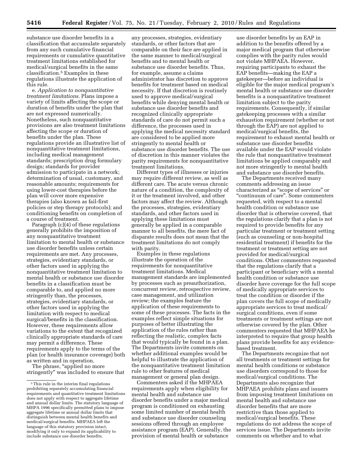substance use disorder benefits in a classification that accumulate separately from any such cumulative financial requirements or cumulative quantitative treatment limitations established for medical/surgical benefits in the same classification.5 Examples in these regulations illustrate the application of this rule.

e. *Application to nonquantitative treatment limitations.* Plans impose a variety of limits affecting the scope or duration of benefits under the plan that are not expressed numerically. Nonetheless, such nonquantitative provisions are also treatment limitations affecting the scope or duration of benefits under the plan. These regulations provide an illustrative list of nonquantitative treatment limitations, including medical management standards; prescription drug formulary design; standards for provider admission to participate in a network; determination of usual, customary, and reasonable amounts; requirements for using lower-cost therapies before the plan will cover more expensive therapies (also known as fail-first policies or step therapy protocols); and conditioning benefits on completion of a course of treatment.

Paragraph (c)(4) of these regulations generally prohibits the imposition of any nonquantitative treatment limitation to mental health or substance use disorder benefits unless certain requirements are met. Any processes, strategies, evidentiary standards, or other factors used in applying the nonquantitative treatment limitation to mental health or substance use disorder benefits in a classification must be comparable to, and applied no more stringently than, the processes, strategies, evidentiary standards, or other factors used in applying the limitation with respect to medical surgical/benefits in the classification. However, these requirements allow variations to the extent that recognized clinically appropriate standards of care may permit a difference. These requirements apply to the terms of the plan (or health insurance coverage) both as written and in operation.

The phrase, ''applied no more stringently'' was included to ensure that

any processes, strategies, evidentiary standards, or other factors that are comparable on their face are applied in the same manner to medical/surgical benefits and to mental health or substance use disorder benefits. Thus, for example, assume a claims administrator has discretion to approve benefits for treatment based on medical necessity. If that discretion is routinely used to approve medical/surgical benefits while denying mental health or substance use disorder benefits and recognized clinically appropriate standards of care do not permit such a difference, the processes used in applying the medical necessity standard are considered to be applied more stringently to mental health or substance use disorder benefits. The use of discretion in this manner violates the parity requirements for nonquantitative treatment limitations.

Different types of illnesses or injuries may require different review, as well as different care. The acute versus chronic nature of a condition, the complexity of it or the treatment involved, and other factors may affect the review. Although the processes, strategies, evidentiary standards, and other factors used in applying these limitations must generally be applied in a comparable manner to all benefits, the mere fact of disparate results does not mean that the treatment limitations do not comply with parity.

Examples in these regulations illustrate the operation of the requirements for nonquantitative treatment limitations. Medical management standards are implemented by processes such as preauthorization, concurrent review, retrospective review, case management, and utilization review; the examples feature the application of these requirements to some of these processes. The facts in the examples reflect simple situations for purposes of better illustrating the application of the rules rather than reflecting the realistic, complex facts that would typically be found in a plan. The Departments invite comments on whether additional examples would be helpful to illustrate the application of the nonquantitative treatment limitation rule to other features of medical management or general plan design.

Commenters asked if the MHPAEA requirements apply when eligibility for mental health and substance use disorder benefits under a major medical program is conditioned on exhausting some limited number of mental health and substance use disorder counseling sessions offered through an employee assistance program (EAP). Generally, the provision of mental health or substance

use disorder benefits by an EAP in addition to the benefits offered by a major medical program that otherwise complies with the parity rules would not violate MHPAEA. However, requiring participants to exhaust the EAP benefits—making the EAP a gatekeeper—before an individual is eligible for the major medical program's mental health or substance use disorder benefits is a nonquantitative treatment limitation subject to the parity requirements. Consequently, if similar gatekeeping processes with a similar exhaustion requirement (whether or not through the EAP) are not applied to medical/surgical benefits, the requirement to exhaust mental health or substance use disorder benefits available under the EAP would violate the rule that nonquantitative treatment limitations be applied comparably and not more stringently to mental health and substance use disorder benefits.

The Departments received many comments addressing an issue characterized as ''scope of services'' or ''continuum of care''. Some commenters requested, with respect to a mental health condition or substance use disorder that is otherwise covered, that the regulations clarify that a plan is not required to provide benefits for any particular treatment or treatment setting (such as counseling or non-hospital residential treatment) if benefits for the treatment or treatment setting are not provided for medical/surgical conditions. Other commenters requested that the regulations clarify that a participant or beneficiary with a mental health condition or substance use disorder have coverage for the full scope of medically appropriate services to treat the condition or disorder if the plan covers the full scope of medically appropriate services to treat medical/ surgical conditions, even if some treatments or treatment settings are not otherwise covered by the plan. Other commenters requested that MHPAEA be interpreted to require that group health plans provide benefits for any evidencebased treatment.

The Departments recognize that not all treatments or treatment settings for mental health conditions or substance use disorders correspond to those for medical/surgical conditions. The Departments also recognize that MHPAEA prohibits plans and issuers from imposing treatment limitations on mental health and substance use disorder benefits that are more restrictive than those applied to medical/surgical benefits. These regulations do not address the scope of services issue. The Departments invite comments on whether and to what

 $^{\rm 5}$  This rule in the interim final regulations prohibiting separately accumulating financial requirements and quantitative treatment limitations does not apply with respect to aggregate lifetime and annual dollar limits. The statutory language of MHPA 1996 specifically permitted plans to impose aggregate lifetime or annual dollar limits that distinguish between mental health benefits and medical/surgical benefits. MHPAEA left the language of this statutory provision intact, modifying it only to expand its applicability to include substance use disorder benefits.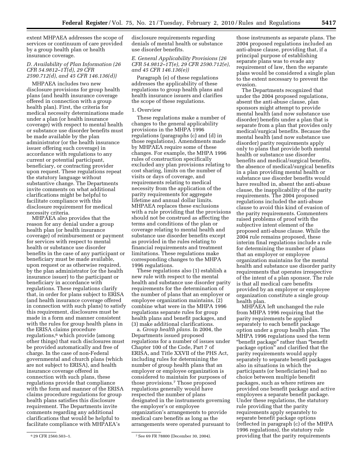extent MHPAEA addresses the scope of services or continuum of care provided by a group health plan or health insurance coverage.

## *D. Availability of Plan Information (26 CFR 54.9812–1T(d), 29 CFR 2590.712(d), and 45 CFR 146.136(d))*

MHPAEA includes two new disclosure provisions for group health plans (and health insurance coverage offered in connection with a group health plan). First, the criteria for medical necessity determinations made under a plan (or health insurance coverage) with respect to mental health or substance use disorder benefits must be made available by the plan administrator (or the health insurance issuer offering such coverage) in accordance with regulations to any current or potential participant, beneficiary, or contracting provider upon request. These regulations repeat the statutory language without substantive change. The Departments invite comments on what additional clarifications might be helpful to facilitate compliance with this disclosure requirement for medical necessity criteria.

MHPAEA also provides that the reason for any denial under a group health plan (or health insurance coverage) of reimbursement or payment for services with respect to mental health or substance use disorder benefits in the case of any participant or beneficiary must be made available, upon request or as otherwise required, by the plan administrator (or the health insurance issuer) to the participant or beneficiary in accordance with regulations. These regulations clarify that, in order for plans subject to ERISA (and health insurance coverage offered in connection with such plans) to satisfy this requirement, disclosures must be made in a form and manner consistent with the rules for group health plans in the ERISA claims procedure regulations,<sup>6</sup> which provide (among other things) that such disclosures must be provided automatically and free of charge. In the case of non-Federal governmental and church plans (which are not subject to ERISA), and health insurance coverage offered in connection with such plans, these regulations provide that compliance with the form and manner of the ERISA claims procedure regulations for group health plans satisfies this disclosure requirement. The Departments invite comments regarding any additional clarifications that would be helpful to facilitate compliance with MHPAEA's

## *E. General Applicability Provisions (26 CFR 54.9812–1T(e), 29 CFR 2590.712(e), and 45 CFR 146.136(e))*

Paragraph (e) of these regulations addresses the applicability of these regulations to group health plans and health insurance issuers and clarifies the scope of these regulations.

#### 1. Overview

These regulations make a number of changes to the general applicability provisions in the MHPA 1996 regulations (paragraphs (c) and (d) in those regulations). Amendments made by MHPAEA require some of these changes. For example, the MHPA 1996 rules of construction specifically excluded any plan provisions relating to cost sharing, limits on the number of visits or days of coverage, and requirements relating to medical necessity from the application of the parity requirements for aggregate lifetime and annual dollar limits. MHPAEA replaces these exclusions with a rule providing that the provisions should not be construed as affecting the terms and conditions of the plan or coverage relating to mental health and substance use disorder benefits except as provided in the rules relating to financial requirements and treatment limitations. These regulations make corresponding changes to the MHPA 1996 regulations.

These regulations also (1) establish a new rule with respect to the mental health and substance use disorder parity requirements for the determination of the number of plans that an employer or employee organization maintains, (2) combine what were in the MHPA 1996 regulations separate rules for group health plans and benefit packages, and (3) make additional clarifications.

a. *Group health plans.* In 2004, the Departments issued proposed regulations for a number of issues under Chapter 100 of the Code, Part 7 of ERISA, and Title XXVII of the PHS Act, including rules for determining the number of group health plans that an employer or employee organization is considered to maintain for purposes of those provisions.7 Those proposed regulations generally would have respected the number of plans designated in the instruments governing the employer's or employee organization's arrangements to provide medical care benefits as long as the arrangements were operated pursuant to

those instruments as separate plans. The 2004 proposed regulations included an anti-abuse clause, providing that, if a principal purpose of establishing separate plans was to evade any requirement of law, then the separate plans would be considered a single plan to the extent necessary to prevent the evasion.

The Departments recognized that under the 2004 proposed regulations, absent the anti-abuse clause, plan sponsors might attempt to provide mental health (and now substance use disorder) benefits under a plan that is separate from a plan that provides only medical/surgical benefits. Because the mental health (and now substance use disorder) parity requirements apply only to plans that provide both mental health or substance use disorder benefits and medical/surgical benefits, the absence of medical/surgical benefits in a plan providing mental health or substance use disorder benefits would have resulted in, absent the anti-abuse clause, the inapplicability of the parity requirements. The 2004 proposed regulations included the anti-abuse clause to avoid this kind of evasion of the parity requirements. Commenters raised problems of proof with the subjective intent element of the proposed anti-abuse clause. While the 2004 rule remains proposed, these interim final regulations include a rule for determining the number of plans that an employer or employee organization maintains for the mental health and substance use disorder parity requirements that operates irrespective of the intent of a plan sponsor. The rule is that all medical care benefits provided by an employer or employee organization constitute a single group health plan.

MHPAEA left unchanged the rule from MHPA 1996 requiring that the parity requirements be applied separately to each benefit package option under a group health plan. The MHPA 1996 regulations used the term ''benefit package'' rather than ''benefit package option'' and clarified that the parity requirements would apply separately to separate benefit packages also in situations in which the participants (or beneficiaries) had no choice between multiple benefit packages, such as where retirees are provided one benefit package and active employees a separate benefit package. Under these regulations, the statutory rule providing that the parity requirements apply separately to separate benefit package options (reflected in paragraph (c) of the MHPA 1996 regulations), the statutory rule providing that the parity requirements

disclosure requirements regarding denials of mental health or substance use disorder benefits.

<sup>6</sup> 29 CFR 2560.503–1. 7See 69 FR 78800 (December 30, 2004).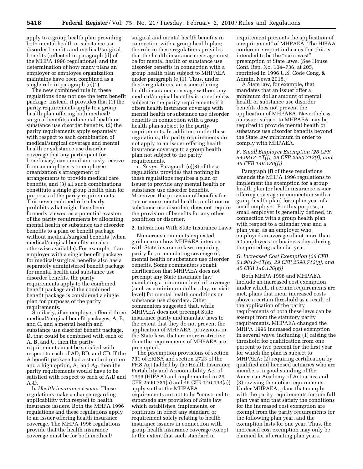apply to a group health plan providing both mental health or substance use disorder benefits and medical/surgical benefits (reflected in paragraph (d) of the MHPA 1996 regulations), and the determination of how many plans an employer or employee organization maintains have been combined as a single rule in paragraph (e)(1).

The new combined rule in these regulations does not use the term benefit package. Instead, it provides that (1) the parity requirements apply to a group health plan offering both medical/ surgical benefits and mental health or substance use disorder benefits, (2) the parity requirements apply separately with respect to each combination of medical/surgical coverage and mental health or substance use disorder coverage that any participant (or beneficiary) can simultaneously receive from an employer's or employee organization's arrangement or arrangements to provide medical care benefits, and (3) all such combinations constitute a single group health plan for purposes of the parity requirements. This new combined rule clearly prohibits what might have been formerly viewed as a potential evasion of the parity requirements by allocating mental health or substance use disorder benefits to a plan or benefit package without medical/surgical benefits (when medical/surgical benefits are also otherwise available). For example, if an employer with a single benefit package for medical/surgical benefits also has a separately administered benefit package for mental health and substance use disorder benefits, the parity requirements apply to the combined benefit package and the combined benefit package is considered a single plan for purposes of the parity requirements.

Similarly, if an employer offered three medical/surgical benefit packages, A, B, and C, and a mental health and substance use disorder benefit package, D, that could be combined with each of A, B, and C, then the parity requirements must be satisfied with respect to each of AD, BD, and CD. If the A benefit package had a standard option and a high option,  $A_1$  and  $A_2$ , then the parity requirements would have to be satisfied with respect to each of  $A_1D$  and  $A_2D$ .

b. *Health insurance issuers.* These regulations make a change regarding applicability with respect to health insurance issuers. Both the MHPA 1996 regulations and these regulations apply to an issuer offering health insurance coverage. The MHPA 1996 regulations provide that the health insurance coverage must be for both medical/

surgical and mental health benefits in connection with a group health plan; the rule in these regulations provides that the health insurance coverage must be for mental health or substance use disorder benefits in connection with a group health plan subject to MHPAEA under paragraph (e)(1). Thus, under these regulations, an issuer offering health insurance coverage without any medical/surgical benefits is nonetheless subject to the parity requirements if it offers health insurance coverage with mental health or substance use disorder benefits in connection with a group health plan subject to the parity requirements. In addition, under these regulations, the parity requirements do not apply to an issuer offering health insurance coverage to a group health plan not subject to the parity requirements.

c. *Scope.* Paragraph (e)(3) of these regulations provides that nothing in these regulations requires a plan or issuer to provide any mental health or substance use disorder benefits. Moreover, the provision of benefits for one or more mental health conditions or substance use disorders does not require the provision of benefits for any other condition or disorder.

#### 2. Interaction With State Insurance Laws

Numerous comments requested guidance on how MHPAEA interacts with State insurance laws requiring parity for, or mandating coverage of, mental health or substance use disorder benefits. Some commenters sought clarification that MHPAEA does not preempt any State insurance law mandating a minimum level of coverage (such as a minimum dollar, day, or visit level) for mental health conditions or substance use disorders. Other commenters suggested that, while MHPAEA does not preempt State insurance parity and mandate laws to the extent that they do not prevent the application of MHPAEA, provisions in the State laws that are more restrictive than the requirements of MHPAEA are preempted.

The preemption provisions of section 731 of ERISA and section 2723 of the PHS Act (added by the Health Insurance Portability and Accountability Act of 1996 (HIPAA) and implemented in 29 CFR 2590.731(a) and 45 CFR 146.143(a)) apply so that the MHPAEA requirements are not to be ''construed to supersede any provision of State law which establishes, implements, or continues in effect any standard or requirement solely relating to health insurance issuers in connection with group health insurance coverage except to the extent that such standard or

requirement prevents the application of a requirement'' of MHPAEA. The HIPAA conference report indicates that this is intended to be the "narrowest" preemption of State laws. (See House Conf. Rep. No. 104–736, at 205, reprinted in 1996 U.S. Code Cong. & Admin. News 2018.)

A State law, for example, that mandates that an issuer offer a minimum dollar amount of mental health or substance use disorder benefits does not prevent the application of MHPAEA. Nevertheless, an issuer subject to MHPAEA may be required to provide mental health or substance use disorder benefits beyond the State law minimum in order to comply with MHPAEA.

#### *F. Small Employer Exemption (26 CFR 54.9812–1T(f), 29 CFR 2590.712(f), and 45 CFR 146.136(f))*

Paragraph (f) of these regulations amends the MHPA 1996 regulations to implement the exemption for a group health plan (or health insurance issuer offering coverage in connection with a group health plan) for a plan year of a small employer. For this purpose, a small employer is generally defined, in connection with a group health plan with respect to a calendar year and a plan year, as an employer who employed an average of not more than 50 employees on business days during the preceding calendar year.

## *G. Increased Cost Exemption (26 CFR 54.9812–1T(g), 29 CFR 2590.712(g), and 45 CFR 146.136(g))*

Both MHPA 1996 and MHPAEA include an increased cost exemption under which, if certain requirements are met, plans that incur increased costs above a certain threshold as a result of the application of the parity requirements of both these laws can be exempt from the statutory parity requirements. MHPAEA changed the MHPA 1996 increased cost exemption in several ways, including (1) raising the threshold for qualification from one percent to two percent for the first year for which the plan is subject to MHPAEA; (2) requiring certification by qualified and licensed actuaries who are members in good standing of the American Academy of Actuaries; and (3) revising the notice requirements. Under MHPAEA, plans that comply with the parity requirements for one full plan year and that satisfy the conditions for the increased cost exemption are exempt from the parity requirements for the following plan year, and the exemption lasts for one year. Thus, the increased cost exemption may only be claimed for alternating plan years.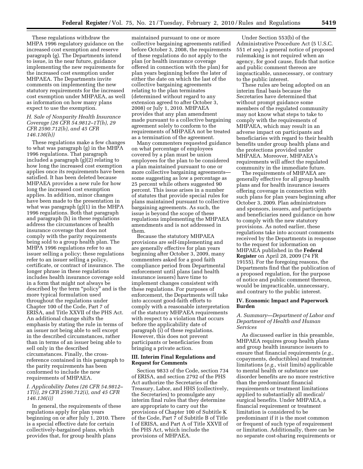These regulations withdraw the MHPA 1996 regulatory guidance on the increased cost exemption and reserve paragraph (g). The Departments intend to issue, in the near future, guidance implementing the new requirements for the increased cost exemption under MHPAEA. The Departments invite comments on implementing the new statutory requirements for the increased cost exemption under MHPAEA, as well as information on how many plans expect to use the exemption.

## *H. Sale of Nonparity Health Insurance Coverage (26 CFR 54.9812–1T(h), 29 CFR 2590.712(h), and 45 CFR 146.136(h))*

These regulations make a few changes to what was paragraph (g) in the MHPA 1996 regulations. That paragraph included a paragraph (g)(2) relating to how long the increased cost exemption applies once its requirements have been satisfied. It has been deleted because MHPAEA provides a new rule for how long the increased cost exemption applies. In addition, minor changes have been made to the presentation in what was paragraph (g)(1) in the MHPA 1996 regulations. Both that paragraph and paragraph (h) in these regulations address the circumstances of health insurance coverage that does not comply with the parity requirements being sold to a group health plan. The MHPA 1996 regulations refer to an issuer selling a policy; these regulations refer to an issuer selling a policy, certificate, or contract of insurance. The longer phrase in these regulations includes health insurance coverage sold in a form that might not always be described by the term ''policy'' and is the more typical formulation used throughout the regulations under Chapter 100 of the Code, Part 7 of ERISA, and Title XXVII of the PHS Act. An additional change shifts the emphasis by stating the rule in terms of an issuer not being able to sell except in the described circumstances, rather than in terms of an issuer being able to sell only in the described circumstances. Finally, the crossreference contained in this paragraph to the parity requirements has been conformed to include the new requirements of MHPAEA.

## *I. Applicability Dates (26 CFR 54.9812– 1T(i), 29 CFR 2590.712(i), and 45 CFR 146.136(i))*

In general, the requirements of these regulations apply for plan years beginning on or after July 1, 2010. There is a special effective date for certain collectively-bargained plans, which provides that, for group health plans

maintained pursuant to one or more collective bargaining agreements ratified before October 3, 2008, the requirements of these regulations do not apply to the plan (or health insurance coverage offered in connection with the plan) for plan years beginning before the later of either the date on which the last of the collective bargaining agreements relating to the plan terminates (determined without regard to any extension agreed to after October 3, 2008) or July 1, 2010. MHPAEA provides that any plan amendment made pursuant to a collective bargaining agreement solely to conform to the requirements of MHPAEA not be treated as a termination of the agreement.

Many commenters requested guidance on what percentage of employees covered by a plan must be union employees for the plan to be considered a plan maintained pursuant to one or more collective bargaining agreements some suggesting as low a percentage as 25 percent while others suggested 90 percent. This issue arises in a number of statutes that provide special rules for plans maintained pursuant to collective bargaining agreements. As such, the issue is beyond the scope of these regulations implementing the MHPAEA amendments and is not addressed in them.

Because the statutory MHPAEA provisions are self-implementing and are generally effective for plan years beginning after October 3, 2009, many commenters asked for a good faith compliance period from Departmental enforcement until plans (and health insurance issuers) have time to implement changes consistent with these regulations. For purposes of enforcement, the Departments will take into account good-faith efforts to comply with a reasonable interpretation of the statutory MHPAEA requirements with respect to a violation that occurs before the applicability date of paragraph (i) of these regulations. However, this does not prevent participants or beneficiaries from bringing a private action.

#### **III. Interim Final Regulations and Request for Comments**

Section 9833 of the Code, section 734 of ERISA, and section 2792 of the PHS Act authorize the Secretaries of the Treasury, Labor, and HHS (collectively, the Secretaries) to promulgate any interim final rules that they determine are appropriate to carry out the provisions of Chapter 100 of Subtitle K of the Code, Part 7 of Subtitle B of Title I of ERISA, and Part A of Title XXVII of the PHS Act, which include the provisions of MHPAEA.

Under Section 553(b) of the Administrative Procedure Act (5 U.S.C. 551 *et seq.*) a general notice of proposed rulemaking is not required when an agency, for good cause, finds that notice and public comment thereon are impracticable, unnecessary, or contrary to the public interest.

These rules are being adopted on an interim final basis because the Secretaries have determined that without prompt guidance some members of the regulated community may not know what steps to take to comply with the requirements of MHPAEA, which may result in an adverse impact on participants and beneficiaries with regard to their health benefits under group health plans and the protections provided under MHPAEA. Moreover, MHPAEA's requirements will affect the regulated community in the immediate future.

The requirements of MHPAEA are generally effective for all group health plans and for health insurance issuers offering coverage in connection with such plans for plan years beginning after October 3, 2009. Plan administrators and sponsors, issuers, and participants and beneficiaries need guidance on how to comply with the new statutory provisions. As noted earlier, these regulations take into account comments received by the Departments in response to the request for information on MHPAEA published in the **Federal Register** on April 28, 2009 (74 FR 19155). For the foregoing reasons, the Departments find that the publication of a proposed regulation, for the purpose of notice and public comment thereon, would be impracticable, unnecessary, and contrary to the public interest.

#### **IV. Economic Impact and Paperwork Burden**

## *A. Summary—Department of Labor and Department of Health and Human Services*

As discussed earlier in this preamble, MHPAEA requires group health plans and group health insurance issuers to ensure that financial requirements (*e.g.,*  copayments, deductibles) and treatment limitations (*e.g.,* visit limits) applicable to mental health or substance use disorder benefits are no more restrictive than the predominant financial requirements or treatment limitations applied to substantially all medical/ surgical benefits. Under MHPAEA, a financial requirement or treatment limitation is considered to be predominant if it is the most common or frequent of such type of requirement or limitation. Additionally, there can be no separate cost-sharing requirements or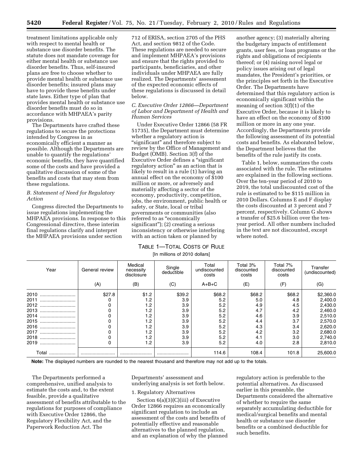treatment limitations applicable only with respect to mental health or substance use disorder benefits. The statute does not mandate coverage for either mental health or substance use disorder benefits. Thus, self-insured plans are free to choose whether to provide mental health or substance use disorder benefits; insured plans may have to provide these benefits under state laws. Either type of plan that provides mental health or substance use disorder benefits must do so in accordance with MHPAEA's parity provisions.

The Departments have crafted these regulations to secure the protections intended by Congress in as economically efficient a manner as possible. Although the Departments are unable to quantify the regulations' economic benefits, they have quantified some of the costs and have provided a qualitative discussion of some of the benefits and costs that may stem from these regulations.

## *B. Statement of Need for Regulatory Action*

Congress directed the Departments to issue regulations implementing the MHPAEA provisions. In response to this Congressional directive, these interim final regulations clarify and interpret the MHPAEA provisions under section

712 of ERISA, section 2705 of the PHS Act, and section 9812 of the Code. These regulations are needed to secure and implement MHPAEA's provisions and ensure that the rights provided to participants, beneficiaries, and other individuals under MHPAEA are fully realized. The Departments' assessment of the expected economic effects of these regulations is discussed in detail below.

### *C. Executive Order 12866—Department of Labor and Department of Health and Human Services*

Under Executive Order 12866 (58 FR 51735), the Department must determine whether a regulatory action is "significant" and therefore subject to review by the Office of Management and Budget (OMB). Section 3(f) of the Executive Order defines a ''significant regulatory action'' as an action that is likely to result in a rule (1) having an annual effect on the economy of \$100 million or more, or adversely and materially affecting a sector of the economy, productivity, competition, jobs, the environment, public health or safety, or State, local or tribal governments or communities (also referred to as "economically significant''); (2) creating a serious inconsistency or otherwise interfering with an action taken or planned by

## TABLE 1—TOTAL COSTS OF RULE [In millions of 2010 dollars]

another agency; (3) materially altering the budgetary impacts of entitlement grants, user fees, or loan programs or the rights and obligations of recipients thereof; or (4) raising novel legal or policy issues arising out of legal mandates, the President's priorities, or the principles set forth in the Executive Order. The Departments have determined that this regulatory action is economically significant within the meaning of section 3(f)(1) of the Executive Order, because it is likely to have an effect on the economy of \$100 million or more in any one year. Accordingly, the Departments provide the following assessment of its potential costs and benefits. As elaborated below, the Department believes that the benefits of the rule justify its costs.

Table 1, below, summarizes the costs associated with the rule. The estimates are explained in the following sections. Over the ten-year period of 2010 to 2019, the total undiscounted cost of the rule is estimated to be \$115 million in 2010 Dollars. Columns E and F display the costs discounted at 3 percent and 7 percent, respectively. Column G shows a transfer of \$25.6 billion over the tenyear period. All other numbers included in the text are not discounted, except where noted.

| Year      | General review | Medical<br>necessity<br>disclosure | Single<br>deductible | Total<br>undiscounted<br>costs | Total 3%<br>discounted<br>costs | Total 7%<br>discounted<br>costs | Transfer<br>(undiscounted) |
|-----------|----------------|------------------------------------|----------------------|--------------------------------|---------------------------------|---------------------------------|----------------------------|
|           | (A)            | (B)                                | (C)                  | $A + B + C$                    | (E)                             | (F)                             | (G)                        |
| 2010      | \$27.8         | \$1.2                              | \$39.2               | \$68.2                         | \$68.2                          | \$68.2                          | \$2,360.0                  |
| 2011<br>  | 0              | 1.2                                | 3.9                  | 5.2                            | 5.0                             | 4.8                             | 2,400.0                    |
| 2012<br>  | 0              | 1.2                                | 3.9                  | 5.2                            | 4.9                             | 4.5                             | 2,430.0                    |
| 2013<br>  | 0              | 1.2                                | 3.9                  | 5.2                            | 4.7                             | 4.2                             | 2,460.0                    |
| 2014<br>  | 0              | 1.2                                | 3.9                  | 5.2                            | 4.6                             | 3.9                             | 2,510.0                    |
| 2015<br>  | 0              | 1.2                                | 3.9                  | 5.2                            | 4.4                             | 3.7                             | 2,570.0                    |
| 2016<br>  | 0              | 1.2                                | 3.9                  | 5.2                            | 4.3                             | 3.4                             | 2,620.0                    |
| 2017<br>  | 0              | 1.2                                | 3.9                  | 5.2                            | 4.2                             | 3.2                             | 2,680.0                    |
| 2018<br>  | 0              | 1.2                                | 3.9                  | 5.2                            | 4.1                             | 3.0                             | 2,740.0                    |
| 2019<br>  | 0              | 1.2                                | 3.9                  | 5.2                            | 4.0                             | 2.8                             | 2,810.0                    |
| Total<br> |                |                                    |                      | 114.6                          | 108.4                           | 101.8                           | 25,600.0                   |

**Note:** The displayed numbers are rounded to the nearest thousand and therefore may not add up to the totals.

The Departments performed a comprehensive, unified analysis to estimate the costs and, to the extent feasible, provide a qualitative assessment of benefits attributable to the regulations for purposes of compliance with Executive Order 12866, the Regulatory Flexibility Act, and the Paperwork Reduction Act. The

Departments' assessment and underlying analysis is set forth below.

## 1. Regulatory Alternatives

Section 6(a)(3)(C)(iii) of Executive Order 12866 requires an economically significant regulation to include an assessment of the costs and benefits of potentially effective and reasonable alternatives to the planned regulation, and an explanation of why the planned

regulatory action is preferable to the potential alternatives. As discussed earlier in this preamble, the Departments considered the alternative of whether to require the same separately accumulating deductible for medical/surgical benefits and mental health or substance use disorder benefits or a combined deductible for such benefits.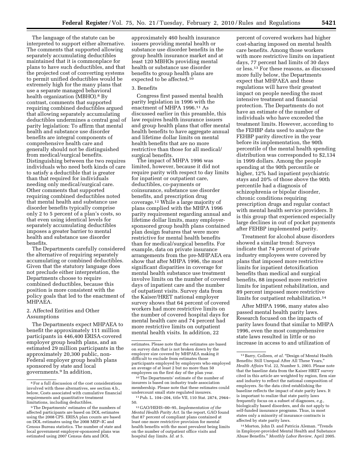The language of the statute can be interpreted to support either alternative. The comments that supported allowing separately accumulating deductibles maintained that it is commonplace for plans to have such deductibles, and that the projected cost of converting systems to permit unified deductibles would be extremely high for the many plans that use a separate managed behavioral health organization (MBHO).<sup>8</sup> By contrast, comments that supported requiring combined deductibles argued that allowing separately accumulating deductibles undermines a central goal of parity legislation: To affirm that mental health and substance use disorder benefits are integral components of comprehensive health care and generally should not be distinguished from medical/surgical benefits. Distinguishing between the two requires individuals who need both kinds of care to satisfy a deductible that is greater than that required for individuals needing only medical/surgical care. Other comments that supported requiring combined deductibles noted that mental health and substance use disorder benefits typically comprise only 2 to 5 percent of a plan's costs, so that even using identical levels for separately accumulating deductibles imposes a greater barrier to mental health and substance use disorder benefits.

The Departments carefully considered the alternative of requiring separately accumulating or combined deductibles. Given that the statutory language does not preclude either interpretation, the Departments choose to require combined deductibles, because this position is more consistent with the policy goals that led to the enactment of MHPAEA.

#### 2. Affected Entities and Other Assumptions

The Departments expect MHPAEA to benefit the approximately 111 million participants in 446,400 ERISA-covered employer group health plans, and an estimated 29 million participants in the approximately 20,300 public, non-Federal employer group health plans sponsored by state and local governments.9 In addition,

approximately 460 health insurance issuers providing mental health or substance use disorder benefits in the group health insurance market and at least 120 MBHOs providing mental health or substance use disorder benefits to group health plans are expected to be affected.10

#### 3. Benefits

Congress first passed mental health parity legislation in 1996 with the enactment of MHPA 1996.11 As discussed earlier in this preamble, this law requires health insurance issuers and group health plans that offer mental health benefits to have aggregate annual and lifetime dollar limits on mental health benefits that are no more restrictive than those for all medical/ surgical benefits.

The impact of MHPA 1996 was limited, however, because it did not require parity with respect to day limits for inpatient or outpatient care, deductibles, co-payments or coinsurance, substance use disorder benefits, and prescription drug coverage.12 While a large majority of plans complied with the MHPA 1996 parity requirement regarding annual and lifetime dollar limits, many employersponsored group health plans contained plan design features that were more restrictive for mental health benefits than for medical/surgical benefits. For example, data on private insurance arrangements from the pre-MHPAEA era show that after MHPA 1996, the most significant disparities in coverage for mental health substance use treatment involve limits on the number of covered days of inpatient care and the number of outpatient visits. Survey data from the Kaiser/HRET national employer survey shows that 64 percent of covered workers had more restrictive limits on the number of covered hospital days for mental health care and 74 percent had more restrictive limits on outpatient mental health visits. In addition, 22

10The Departments' estimate of the number of insurers is based on industry trade association membership. Please note that these estimates could undercount small state regulated insurers.

percent of covered workers had higher cost-sharing imposed on mental health care benefits. Among those workers with more restrictive limits on inpatient days, 77 percent had limits of 30 days or less.13 For these reasons, as discussed more fully below, the Departments expect that MHPAEA and these regulations will have their greatest impact on people needing the most intensive treatment and financial protection. The Departments do not have an estimate of the number of individuals who have exceeded the treatment limits. However, according to the FEHBP data used to analyze the FEHBP parity directive in the year before its implementation, the 90th percentile of the mental health spending distribution was corresponded to \$2,134 in 1999 dollars. Among the people spending at the 90th percentile or higher, 12% had inpatient psychiatric stays and 20% of those above the 90th percentile had a diagnosis of schizophrenia or bipolar disorder, chronic conditions requiring prescription drugs and regular contact with mental health service providers. It is this group that experienced especially large declines in out of pocket payments after FEHBP implemented parity.

Treatment for alcohol abuse disorders showed a similar trend: Surveys indicate that 74 percent of private industry employees were covered by plans that imposed more restrictive limits for inpatient detoxification benefits than medical and surgical benefits, 88 imposed more restrictive limits for inpatient rehabilitation, and 89 percent imposed more restrictive limits for outpatient rehabilitation.<sup>14</sup>

After MHPA 1996, many states also passed mental health parity laws. Research focused on the impacts of parity laws found that similar to MHPA 1996, even the most comprehensive state laws resulted in little or no increase in access to and utilization of

14Morton, John D. and Patricia Aleman. ''Trends in Employer-provided Mental Health and Substance Abuse Benefits.'' *Monthly Labor Review,* April 2005.

 $^{\rm 8}$  For a full discussion of the cost considerations involved with these alternatives, see section 4.b., below, Costs associated with cumulative financial requirements and quantitative treatment limitations, including deductibles.

<sup>9</sup>The Departments' estimates of the numbers of affected participants are based on DOL estimates using the 2008 CPS. ERISA plan counts are based on DOL estimates using the 2008 MEP–IC and Census Bureau statistics. The number of state and local government employer-sponsored plans was estimated using 2007 Census data and DOL

estimates. Please note that the estimates are based on survey data that is not broken down by the employer size covered by MHPAEA making it difficult to exclude from estimates those participants employed by employers who employed an average of at least 2 but no more than 50 employees on the first day of the plan year.

<sup>11</sup>Pub. L. 104–204, title VII, 110 Stat. 2874, 2944– 50.

<sup>12</sup> GAO/HEHS–00–95, *Implementation of the Mental Health Parity Act.* In the report, GAO found that 87 percent of compliant plans contained at least one more restrictive provision for mental health benefits with the most prevalent being limits on the number of outpatient office visits and hospital day limits. *Id.* at 5.

<sup>&</sup>lt;sup>13</sup> Barry, Colleen, et al. "Design of Mental Health Benefits: Still Unequal After All These Years,'' *Health Affairs* Vol. 22, Number 5, 2003. Please note that the baseline data from the Kaiser HRET survey cited in this article are weighted by region, firm size and industry to reflect the national composition of employers. So the data cited establishing the baseline reflects the impact of state parity laws. It is important to realize that state parity laws frequently focus on a subset of diagnoses, *e.g.*, biologically based disorders, and do not apply to self-funded insurance programs. Thus, in most states only a minority of insurance contracts is affected by state parity laws.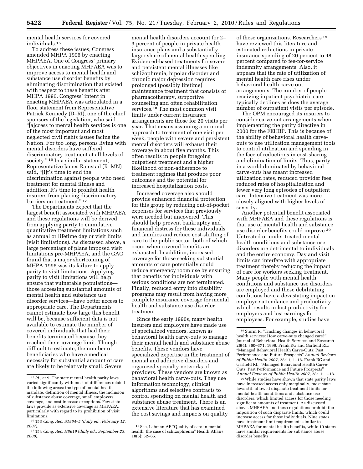mental health services for covered individuals.15

To address these issues, Congress amended MHPA 1996 by enacting MHPAEA. One of Congress' primary objectives in enacting MHPAEA was to improve access to mental health and substance use disorder benefits by eliminating discrimination that existed with respect to these benefits after MHPA 1996. Congress' intent in enacting MHPAEA was articulated in a floor statement from Representative Patrick Kennedy (D–RI), one of the chief sponsors of the legislation, who said ''[a]ccess to mental health services is one of the most important and most neglected civil rights issues facing the Nation. For too long, persons living with mental disorders have suffered discriminatory treatment at all levels of society."<sup>16</sup> In a similar statement, Representative James Ramstad (R–MN) said, "[i]t's time to end the discrimination against people who need treatment for mental illness and addition. It's time to prohibit health insurers from placing discriminatory barriers on treatment."<sup>17</sup>

The Departments expect that the largest benefit associated with MHPAEA and these regulations will be derived from applying parity to cumulative quantitative treatment limitations such as annual or lifetime day or visit limits (visit limitations). As discussed above, a large percentage of plans imposed visit limitations pre-MHPAEA, and the GAO found that a major shortcoming of MHPA 1996 was its failure to apply parity to visit limitations. Applying parity to visit limitations will help ensure that vulnerable populations those accessing substantial amounts of mental health and substance use disorder services—have better access to appropriate care. The Departments cannot estimate how large this benefit will be, because sufficient data is not available to estimate the number of covered individuals that had their benefits terminated because they reached their coverage limit. Though difficult to estimate, the number of beneficiaries who have a medical necessity for substantial amount of care are likely to be relatively small. Severe

mental health disorders account for 2– 3 percent of people in private health insurance plans and a substantially larger share of mental health spending. Evidenced-based treatments for severe and persistent mental illnesses like schizophrenia, bipolar disorder and chronic major depression requires prolonged (possibly lifetime) maintenance treatment that consists of pharmacotherapy, supportive counseling and often rehabilitation services.18 The most common visit limits under current insurance arrangements are those for 20 visits per year. That means assuming a minimal approach to treatment of one visit per week, people with severe and persistent mental disorders will exhaust their coverage in about five months. This often results in people foregoing outpatient treatment and a higher likelihood of non-adherence to treatment regimes that produce poor outcomes and the potential for increased hospitalization costs.

Increased coverage also should provide enhanced financial protection for this group by reducing out-of-pocket expenses for services that previously were needed but uncovered. This should help prevent bankruptcy and financial distress for these individuals and families and reduce cost-shifting of care to the public sector, both of which occur when covered benefits are exhausted. In addition, increased coverage for those seeking substantial amounts of care potentially could reduce emergency room use by ensuring that benefits for individuals with serious conditions are not terminated. Finally, reduced entry into disability programs may result from having more complete insurance coverage for mental health and substance use disorder treatment.

Since the early 1990s, many health insurers and employers have made use of specialized vendors, known as behavioral health carve-outs to manage their mental health and substance abuse benefits. These vendors have specialized expertise in the treatment of mental and addictive disorders and organized specialty networks of providers. These vendors are known as behavioral health carve-outs. They use information technology, clinical algorithms and selective contracts to control spending on mental health and substance abuse treatment. There is an extensive literature that has examined the cost savings and impacts on quality

of these organizations. Researchers 19 have reviewed this literature and estimated reductions in private insurance spending of 20 percent to 48 percent compared to fee-for-service indemnity arrangements. Also, it appears that the rate of utilization of mental health care rises under behavioral health carve out arrangements. The number of people receiving inpatient psychiatric care typically declines as does the average number of outpatient visits per episode.

The OPM encouraged its insurers to consider carve-out arrangements when implementing the parity directive in 2000 for the FEHBP. This is because of the ability of behavioral health carveouts to use utilization management tools to control utilization and spending in the face of reductions in cost-sharing and elimination of limits. Thus, parity in a world dominated by behavioral carve-outs has meant increased utilization rates, reduced provider fees, reduced rates of hospitalization and fewer very long episodes of outpatient care. Intensive treatment was more closely aligned with higher levels of severity.

Another potential benefit associated with MHPAEA and these regulations is that use of mental health and substance use disorder benefits could improve.20 Untreated or under treated mental health conditions and substance use disorders are detrimental to individuals and the entire economy. Day and visit limits can interfere with appropriate treatment thereby reducing the impact of care for workers seeking treatment. Many people with mental health conditions and substance use disorders are employed and these debilitating conditions have a devastating impact on employee attendance and productivity, which results in lost productivity for employers and lost earnings for employees. For example, studies have

20While studies have shown that state parity laws have increased access only marginally, most state laws still allowed disparate treatment limits for mental health conditions and substance use disorders, which limited access for those needing significant amounts of treatment. As discussed above, MHPAEA and these regulations prohibit the imposition of such disparate limits, which could increase access for those individuals. Nine states have treatment limit requirements similar to MHPAEA for mental health benefits, while 10 states have similar requirements for substance abuse disorder benefits.

<sup>15</sup> *Id.,* at 9. The state mental health parity laws varied significantly with most of differences related the following areas: the type of mental health mandate, definition of mental illness, the inclusion of substance abuse coverage, small employers' coverage, and cost increase exceptions. Few state laws provide as extensive coverage as MHPAEA, particularly with regard to its prohibition of visit limitations.

<sup>16</sup> 153 *Cong. Rec. S1864–5 (daily ed., February 12, 2007).* 

<sup>17</sup> 154 *Cong. Rec. H8619 (daily ed., September 23, 2008).* 

<sup>18</sup>See, Lehman AF ''Quality of care in mental health: the case of schizophrenia'' Health Affairs 18(5): 52–65.

<sup>19</sup>Sturm R, ''Tracking changes in behavioral health services: How carve-outs changed care?'' Journal of Behavioral Health Services and Research 26(4): 360–371, 1999. Frank RG and Garfield RL; ''Managed Behavioral Health Carve-Outs: Past Performance and Future Prospects'' *Annual Reviews of Public Health 2007,* 28:11; 1–18. Frank RG and Garfield RL; ''Managed Behavioral Health Carve-Outs: Past Performance and Future Prospects'' *Annual Reviews of Public Health 2007,* 28:11; 1–18.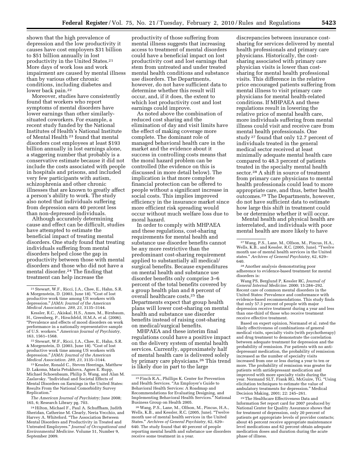shown that the high prevalence of depression and the low productivity it causes have cost employers \$31 billion to \$51 billion annually in lost productivity in the United States.21 More days of work loss and work impairment are caused by mental illness than by various other chronic conditions, including diabetes and lower back pain.<sup>22</sup>

Moreover, studies have consistently found that workers who report symptoms of mental disorders have lower earnings than other similarlysituated coworkers. For example, a recent study funded by the National Institutes of Health's National Institute of Mental Health 23 found that mental disorders cost employees at least \$193 billion annually in lost earnings alone, a staggering number that probably is a conservative estimate because it did not include the costs associated with people in hospitals and prisons, and included very few participants with autism, schizophrenia and other chronic illnesses that are known to greatly affect a person's ability to work. The study also noted that individuals suffering from depression earn 40 percent less than non-depressed individuals.

Although accurately determining cause and effect can be difficult, studies have attempted to estimate the beneficial impact of treating mental disorders. One study found that treating individuals suffering from mental disorders helped close the gap in productivity between those with mental disorders and those who did not have a mental disorder.24 The finding that treatment can help increase the

<sup>23</sup> Kessler, Ronald C., Steven Heeringa, Matthew D. Lakoma, Maria Petukhova, Agnes E. Rupp, Michael Schoenbaum, Philip S. Wang, and Alan M. Zaslavsky. ''Individual and Societal Effects of Mental Disorders on Earnings in the United States: Results From the National Comorbidity Survey Replication.''

*The American Journal of Psychiatry;* June 2008; 165, 6; Research Library pg. 703.

productivity of those suffering from mental illness suggests that increasing access to treatment of mental disorders could have a beneficial impact on lost productivity cost and lost earnings that stem from untreated and under treated mental health conditions and substance use disorders. The Departments, however, do not have sufficient data to determine whether this result will occur, and, if it does, the extent to which lost productivity cost and lost earnings could improve.

As noted above the combination of reduced cost sharing and the elimination of day and visit limits have the effect of making coverage more complete. The dominant role of managed behavioral health care in the market and the evidence about it success in controlling costs means that the moral hazard problem can be controlled (the evidence on this is discussed in more detail below). The implication is that more complete financial protection can be offered to people without a significant increase in social costs. This implies improved efficiency in the insurance market since more efficient risk spreading would occur without much welfare loss due to moral hazard.

In order to comply with MHPAEA and these regulations, cost-sharing requirements for mental health and substance use disorder benefits cannot be any more restrictive than the predominant cost-sharing requirement applied to substantially all medical/ surgical benefits. Because expenditures on mental health and substance use disorder benefits only comprise 3–6 percent of the total benefits covered by a group health plan and 8 percent of overall healthcare costs,25 the Departments expect that group health plans will lower cost-sharing on mental health and substance use disorder benefits instead of raising cost-sharing on medical/surgical benefits.

MHPAEA and these interim final regulations could have a positive impact on the delivery system of mental health services. Currently, approximately half of mental health care is delivered solely by primary care physicians.26 This trend is likely due in part to the large

discrepancies between insurance costsharing for services delivered by mental health professionals and primary care physicians. Historically, the costsharing associated with primary care physician visits is lower than costsharing for mental health professional visits. This difference in the relative price encouraged patients suffering from mental illness to visit primary care physicians for mental health-related conditions. If MHPAEA and these regulations result in lowering the relative price of mental health care, more individuals suffering from mental illness could visit and receive care from mental health professionals. One study 27 found that only 12.7 percent of individuals treated in the general medical sector received at least minimally adequate mental health care compared to 48.3 percent of patients treated in the specialty mental health sector.28 A shift in source of treatment from primary care physicians to mental health professionals could lead to more appropriate care, and thus, better health outcomes.29 The Departments, however, do not have sufficient data to estimate how large this shift in treatment could be or determine whether it will occur.

Mental health and physical health are interrelated, and individuals with poor mental health are more likely to have

<sup>28</sup> Another analysis demonstrating poor adherence to evidence-based treatment for mental disorders is:

Wang PS, Berglund P, Kessler RC, *Journal of General Internal Medicine.* 2000; 15:284–292. Recent care of common mental disorders in the United States: Prevalence and conformance with evidence-based recommendations. This study finds that only 57.3 percent of people with major depression receive treatment during a year and less than one-third of those who receive treatment receive effective treatment.

Based on expert opinion, Normand et al. rated the likely effectiveness of combinations of general medical visits, specialty visits (with psychotherapy) and drug treatment to demonstrate the correlation between adequate treatment for depression and the probability of remission. For patients with no antidepressant medication, the probability of remission increased as the number of specialty visits increased from one or less during a year to ten or more. The probability of remission was greater for patients with antidepressant medication and improved with more specialty visits during the year. Normand SLT, Frank RG, McGuire, TG. ''Using elicitation techniques to estimate the value of ambulatory treatments for depression.'' Medical Decision Making, 2001; 22: 245–261.

29The Healthcare Effectiveness Data and Information Set report card for 2007 produced by National Center for Quality Assurance shows that for treatment of depression, only 20 percent of patients get appropriate levels of provider contacts; about 45 percent receive appropriate maintenance level medications and 62 percent obtain adequate medication doses and duration during the acute phase of illness.

<sup>21</sup>Stewart, W.F., Ricci, J.A., Chee, E., Hahn, S.R. & Morgenstein, D. (2003, June 18). ''Cost of lost productive work time among US workers with depression.'' *JAMA: Journal of the American Medical Association. 289, 23,* 3135–3144.

Kessler, R.C., Akiskal, H.S., Ames, M., Birnbaum, H., Greenberg, P., Hirschfeld, H.M.A. et al. (2006). ''Prevalence and effects of mood disorders on work performance in a nationally representative sample of U.S. workers.'' *American Journal of Psychiatry,* 

<sup>163, 1561–1568.&</sup>lt;br><sup>22</sup> Stewart, W.F., Ricci, J.A., Chee, E., Hahn, S.R.<br>& Morgenstein, D. (2003, June 18). "Cost of lost productive work time among US workers with depression.'' *JAMA: Journal of the American* 

<sup>24</sup>Hilton, Michael F., Paul A. Schuffham, Judith Sheridan, Catherine M. Clearly, Neria Vecchio, and Harvey A. Whiteford. ''The Association Between Mental Disorders and Productivity in Treated and Untreated Employees.'' *Journal of Occupational and Environmental Medicine.* Volume 51, Number 9, September 2009.

<sup>25</sup>Finch R.A., Phillips K. Center for Prevention and Health Services. ''An Employer's Guide to Behavioral Health Services: A Roadmap and Recommendations for Evaluating Designing, and Implementing Behavioral Health Services.'' National Business Group on Health 2005.

<sup>26</sup>Wang, P.S., Lane, M., Olfson, M., Pincus, H.A., Wells, K.B., and Kessler, R.C. (2005, June). ''Twelve month use of mental health services in the United States.'' *Archives of General Psychiatry,* 62, 629– 640. The study found that 40 percent of people reporting mental health and substance use disorders receive some treatment in a year.

<sup>27</sup>Wang, P.S., Lane, M., Olfson, M., Pincus, H.A., Wells, K.B., and Kessler, R.C. (2005, June). ''Twelve month use of mental health services in the United states.'' *Archives of General Psychiatry,* 62, 629–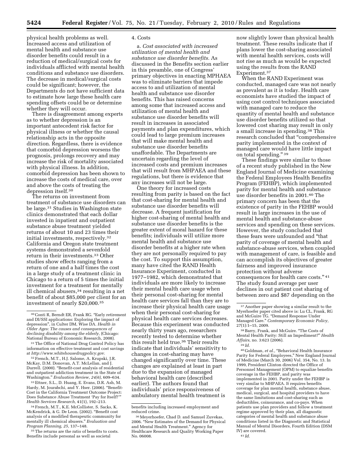physical health problems as well. Increased access and utilization of mental health and substance use disorder benefits could result in a reduction of medical/surgical costs for individuals afflicted with mental health conditions and substance use disorders. The decrease in medical/surgical costs could be significant; however, the Departments do not have sufficient data to estimate how large these health care spending offsets could be or determine whether they will occur.

There is disagreement among experts as to whether depression is an important antecedent risk factor for physical illness or whether the causal relationship acts in the opposite direction. Regardless, there is evidence that comorbid depression worsens the prognosis, prolongs recovery and may increase the risk of mortality associated with physical illness. In addition, comorbid depression has been shown to increase the costs of medical care, over and above the costs of treating the depression itself.30

The returns on investment from treatment of substance use disorders can be large.31 Studies in Washington state clinics demonstrated that each dollar invested in inpatient and outpatient substance abuse treatment yielded returns of about 10 and 23 times their initial investments, respectively.32 California and Oregon state treatment systems demonstrated a sevenfold return in their investments.33 Other studies show effects ranging from a return of one and a half times the cost in a large study of a treatment clinic in Chicago to a return of 5 times the initial investment for a treatment for mentally ill chemical abusers,34 resulting in a net benefit of about \$85,000 per client for an investment of nearly \$20,000.35

33Ettner, S.L., D. Huang, E. Evans, D.R. Ash, M. Hardy, M. Jourabchi, and Y. Hser. (2006). "Benefit-Cost in the California Treatment Outcome Project: Does Substance Abuse Treatment 'Pay for Itself?''' *Health Services Research,* 41(1), 192–213.

<sup>35</sup> The returns are the ratio of benefits to costs. Benefits include personal as well as societal

#### 4. Costs

a. *Cost associated with increased utilization of mental health and substance use disorder benefits.* As discussed in the Benefits section earlier in this preamble, one of Congress' primary objectives in enacting MPHAEA was to eliminate barriers that impede access to and utilization of mental health and substance use disorder benefits. This has raised concerns among some that increased access and utilization of mental health and substance use disorder benefits will result in increases in associated payments and plan expenditures, which could lead to large premium increases that will make mental health and substance use disorder benefits unaffordable. The Departments are uncertain regarding the level of increased costs and premium increases that will result from MHPAEA and these regulations, but there is evidence that any increases will not be large.

One theory for increased costs resulting from parity is based on the fact that cost-sharing for mental health and substance use disorder benefits will decrease. A frequent justification for higher cost-sharing of mental health and substance use disorder benefits is the greater extent of moral hazard for these benefits; individuals will utilize more mental health and substance use disorder benefits at a higher rate when they are not personally required to pay the cost. To support this assumption, many have cited the RAND Health Insurance Experiment, conducted in 1977–1982, which demonstrated that individuals are more likely to increase their mental health care usage when their personal cost-sharing for mental health care services fall than they are to increase their physical health care usage when their personal cost-sharing for physical health care services decreases. Because this experiment was conducted nearly thirty years ago, researchers recently tested to determine whether this result held true.36 Their results indicate that individuals' sensitivity to changes in cost-sharing may have changed significantly over time. These changes are explained at least in part due to the expansion of managed behavioral health care (described earlier). The authors found that individuals' price responsiveness of ambulatory mental health treatment is

now slightly lower than physical health treatment. These results indicate that if plans lower the cost-sharing associated with mental health services, costs will not rise as much as would be expected using the results from the RAND Experiment.37

When the RAND Experiment was conducted, managed care was not nearly as prevalent as it is today. Health care economists have studied the impact of using cost control techniques associated with managed care to reduce the quantity of mental health and substance use disorder benefits utilized so that lowered cost sharing may result in only a small increase in spending.38 This research concluded that ''comprehensive parity implemented in the context of managed care would have little impact on total spending.'' 39

These findings were similar to those of a recent study published in the New England Journal of Medicine examining the Federal Employees Health Benefits Program (FEHBP), which implemented parity for mental health and substance use disorder benefits in 2001.40 The primary concern has been that the existence of parity in the FEHBP would result in large increases in the use of mental health and substance-abuse services and spending on these services. However, the study concluded that these fears were unfounded and ''that parity of coverage of mental health and substance-abuse services, when coupled with management of care, is feasible and can accomplish its objectives of greater fairness and improved insurance protection without adverse consequences for health care costs.'' 41 The study found average per user declines in out patient cost sharing of between zero and \$87 depending on the

40 Goldman, *et al.,* ''Behavioral Health Insurance Parity for Federal Employees,'' New England Journal of Medicine (March 30, 2006) Vol. 354, No. 13. In 1999, President Clinton directed the Office of Personnel Management (OPM) to equalize benefits coverage in the FEHBP, and parity was implemented in 2001. Parity under the FEHBP is very similar to MHPAEA. It requires benefits coverage for plan mental health, substance abuse, medical, surgical, and hospital providers to have the same limitations and cost-sharing such as deductibles, coinsurance, and co-pays. When patients use plan providers and follow a treatment regime approved by their plan, all diagnostic categories of mental health and substance abuse conditions listed in the Diagnostic and Statistical Manual of Mental Disorders, Fourth Edition (DSM IV) are covered. 41 *Id.* 

<sup>30</sup>Conti R, Berndt ER, Frank RG. ''Early retirement and DI/SSI applications: Exploring the impact of depression'', in Culter DM, Wise DA. *Health in Older Ages: The causes and consequences of declining disability among the elderly,* (Chicago: National Bureau of Economic Research, 2008).

<sup>31</sup>The Office of National Drug Control Policy has information on effective treatment and cost savings at *http://www.whitehousedrugpolicy.gov.* 

<sup>32</sup>French, M.T., H.J. Salome, A. Krupski, J.R. McKay, D.M. Donovan, A.T. McLellan, and J. Durrell. (2000). ''Benefit-cost analysis of residential and outpatient addiction treatment in the State of Washington.'' *Evaluation Review, 24(6),* 609–634.

<sup>34</sup>French, M.T., K.E. McCollister, S. Sacks, K. McKendrick, & G. De Leon. (2002). ''Benefit cost analysis of a modified therapeutic community for mentally ill chemical abusers.'' *Evaluation and Program Planning, 25,* 137–148.

benefits including increased employment and reduced crime.

<sup>36</sup>Meyerhoefer, Chad D. and Samuel Zuvekas, 2006. ''New Estimates of the Demand for Physical and Mental Health Treatment.'' Agency for Healthcare Research and Quality Working Paper No. 06008.

<sup>37</sup>Another paper showing a similar result to the Myerhoefer paper cited above is: Lu CL, Frank, RG and McGuire TG. ''Demand Response Under Managed Care.'' *Contemporary Economic Policy,*   $27(1):1-15, 2009.$ 

<sup>&</sup>lt;sup>38</sup> Barry, Frank, and McGuire. "The Costs of Mental Health Parity: Still an Impediment?'' *Health Affairs,* no. 3:623 (2006).

<sup>39</sup> *Id.*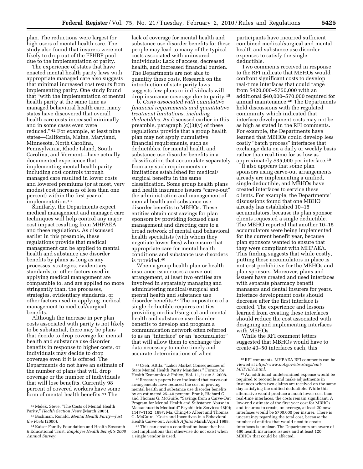plan. The reductions were largest for high users of mental health care. The study also found that insurers were not likely to drop out of the FEHBP pool due to the implementation of parity.

The experience of states that have enacted mental health parity laws with appropriate managed care also suggests that minimal increased cost results from implementing parity. One study found that ''with the implementation of mental health parity at the same time as managed behavioral health care, many states have discovered that overall health care costs increased minimally and in some cases even were reduced.'' 42 For example, at least nine states—California, Maine, Maryland, Minnesota, North Carolina, Pennsylvania, Rhode Island, South Carolina, and Vermont—have actually documented experience that implementing mental health parity including cost controls through managed care resulted in lower costs and lowered premiums (or at most, very modest cost increases of less than one percent) within the first year of implementation.43

Similarly, the Departments expect medical management and managed care techniques will help control any major cost impact resulting from MHPAEA and these regulations. As discussed earlier in this preamble, these regulations provide that medical management can be applied to mental health and substance use disorder benefits by plans as long as any processes, strategies, evidentiary standards, or other factors used in applying medical management are comparable to, and are applied no more stringently than, the processes, strategies, evidentiary standards, or other factors used in applying medical management to medical/surgical benefits.

Although the increase in per plan costs associated with parity is not likely to be substantial, there may be plans that decide to drop coverage for mental health and substance use disorder benefits in response to higher costs, or individuals may decide to drop coverage even if it is offered. The Departments do not have an estimate of the number of plans that will drop coverage or the number of individuals that will lose benefits. Currently 98 percent of covered workers have some form of mental health benefits.44 The

lack of coverage for mental health and substance use disorder benefits for these people may lead to many of the typical costs associated with uninsured individuals: Lack of access, decreased health, and increased financial burden. The Departments are not able to quantify these costs. Research on the introduction of state parity laws suggests few plans or individuals will drop insurance coverage due to parity.45

b. *Costs associated with cumulative financial requirements and quantitative treatment limitations, including deductibles.* As discussed earlier in this preamble, paragraph  $(c)(3)(v)$  of these regulations provide that a group health plan may not apply cumulative financial requirements, such as deductibles, for mental health and substance use disorder benefits in a classification that accumulate separately from any such requirements or limitations established for medical/ surgical benefits in the same classification. Some group health plans and health insurance issuers ''carve-out'' the administration and management of mental health and substance use disorder benefits to MBHOs. These entities obtain cost savings for plan sponsors by providing focused case management and directing care to a broad network of mental and behavioral health specialists (with whom they negotiate lower fees) who ensure that appropriate care for mental health conditions and substance use disorders is provided.46

When a group health plan or health insurance issuer uses a carve-out arrangement, at least two entities are involved in separately managing and administering medical/surgical and mental health and substance use disorder benefits.47 The imposition of a single deductible requires entities providing medical/surgical and mental health and substance use disorder benefits to develop and program a communication network often referred to as an ''interface'' or an ''accumulator'' that will allow them to exchange the data necessary to make timely and accurate determinations of when

participants have incurred sufficient combined medical/surgical and mental health and substance use disorder expenses to satisfy the single deductible.

Two comments received in response to the RFI indicate that MBHOs would confront significant costs to develop real-time interfaces that could range from \$420,000–\$750,000 with an additional \$40,000–\$70,000 required for annual maintenance.48 The Departments held discussions with the regulated community which indicated that interface development costs may not be as high as stated in the RFI comments. For example, the Departments have learned that MBHOs could develop less costly ''batch process'' interfaces that exchange data on a daily or weekly basis rather than real-time for as low as approximately \$35,000 per interface.49

It also appears that some plan sponsors using carve-out arrangements already are implementing a unified, single deductible, and MBHOs have created interfaces to service these clients. For example, the Departments' discussions found that one MBHO already has established 10–15 accumulators, because its plan sponsor clients requested a single deductible. The MBHO reported that another 10–15 accumulators were being implemented for the current benefit year, because plan sponsors wanted to ensure that they were compliant with MHPAEA. This finding suggests that while costly, putting these accumulators in place is not cost prohibitive for the MBHOs and plan sponsors. Moreover, plans and issuers have created and used interfaces with separate pharmacy benefit managers and dental insurers for years. Interface development costs should decrease after the first interface is created. The experience and lessons learned from creating these interfaces should reduce the cost associated with designing and implementing interfaces with MBHOs.

While the RFI comment letters suggested that MBHOs would have to create 40–50 interfaces each, this

<sup>42</sup>Melek, Steve, ''The Costs of Mental Health Parity,'' *Health Section News* (March 2005).

<sup>43</sup>Bachman, Ronald, *Mental Health Parity—Just the Facts* (2000).

<sup>44</sup> Kaiser Family Foundation and Health Research & Educational Trust. *Employer Health Benefits 2008 Annual Survey.* 

<sup>45</sup>Cseh, Attila. ''Labor Market Consequences of State Mental Health Parity Mandates," Forum for<br>Health Economics & Policy, Vol. 11, issue 2, 2008.

<sup>46</sup> Research papers have indicated that carve-out arrangements have reduced the cost of proving mental health and substance use disorder benefits by an estimated 25–40 percent. Frank, Richard G. and Thomas G. McGuire, ''Savings from a Carve-Out Program for Mental Health and Substance Abuse in Massachusetts Medicaid'' Psychiatric Services 48(9); 1147–1152, 1997; Ma, Ching-to Albert and Thomas G. McGuire, "Costs and Incentives in a Behavioral Health Carve-out. *Health Affairs* March/April 1998.

<sup>47</sup>This can create a coordination issue that has cost implications that otherwise do not exist when a single vendor is used.

<sup>48</sup>RFI comments. MHPAEA RFI comments can be viewed at *http://www.dol.gov/ebsa/regs/cmt-MHPAEA.html.* 

<sup>49</sup>An additional undetermined expense would be required to reconcile and make adjustments in instances when two claims are received on the same day satisfying the unified deductible. While this alternative would produce a much lower cost than real-time interfaces, the costs remain significant. A low-end estimate of the first year cost for MBHOs and insurers to create, on average, at least 20 new interfaces would be \$700,000 per insurer. There is uncertainty regarding the total cost, because the number of entities that would need to create interfaces is unclear. The Departments are aware of 460 health insurance issuers and at least 120 MBHOs that could be affected.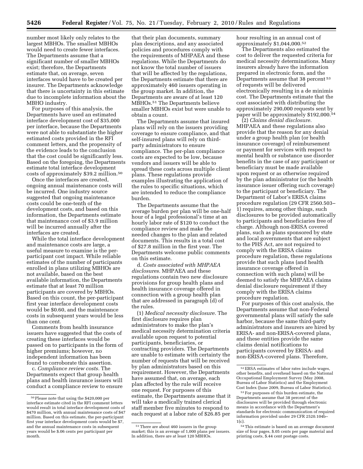number most likely only relates to the largest MBHOs. The smallest MBHOs would need to create fewer interfaces. The Departments assume that a significant number of smaller MBHOs exist; therefore, the Departments estimate that, on average, seven interfaces would have to be created per insurer. The Departments acknowledge that there is uncertainty in this estimate due to incomplete information about the MBHO industry.

For purposes of this analysis, the Departments have used an estimated interface development cost of \$35,000 per interface, because the Departments were not able to substantiate the higher estimated costs provided in the RFI comment letters, and the propensity of the evidence leads to the conclusion that the cost could be significantly less. Based on the foregoing, the Departments estimate total interface development costs of approximately \$39.2 million.50

Once the interfaces are created, ongoing annual maintenance costs will be incurred. One industry source suggested that ongoing maintenance costs could be one-tenth of the development costs, and based on this information, the Departments estimate that maintenance cost of \$3.9 million will be incurred annually after the interfaces are created.

While the total interface development and maintenance costs are large, a useful measure to examine is the perparticipant cost impact. While reliable estimates of the number of participants enrolled in plans utilizing MBHOs are not available, based on the best available information, the Departments estimate that at least 70 million participants are covered by MBHOs. Based on this count, the per-participant first year interface development costs would be \$0.60, and the maintenance costs in subsequent years would be less than one cent.

Comments from health insurance issuers have suggested that the costs of creating these interfaces would be passed on to participants in the form of higher premiums; however, no independent information has been found to corroborate this assertion.

c. *Compliance review costs.* The Departments expect that group health plans and health insurance issuers will conduct a compliance review to ensure

that their plan documents, summary plan descriptions, and any associated policies and procedures comply with the requirements of MHPAEA and these regulations. While the Departments do not know the total number of issuers that will be affected by the regulations, the Departments estimate that there are approximately 460 issuers operating in the group market. In addition, the Departments are aware of at least 120 MBHOs.51 The Departments believe smaller MBHOs exist but were unable to obtain a count.

The Departments assume that insured plans will rely on the issuers providing coverage to ensure compliance, and that self-insured plans will rely on thirdparty administrators to ensure compliance. The per-plan compliance costs are expected to be low, because vendors and issuers will be able to spread these costs across multiple client plans. These regulations provide examples illustrating the application of the rules to specific situations, which are intended to reduce the compliance burden.

The Departments assume that the average burden per plan will be one-half hour of a legal professional's time at an hourly labor rate of \$120 to conduct the compliance review and make the needed changes to the plan and related documents. This results in a total cost of \$27.8 million in the first year. The Departments welcome public comments on this estimate.

d. *Costs associated with MHPAEA disclosures.* MHPAEA and these regulations contain two new disclosure provisions for group health plans and health insurance coverage offered in connection with a group health plan that are addressed in paragraph (d) of the rules.

(1) *Medical necessity disclosure.* The first disclosure requires plan administrators to make the plan's medical necessity determination criteria available upon request to potential participants, beneficiaries, or contracting providers. The Departments are unable to estimate with certainty the number of requests that will be received by plan administrators based on this requirement. However, the Departments have assumed that, on average, each plan affected by the rule will receive one request. For purposes of this estimate, the Departments assume that it will take a medically trained clerical staff member five minutes to respond to each request at a labor rate of \$26.85 per

hour resulting in an annual cost of approximately \$1,044,000.52

The Departments also estimated the cost to deliver the requested criteria for medical necessity determinations. Many insurers already have the information prepared in electronic form, and the Departments assume that 38 percent 53 of requests will be delivered electronically resulting in a de minimis cost. The Departments estimate that the cost associated with distributing the approximately 290,000 requests sent by paper will be approximately \$192,000.54

(2) *Claims denial disclosure.*  MHPAEA and these regulations also provide that the reason for any denial under a group health plan (or health insurance coverage) of reimbursement or payment for services with respect to mental health or substance use disorder benefits in the case of any participant or beneficiary must be made available upon request or as otherwise required by the plan administrator (or the health insurance issuer offering such coverage) to the participant or beneficiary. The Department of Labor's ERISA claims procedure regulation (29 CFR 2560.503– 1) requires, among other things, such disclosures to be provided automatically to participants and beneficiaries free of charge. Although non-ERISA covered plans, such as plans sponsored by state and local governments that are subject to the PHS Act, are not required to comply with the ERISA claims procedure regulation, these regulations provide that such plans (and health insurance coverage offered in connection with such plans) will be deemed to satisfy the MHPAEA claims denial disclosure requirement if they comply with the ERISA claims procedure regulation.

For purposes of this cost analysis, the Departments assume that non-Federal governmental plans will satisfy the safe harbor, because the same third-party administrators and insurers are hired by ERISA- and non-ERISA-covered plans, and these entities provide the same claims denial notifications to participants covered by ERISA- and non-ERISA-covered plans. Therefore,

53For purposes of this burden estimate, the Departments assume that 38 percent of the disclosures will be provided through electronic means in accordance with the Department's standards for electronic communication of required information provided under 29 CFR 2520.104b– 1(c).

54This estimate is based on an average document size of four pages, \$.05 cents per page material and printing costs, \$.44 cent postage costs.

<sup>50</sup>Please note that using the \$420,000 per interface estimate cited in the RFI comment letters would result in total interface development costs of \$470 million, with annual maintenance costs of \$47 million. Based on this estimate, the per-participant first year interface development costs would be \$7, and the annual maintenance costs in subsequent years would be \$.06 cents per participant per month.

<sup>51</sup>There are about 460 issuers in the group market; this is an average of 1,000 plans per issuers. In addition, there are at least 120 MBHOs.

<sup>52</sup>EBSA estimates of labor rates include wages, other benefits, and overhead based on the National Occupational Employment Survey (May 2008, Bureau of Labor Statistics) and the Employment Cost Index (June 2009, Bureau of Labor Statistics).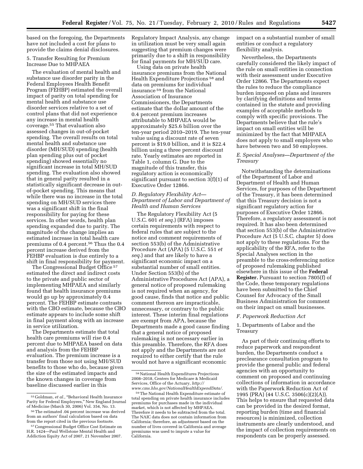based on the foregoing, the Departments have not included a cost for plans to provide the claims denial disclosures.

#### 5. Transfer Resulting for Premium Increase Due to MHPAEA

The evaluation of mental health and substance use disorder parity in the Federal Employees Health Benefit Program (FEHBP) estimated the overall impact of parity on total spending for mental health and substance use disorder services relative to a set of control plans that did not experience any increase in mental health coverage.55 That evaluation also assessed changes in out-of-pocket spending. The overall results on total mental health and substance use disorder (MH/SUD) spending (health plan spending plus out of pocket spending) showed essentially no significant increase in total MH/SUD spending. The evaluation also showed that in general parity resulted in a statistically significant decrease in outof-pocket spending. This means that while there was no increase in the total spending on MH/SUD services there was a significant shift in the final responsibility for paying for these services. In other words, health plan spending expanded due to parity. The magnitude of the change implies an estimated increase in total health care premiums of 0.4 percent.56 Thus the 0.4 percent increase derived from the FEHBP evaluation is due entirely to a shift in final responsibility for payment.

The Congressional Budget Office 57 estimated the direct and indirect costs to the private and public sector of implementing MHPAEA and similarly found that health insurance premiums would go up by approximately 0.4 percent. The FEHBP estimate contrasts with the CBO estimate, because the CBO estimate appears to include some shift in final payment along with an increase in service utilization.

The Departments estimate that total health care premiums will rise 0.4 percent due to MHPAEA based on data and analysis from the FEHBP evaluation. The premium increase is a transfer from those not using MH/SUD benefits to those who do, because given the size of the estimated impacts and the known changes in coverage from baseline discussed earlier in this

Regulatory Impact Analysis, any change in utilization must be very small again suggesting that premium changes were primarily due to a shift in responsibility for final payments for MH/SUD care.

Using data on private health insurance premiums from the National Health Expenditure Projections 58 and data on premiums for individual insurance 59 from the National Association of Insurance Commissioners, the Departments estimate that the dollar amount of the 0.4 percent premium increases attributable to MHPAEA would be approximately \$25.6 billion over the ten-year period 2010–2019. The ten-year value using a discount rate of seven percent is \$19.0 billion, and it is \$22.4 billion using a three percent discount rate. Yearly estimates are reported in Table 1, column G. Due to the magnitude of this transfer, this regulatory action is economically significant pursuant to section 3(f)(1) of Executive Order 12866.

## *D. Regulatory Flexibility Act— Department of Labor and Department of Health and Human Services*

The Regulatory Flexibility Act (5 U.S.C. 601 *et seq.*) (RFA) imposes certain requirements with respect to federal rules that are subject to the notice and comment requirements of section 553(b) of the Administrative Procedure Act (APA) (5 U.S.C. 551 *et seq.*) and that are likely to have a significant economic impact on a substantial number of small entities. Under Section 553(b) of the Administrative Procedures Act (APA), a general notice of proposed rulemaking is not required when an agency, for good cause, finds that notice and public comment thereon are impracticable, unnecessary, or contrary to the public interest. These interim final regulations are exempt from APA, because the Departments made a good cause finding that a general notice of proposed rulemaking is not necessary earlier in this preamble. Therefore, the RFA does not apply and the Departments are not required to either certify that the rule would not have a significant economic

impact on a substantial number of small entities or conduct a regulatory flexibility analysis.

Nevertheless, the Departments carefully considered the likely impact of the rule on small entities in connection with their assessment under Executive Order 12866. The Departments expect the rules to reduce the compliance burden imposed on plans and insurers by clarifying definitions and terms contained in the statute and providing examples of acceptable methods to comply with specific provisions. The Departments believe that the rule's impact on small entities will be minimized by the fact that MHPAEA does not apply to small employers who have between two and 50 employees.

## *E. Special Analyses—Department of the Treasury*

Notwithstanding the determinations of the Department of Labor and Department of Health and Human Services, for purposes of the Department of the Treasury, it has been determined that this Treasury decision is not a significant regulatory action for purposes of Executive Order 12866. Therefore, a regulatory assessment is not required. It has also been determined that section 553(b) of the Administrative Procedure Act (5 U.S.C. chapter 5) does not apply to these regulations. For the applicability of the RFA, refer to the Special Analyses section in the preamble to the cross-referencing notice of proposed rulemaking published elsewhere in this issue of the **Federal Register.** Pursuant to section 7805(f) of the Code, these temporary regulations have been submitted to the Chief Counsel for Advocacy of the Small Business Administration for comment on their impact on small businesses.

## *F. Paperwork Reduction Act*

## 1. Departments of Labor and the Treasury

As part of their continuing efforts to reduce paperwork and respondent burden, the Departments conduct a preclearance consultation program to provide the general public and federal agencies with an opportunity to comment on proposed and continuing collections of information in accordance with the Paperwork Reduction Act of 1995 (PRA) (44 U.S.C. 3506(c)(2)(A)). This helps to ensure that requested data can be provided in the desired format, reporting burden (time and financial resources) is minimized, collection instruments are clearly understood, and the impact of collection requirements on respondents can be properly assessed.

<sup>&</sup>lt;sup>55</sup> Goldman, et al., "Behavioral Health Insurance Parity for Federal Employees,'' New England Journal of Medicine (March 30, 2006) Vol. 354, No. 13.

<sup>56</sup>The estimated .04 percent increase was derived from an authors' final calculation based on data from the report cited in the previous footnote.

<sup>57</sup>Congressional Budget Office Cost Estimate on H.R. 1424—Paul Wellstone Mental Health and Addiction Equity Act of 2007, 21 November 2007.

<sup>58</sup>National Health Expenditures Projections 2008–2018, Centers for Medicare & Medicaid Services, Office of the Actuary, *http:// www.cms.hhs.gov/NationalHealthExpendData/.* 

<sup>59</sup>The National Health Expenditure estimate of total spending on private health insurance includes premiums for purchases made in the individual market, which is not affected by MHPAEA. Therefore it needs to be subtracted from the total. The NAIC data does not contain information from California; therefore, an adjustment based on the number of lives covered in California and average premiums was used to impute a value for California.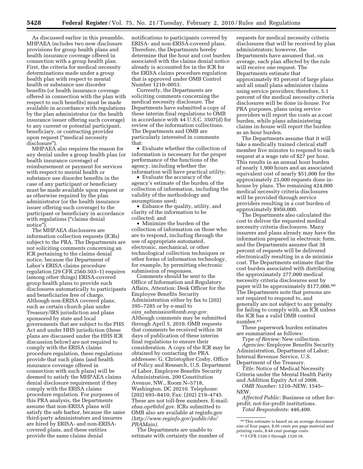As discussed earlier in this preamble, MHPAEA includes two new disclosure provisions for group health plans and health insurance coverage offered in connection with a group health plan. First, the criteria for medical necessity determinations made under a group health plan with respect to mental health or substance use disorder benefits (or health insurance coverage offered in connection with the plan with respect to such benefits) must be made available in accordance with regulations by the plan administrator (or the health insurance issuer offering such coverage) to any current or potential participant, beneficiary, or contracting provider upon request (''medical necessity disclosure'').

MHPAEA also requires the reason for any denial under a group health plan (or health insurance coverage) of reimbursement or payment for services with respect to mental health or substance use disorder benefits in the case of any participant or beneficiary must be made available upon request or as otherwise required by the plan administrator (or the health insurance issuer offering such coverage) to the participant or beneficiary in accordance with regulations ("claims denial" notice'').

The MHPAEA disclosures are information collection requests (ICRs) subject to the PRA. The Departments are not soliciting comments concerning an ICR pertaining to the claims denial notice, because the Department of Labor's ERISA claims procedure regulation (29 CFR 2560.503–1) requires (among other things) ERISA-covered group health plans to provide such disclosures automatically to participants and beneficiaries free of charge. Although non-ERISA covered plans, such as certain church plan under Treasury/IRS jurisdiction and plans sponsored by state and local governments that are subject to the PHS Act and under HHS jurisdiction (these plans are discussed under the HHS ICR discussion below) are not required to comply with the ERISA claims procedure regulation, these regulations provide that such plans (and health insurance coverage offered in connection with such plans) will be deemed to satisfy the MHPAEA claims denial disclosure requirement if they comply with the ERISA claims procedure regulation. For purposes of this PRA analysis, the Departments assume that non-ERISA plans will satisfy the safe harbor, because the same third-party administrators and insurers are hired by ERISA- and non-ERISAcovered plans, and these entities provide the same claims denial

notifications to participants covered by ERISA- and non-ERISA-covered plans. Therefore, the Departments hereby determine that the hour and cost burden associated with the claims denial notice already is accounted for in the ICR for the ERISA claims procedure regulation that is approved under OMB Control Number 1210–0053.

Currently, the Departments are soliciting comments concerning the medical necessity disclosure. The Departments have submitted a copy of these interim final regulations to OMB in accordance with 44 U.S.C. 3507(d) for review of the information collections. The Departments and OMB are particularly interested in comments that:

• Evaluate whether the collection of information is necessary for the proper performance of the functions of the agency, including whether the information will have practical utility;

• Evaluate the accuracy of the agency's estimate of the burden of the collection of information, including the validity of the methodology and assumptions used;

• Enhance the quality, utility, and clarity of the information to be collected; and

• Minimize the burden of the collection of information on those who are to respond, including through the use of appropriate automated, electronic, mechanical, or other technological collection techniques or other forms of information technology, for example, by permitting electronic submission of responses.

Comments should be sent to the Office of Information and Regulatory Affairs, Attention: Desk Officer for the Employee Benefits Security Administration either by fax to (202) 395–7285 or by e-mail to *oira*\_*submission@omb.eop.gov.*  Although comments may be submitted through April 5, 2010, OMB requests that comments be received within 30 days of publication of these interim final regulations to ensure their consideration. A copy of the ICR may be obtained by contacting the PRA addressee: G. Christopher Cosby, Office of Policy and Research, U.S. Department of Labor, Employee Benefits Security Administration, 200 Constitution Avenue, NW., Room N–5718, Washington, DC 20210. Telephone: (202) 693–8410; Fax: (202) 219–4745. These are not toll-free numbers. E-mail: *ebsa.opr@dol.gov*. ICRs submitted to OMB also are available at reginfo.gov *(http://www.reginfo.gov/public/do/ PRAMain)*.

The Departments are unable to estimate with certainty the number of

requests for medical necessity criteria disclosures that will be received by plan administrators; however, the Departments have assumed that, on average, each plan affected by the rule will receive one request. The Departments estimate that approximately 93 percent of large plans and all small plans administer claims using service providers; therefore, 5.1 percent of the medical necessity criteria disclosures will be done in-house. For PRA purposes, plans using service providers will report the costs as a cost burden, while plans administering claims in-house will report the burden as an hour burden.

The Departments assume that it will take a medically trained clerical staff member five minutes to respond to each request at a wage rate of \$27 per hour. This results in an annual hour burden of nearly 1,900 hours and an associated equivalent cost of nearly \$51,000 for the approximately 23,000 requests done inhouse by plans. The remaining 424,000 medical necessity criteria disclosures will be provided through service providers resulting in a cost burden of approximately \$950,000.

The Departments also calculated the cost to deliver the requested medical necessity criteria disclosures. Many insurers and plans already may have the information prepared in electronic form, and the Departments assume that 38 percent of requests will be delivered electronically resulting in a de minimis cost. The Departments estimate that the cost burden associated with distributing the approximately 277,000 medical necessity criteria disclosures sent by paper will be approximately \$177,000.60 The Departments note that persons are not required to respond to, and generally are not subject to any penalty for failing to comply with, an ICR unless the ICR has a valid OMB control number.61

These paperwork burden estimates are summarized as follows:

*Type of Review:* New collection. *Agencies:* Employee Benefits Security Administration, Department of Labor; Internal Revenue Service, U.S. Department of the Treasury.

*Title:* Notice of Medical Necessity Criteria under the Mental Health Parity and Addition Equity Act of 2008.

*OMB Number:* 1210–NEW; 1545– NEW.

*Affected Public:* Business or other forprofit; not-for-profit institutions. *Total Respondents:* 446,400.

 $\rm ^{60}$  This estimate is based on an average document size of four pages, \$.05 cents per page material and printing costs, \$.44 cent postage costs.

61 5 CFR 1320.1 through 1320.18.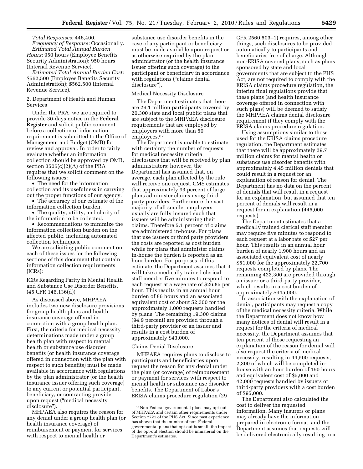*Total Responses:* 446,400. *Frequency of Response:* Occasionally. *Estimated Total Annual Burden* 

*Hours:* 950 hours (Employee Benefits Security Administration); 950 hours (Internal Revenue Service).

*Estimated Total Annual Burden Cost:*  \$562,500 (Employee Benefits Security Administration); \$562,500 (Internal Revenue Service).

#### 2. Department of Health and Human Services

Under the PRA, we are required to provide 30-days notice in the **Federal Register** and solicit public comment before a collection of information requirement is submitted to the Office of Management and Budget (OMB) for review and approval. In order to fairly evaluate whether an information collection should be approved by OMB, section 3506(c)(2)(A) of the PRA requires that we solicit comment on the following issues:

• The need for the information collection and its usefulness in carrying out the proper functions of our agency.

• The accuracy of our estimate of the information collection burden.

• The quality, utility, and clarity of the information to be collected.

• Recommendations to minimize the information collection burden on the affected public, including automated collection techniques.

We are soliciting public comment on each of these issues for the following sections of this document that contain information collection requirements (ICRs):

ICRs Regarding Parity in Mental Health and Substance Use Disorder Benefits. (45 CFR 146.136(d))

As discussed above, MHPAEA includes two new disclosure provisions for group health plans and health insurance coverage offered in connection with a group health plan. First, the criteria for medical necessity determinations made under a group health plan with respect to mental health or substance use disorder benefits (or health insurance coverage offered in connection with the plan with respect to such benefits) must be made available in accordance with regulations by the plan administrator (or the health insurance issuer offering such coverage) to any current or potential participant, beneficiary, or contracting provider upon request (''medical necessity disclosure'').

MHPAEA also requires the reason for any denial under a group health plan (or health insurance coverage) of reimbursement or payment for services with respect to mental health or

substance use disorder benefits in the case of any participant or beneficiary must be made available upon request or as otherwise required by the plan administrator (or the health insurance issuer offering such coverage) to the participant or beneficiary in accordance with regulations ("claims denial disclosure'').

### Medical Necessity Disclosure

The Department estimates that there are 29.1 million participants covered by 20,300 state and local public plans that are subject to the MHPAEA disclosure requirements that are employed by employers with more than 50 employees.62

The Department is unable to estimate with certainty the number of requests for medical necessity criteria disclosures that will be received by plan administrators; however, the Department has assumed that, on average, each plan affected by the rule will receive one request. CMS estimates that approximately 93 percent of large plans administer claims using third party providers. Furthermore the vast majority of all smaller employers usually are fully insured such that issuers will be administering their claims. Therefore 5.1 percent of claims are administered in-house. For plans that use issuers or third party providers the costs are reported as cost burden while for plans that administer claims in-house the burden is reported as an hour burden. For purposes of this estimate, the Department assumes that it will take a medically trained clerical staff member five minutes to respond to each request at a wage rate of \$26.85 per hour. This results in an annual hour burden of 86 hours and an associated equivalent cost of about \$2,300 for the approximately 1,000 requests handled by plans. The remaining 19,300 claims (94.9 percent) are provided through a third-party provider or an issuer and results in a cost burden of approximately \$43,000.

#### Claims Denial Disclosure

MHPAEA requires plans to disclose to participants and beneficiaries upon request the reason for any denial under the plan (or coverage) of reimbursement or payment for services with respect to mental health or substance use disorder benefits. The Department of Labor's ERISA claims procedure regulation (29

CFR 2560.503–1) requires, among other things, such disclosures to be provided automatically to participants and beneficiaries free of charge. Although non-ERISA covered plans, such as plans sponsored by state and local governments that are subject to the PHS Act, are not required to comply with the ERISA claims procedure regulation, the interim final regulations provide that these plans (and health insurance coverage offered in connection with such plans) will be deemed to satisfy the MHPAEA claims denial disclosure requirement if they comply with the ERISA claims procedure regulation.

Using assumptions similar to those used for the ERISA claims procedure regulation, the Department estimates that there will be approximately 29.7 million claims for mental health or substance use disorder benefits with approximately 4.45 million denials that could result in a request for an explanation of reason for denial. The Department has no data on the percent of denials that will result in a request for an explanation, but assumed that ten percent of denials will result in a request for an explanation (445,000 requests).

The Department estimates that a medically trained clerical staff member may require five minutes to respond to each request at a labor rate of \$27 per hour. This results in an annual hour burden of nearly 1,900 hours and an associated equivalent cost of nearly \$51,000 for the approximately 22,700 requests completed by plans. The remaining 422,300 are provided through an issuer or a third-party provider, which results in a cost burden of approximately \$945,000.

In association with the explanation of denial, participants may request a copy of the medical necessity criteria. While the Department does not know how many notices of denial will result in a request for the criteria of medical necessity, the Department assumes that ten percent of those requesting an explanation of the reason for denial will also request the criteria of medical necessity, resulting in 44,500 requests, 2,300 of which will be completed inhouse with an hour burden of 190 hours and equivalent cost of \$5,000 and 42,000 requests handled by issuers or third-party providers with a cost burden of \$95,000.

The Department also calculated the cost to deliver the requested information. Many insurers or plans may already have the information prepared in electronic format, and the Department assumes that requests will be delivered electronically resulting in a

<sup>62</sup>Non-Federal governmental plans may opt-out of MHPAEA and certain other requirements under Section 2721 of the PHS Act. Since past experience has shown that the number of non-Federal governmental plans that opt-out is small, the impact of the opt-out election should be immaterial on the Department's estimates.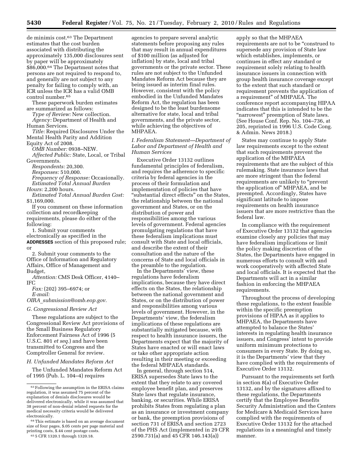de minimis cost.63 The Department estimates that the cost burden associated with distributing the approximately 135,000 disclosures sent by paper will be approximately \$86,000.64 The Department notes that persons are not required to respond to, and generally are not subject to any penalty for failing to comply with, an ICR unless the ICR has a valid OMB control number.65

These paperwork burden estimates are summarized as follows:

*Type of Review:* New collection. *Agency:* Department of Health and Human Services.

*Title:* Required Disclosures Under the Mental Health Parity and Addition

Equity Act of 2008.

*OMB Number:* 0938–NEW. *Affected Public:* State, Local, or Tribal Governments.

*Respondents:* 20,300.

*Responses:* 510,000.

*Frequency of Response:* Occasionally. *Estimated Total Annual Burden* 

*Hours:* 2,200 hours.

*Estimated Total Annual Burden Cost:*  \$1,169,000.

If you comment on these information collection and recordkeeping requirements, please do either of the following:

1. Submit your comments electronically as specified in the **ADDRESSES** section of this proposed rule; or

2. Submit your comments to the Office of Information and Regulatory Affairs, Office of Management and Budget,

*Attention:* CMS Desk Officer, 4140– IFC

*Fax:* (202) 395–6974; or *E-mail:* 

*OIRA*\_*submission@omb.eop.gov.* 

*G. Congressional Review Act* 

These regulations are subject to the Congressional Review Act provisions of the Small Business Regulatory Enforcement Fairness Act of 1996 (5 U.S.C. 801 *et seq.*) and have been transmitted to Congress and the Comptroller General for review.

*H. Unfunded Mandates Reform Act* 

The Unfunded Mandates Reform Act of 1995 (Pub. L. 104–4) requires

agencies to prepare several analytic statements before proposing any rules that may result in annual expenditures of \$100 million (as adjusted for inflation) by state, local and tribal governments or the private sector. These rules are not subject to the Unfunded Mandates Reform Act because they are being issued as interim final rules. However, consistent with the policy embodied in the Unfunded Mandates Reform Act, the regulation has been designed to be the least burdensome alternative for state, local and tribal governments, and the private sector, while achieving the objectives of MHPAEA.

*I. Federalism Statement—Department of Labor and Department of Health and Human Services* 

Executive Order 13132 outlines fundamental principles of federalism, and requires the adherence to specific criteria by federal agencies in the process of their formulation and implementation of policies that have ''substantial direct effects'' on the States, the relationship between the national government and States, or on the distribution of power and responsibilities among the various levels of government. Federal agencies promulgating regulations that have these federalism implications must consult with State and local officials, and describe the extent of their consultation and the nature of the concerns of State and local officials in the preamble to the regulation.

In the Departments' view, these regulations have federalism implications, because they have direct effects on the States, the relationship between the national government and States, or on the distribution of power and responsibilities among various levels of government. However, in the Departments' view, the federalism implications of these regulations are substantially mitigated because, with respect to health insurance issuers, the Departments expect that the majority of States have enacted or will enact laws or take other appropriate action resulting in their meeting or exceeding the federal MHPAEA standards.

In general, through section 514, ERISA supersedes State laws to the extent that they relate to any covered employee benefit plan, and preserves State laws that regulate insurance, banking, or securities. While ERISA prohibits States from regulating a plan as an insurance or investment company or bank, the preemption provisions of section 731 of ERISA and section 2723 of the PHS Act (implemented in 29 CFR 2590.731(a) and 45 CFR 146.143(a))

apply so that the MHPAEA requirements are not to be ''construed to supersede any provision of State law which establishes, implements, or continues in effect any standard or requirement solely relating to health insurance issuers in connection with group health insurance coverage except to the extent that such standard or requirement prevents the application of a requirement'' of MHPAEA. The conference report accompanying HIPAA indicates that this is intended to be the "narrowest" preemption of State laws. (See House Conf. Rep. No. 104–736, at 205, reprinted in 1996 U.S. Code Cong. & Admin. News 2018.)

States may continue to apply State law requirements except to the extent that such requirements prevent the application of the MHPAEA requirements that are the subject of this rulemaking. State insurance laws that are more stringent than the federal requirements are unlikely to "prevent the application of'' MHPAEA, and be preempted. Accordingly, States have significant latitude to impose requirements on health insurance issuers that are more restrictive than the federal law.

In compliance with the requirement of Executive Order 13132 that agencies examine closely any policies that may have federalism implications or limit the policy making discretion of the States, the Departments have engaged in numerous efforts to consult with and work cooperatively with affected State and local officials. It is expected that the Departments will act in a similar fashion in enforcing the MHPAEA requirements.

Throughout the process of developing these regulations, to the extent feasible within the specific preemption provisions of HIPAA as it applies to MHPAEA, the Departments have attempted to balance the States' interests in regulating health insurance issuers, and Congress' intent to provide uniform minimum protections to consumers in every State. By doing so, it is the Departments' view that they have complied with the requirements of Executive Order 13132.

Pursuant to the requirements set forth in section 8(a) of Executive Order 13132, and by the signatures affixed to these regulations, the Departments certify that the Employee Benefits Security Administration and the Centers for Medicare & Medicaid Services have complied with the requirements of Executive Order 13132 for the attached regulations in a meaningful and timely manner.

<sup>63</sup>Following the assumption in the ERISA claims regulation, it was assumed 75 percent of the explanation of denials disclosures would be delivered electronically, while it was assumed that 38 percent of non-denial related requests for the medical necessity criteria would be delivered electronically.

<sup>64</sup>This estimate is based on an average document size of four pages, \$.05 cents per page material and printing costs, \$.44 cent postage costs. 65 5 CFR 1320.1 through 1320.18.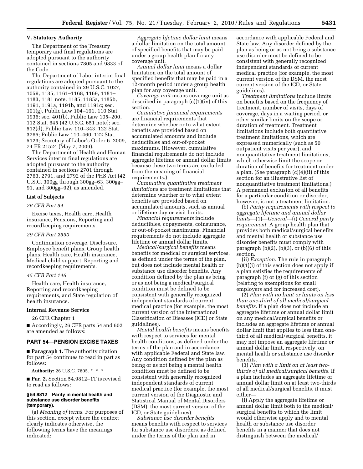## **V. Statutory Authority**

The Department of the Treasury temporary and final regulations are adopted pursuant to the authority contained in sections 7805 and 9833 of the Code.

The Department of Labor interim final regulations are adopted pursuant to the authority contained in 29 U.S.C. 1027, 1059, 1135, 1161–1168, 1169, 1181– 1183, 1181 note, 1185, 1185a, 1185b, 1191, 1191a, 1191b, and 1191c; sec. 101(g), Public Law 104–191, 110 Stat. 1936; sec. 401(b), Public Law 105–200, 112 Stat. 645 (42 U.S.C. 651 note); sec. 512(d), Public Law 110–343, 122 Stat. 3765; Public Law 110–460, 122 Stat. 5123; Secretary of Labor's Order 6–2009, 74 FR 21524 (May 7, 2009).

The Department of Health and Human Services interim final regulations are adopted pursuant to the authority contained in sections 2701 through 2763, 2791, and 2792 of the PHS Act (42 U.S.C. 300gg through 300gg–63, 300gg– 91, and 300gg–92), as amended.

## **List of Subjects**

### *26 CFR Part 54*

Excise taxes, Health care, Health insurance, Pensions, Reporting and recordkeeping requirements.

#### *29 CFR Part 2590*

Continuation coverage, Disclosure, Employee benefit plans, Group health plans, Health care, Health insurance, Medical child support, Reporting and recordkeeping requirements.

#### *45 CFR Part 146*

Health care, Health insurance, Reporting and recordkeeping requirements, and State regulation of health insurance.

## **Internal Revenue Service**

26 CFR Chapter 1

■ Accordingly, 26 CFR parts 54 and 602 are amended as follows:

## **PART 54—PENSION EXCISE TAXES**

■ **Paragraph 1.** The authority citation for part 54 continues to read in part as follows:

**Authority:** 26 U.S.C. 7805. \* \* \*

■ **Par. 2.** Section 54.9812–1T is revised to read as follows:

#### **§ 54.9812 Parity in mental health and substance use disorder benefits (temporary).**

(a) *Meaning of terms.* For purposes of this section, except where the context clearly indicates otherwise, the following terms have the meanings indicated:

*Aggregate lifetime dollar limit* means a dollar limitation on the total amount of specified benefits that may be paid under a group health plan for any coverage unit.

*Annual dollar limit* means a dollar limitation on the total amount of specified benefits that may be paid in a 12-month period under a group health plan for any coverage unit.

*Coverage unit* means coverage unit as described in paragraph (c)(1)(iv) of this section.

*Cumulative financial requirements*  are financial requirements that determine whether or to what extent benefits are provided based on accumulated amounts and include deductibles and out-of-pocket maximums. (However, cumulative financial requirements do not include aggregate lifetime or annual dollar limits because these two terms are excluded from the meaning of financial requirements.)

*Cumulative quantitative treatment limitations* are treatment limitations that determine whether or to what extent benefits are provided based on accumulated amounts, such as annual or lifetime day or visit limits.

*Financial requirements* include deductibles, copayments, coinsurance, or out-of-pocket maximums. Financial requirements do not include aggregate lifetime or annual dollar limits.

*Medical/surgical benefits* means benefits for medical or surgical services, as defined under the terms of the plan, but does not include mental health or substance use disorder benefits. Any condition defined by the plan as being or as not being a medical/surgical condition must be defined to be consistent with generally recognized independent standards of current medical practice (for example, the most current version of the International Classification of Diseases (ICD) or State guidelines).

*Mental health benefits* means benefits with respect to services for mental health conditions, as defined under the terms of the plan and in accordance with applicable Federal and State law. Any condition defined by the plan as being or as not being a mental health condition must be defined to be consistent with generally recognized independent standards of current medical practice (for example, the most current version of the Diagnostic and Statistical Manual of Mental Disorders (DSM), the most current version of the ICD, or State guidelines).

*Substance use disorder benefits*  means benefits with respect to services for substance use disorders, as defined under the terms of the plan and in

accordance with applicable Federal and State law. Any disorder defined by the plan as being or as not being a substance use disorder must be defined to be consistent with generally recognized independent standards of current medical practice (for example, the most current version of the DSM, the most current version of the ICD, or State guidelines).

*Treatment limitations* include limits on benefits based on the frequency of treatment, number of visits, days of coverage, days in a waiting period, or other similar limits on the scope or duration of treatment. Treatment limitations include both quantitative treatment limitations, which are expressed numerically (such as 50 outpatient visits per year), and nonquantitative treatment limitations, which otherwise limit the scope or duration of benefits for treatment under a plan. (See paragraph (c)(4)(ii) of this section for an illustrative list of nonquantitative treatment limitations.) A permanent exclusion of all benefits for a particular condition or disorder, however, is not a treatment limitation.

(b) *Parity requirements with respect to aggregate lifetime and annual dollar limits*—(1)—*General*—(i) *General parity requirement.* A group health plan that provides both medical/surgical benefits and mental health or substance use disorder benefits must comply with paragraph  $(b)(2)$ ,  $(b)(3)$ , or  $(b)(6)$  of this section.

(ii) *Exception.* The rule in paragraph (b)(1)(i) of this section does not apply if a plan satisfies the requirements of paragraph (f) or (g) of this section (relating to exemptions for small employers and for increased cost).

(2) *Plan with no limit or limits on less than one-third of all medical/surgical benefits.* If a plan does not include an aggregate lifetime or annual dollar limit on any medical/surgical benefits or includes an aggregate lifetime or annual dollar limit that applies to less than onethird of all medical/surgical benefits, it may not impose an aggregate lifetime or annual dollar limit, respectively, on mental health or substance use disorder benefits.

(3) *Plan with a limit on at least twothirds of all medical/surgical benefits.* If a plan includes an aggregate lifetime or annual dollar limit on at least two-thirds of all medical/surgical benefits, it must either—

(i) Apply the aggregate lifetime or annual dollar limit both to the medical/ surgical benefits to which the limit would otherwise apply and to mental health or substance use disorder benefits in a manner that does not distinguish between the medical/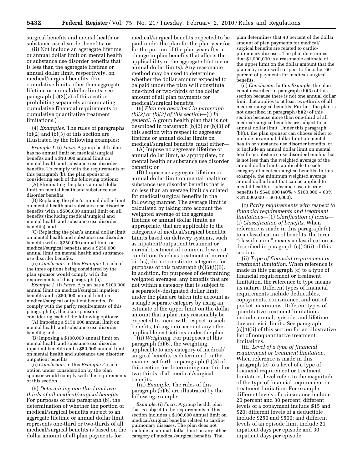surgical benefits and mental health or substance use disorder benefits; or

(ii) Not include an aggregate lifetime or annual dollar limit on mental health or substance use disorder benefits that is less than the aggregate lifetime or annual dollar limit, respectively, on medical/surgical benefits. (For cumulative limits other than aggregate lifetime or annual dollar limits, see paragraph  $(c)(3)(v)$  of this section prohibiting separately accumulating cumulative financial requirements or cumulative quantitative treatment limitations.)

(4) *Examples.* The rules of paragraphs (b)(2) and (b)(3) of this section are illustrated by the following examples:

*Example 1.* (i) *Facts.* A group health plan has no annual limit on medical/surgical benefits and a \$10,000 annual limit on mental health and substance use disorder benefits. To comply with the requirements of this paragraph (b), the plan sponsor is considering each of the following options:

(A) Eliminating the plan's annual dollar limit on mental health and substance use disorder benefits;

(B) Replacing the plan's annual dollar limit on mental health and substance use disorder benefits with a \$500,000 annual limit on all benefits (including medical/surgical and mental health and substance use disorder benefits); and

(C) Replacing the plan's annual dollar limit on mental health and substance use disorder benefits with a \$250,000 annual limit on medical/surgical benefits and a \$250,000 annual limit on mental health and substance use disorder benefits.

(ii) *Conclusion.* In this *Example 1,* each of the three options being considered by the plan sponsor would comply with the requirements of this paragraph (b).

*Example 2.* (i) *Facts.* A plan has a \$100,000 annual limit on medical/surgical inpatient benefits and a \$50,000 annual limit on medical/surgical outpatient benefits. To comply with the parity requirements of this paragraph (b), the plan sponsor is considering each of the following options:

(A) Imposing a \$150,000 annual limit on mental health and substance use disorder benefits; and

(B) Imposing a \$100,000 annual limit on mental health and substance use disorder inpatient benefits and a \$50,000 annual limit on mental health and substance use disorder outpatient benefits.

(ii) *Conclusion.* In this *Example 2,* each option under consideration by the plan sponsor would comply with the requirements of this section.

(5) *Determining one-third and twothirds of all medical/surgical benefits.*  For purposes of this paragraph (b), the determination of whether the portion of medical/surgical benefits subject to an aggregate lifetime or annual dollar limit represents one-third or two-thirds of all medical/surgical benefits is based on the dollar amount of all plan payments for

medical/surgical benefits expected to be paid under the plan for the plan year (or for the portion of the plan year after a change in plan benefits that affects the applicability of the aggregate lifetime or annual dollar limits). Any reasonable method may be used to determine whether the dollar amount expected to be paid under the plan will constitute one-third or two-thirds of the dollar amount of all plan payments for medical/surgical benefits.

(6) *Plan not described in paragraph (b)(2) or (b)(3) of this section*—(i) *In general.* A group health plan that is not described in paragraph (b)(2) or (b)(3) of this section with respect to aggregate lifetime or annual dollar limits on medical/surgical benefits, must either—

(A) Impose no aggregate lifetime or annual dollar limit, as appropriate, on mental health or substance use disorder benefits; or

(B) Impose an aggregate lifetime or annual dollar limit on mental health or substance use disorder benefits that is no less than an average limit calculated for medical/surgical benefits in the following manner. The average limit is calculated by taking into account the weighted average of the aggregate lifetime or annual dollar limits, as appropriate, that are applicable to the categories of medical/surgical benefits. Limits based on delivery systems, such as inpatient/outpatient treatment or normal treatment of common, low-cost conditions (such as treatment of normal births), do not constitute categories for purposes of this paragraph (b)(6)(i)(B). In addition, for purposes of determining weighted averages, any benefits that are not within a category that is subject to a separately-designated dollar limit under the plan are taken into account as a single separate category by using an estimate of the upper limit on the dollar amount that a plan may reasonably be expected to incur with respect to such benefits, taking into account any other applicable restrictions under the plan.

(ii) *Weighting.* For purposes of this paragraph (b)(6), the weighting applicable to any category of medical/ surgical benefits is determined in the manner set forth in paragraph (b)(5) of this section for determining one-third or two-thirds of all medical/surgical benefits.

(iii) *Example.* The rules of this paragraph (b)(6) are illustrated by the following example:

*Example.* (i) *Facts.* A group health plan that is subject to the requirements of this section includes a \$100,000 annual limit on medical/surgical benefits related to cardiopulmonary diseases. The plan does not include an annual dollar limit on any other category of medical/surgical benefits. The

plan determines that 40 percent of the dollar amount of plan payments for medical/ surgical benefits are related to cardiopulmonary diseases. The plan determines that \$1,000,000 is a reasonable estimate of the upper limit on the dollar amount that the plan may incur with respect to the other 60 percent of payments for medical/surgical benefits.

(ii) *Conclusion.* In this *Example,* the plan is not described in paragraph  $(\bar{b})(3)$  of this section because there is not one annual dollar limit that applies to at least two-thirds of all medical/surgical benefits. Further, the plan is not described in paragraph (b)(2) of this section because more than one-third of all medical/surgical benefits are subject to an annual dollar limit. Under this paragraph (b)(6), the plan sponsor can choose either to include no annual dollar limit on mental health or substance use disorder benefits, or to include an annual dollar limit on mental health or substance use disorder benefits that is not less than the weighted average of the annual dollar limits applicable to each category of medical/surgical benefits. In this example, the minimum weighted average annual dollar limit that can be applied to mental health or substance use disorder benefits is \$640,000 (40% × \$100,000 + 60%  $\times$  \$1,000,000 = \$640,000).

(c) *Parity requirements with respect to financial requirements and treatment limitations*—(1) *Clarification of terms*— (i) *Classification of benefits.* When reference is made in this paragraph (c) to a classification of benefits, the term ''classification'' means a classification as described in paragraph (c)(2)(ii) of this section.

(ii) *Type of financial requirement or treatment limitation.* When reference is made in this paragraph (c) to a type of financial requirement or treatment limitation, the reference to type means its nature. Different types of financial requirements include deductibles, copayments, coinsurance, and out-ofpocket maximums. Different types of quantitative treatment limitations include annual, episode, and lifetime day and visit limits. See paragraph (c)(4)(ii) of this section for an illustrative list of nonquantitative treatment limitations.

(iii) *Level of a type of financial requirement or treatment limitation.*  When reference is made in this paragraph (c) to a level of a type of financial requirement or treatment limitation, level refers to the magnitude of the type of financial requirement or treatment limitation. For example, different levels of coinsurance include 20 percent and 30 percent; different levels of a copayment include \$15 and \$20; different levels of a deductible include \$250 and \$500; and different levels of an episode limit include 21 inpatient days per episode and 30 inpatient days per episode.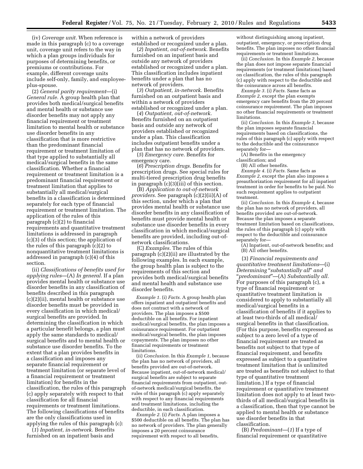(iv) *Coverage unit.* When reference is made in this paragraph (c) to a coverage unit, coverage unit refers to the way in which a plan groups individuals for purposes of determining benefits, or premiums or contributions. For example, different coverage units include self-only, family, and employeeplus-spouse.

(2) *General parity requirement*—(i) *General rule.* A group health plan that provides both medical/surgical benefits and mental health or substance use disorder benefits may not apply any financial requirement or treatment limitation to mental health or substance use disorder benefits in any classification that is more restrictive than the predominant financial requirement or treatment limitation of that type applied to substantially all medical/surgical benefits in the same classification. Whether a financial requirement or treatment limitation is a predominant financial requirement or treatment limitation that applies to substantially all medical/surgical benefits in a classification is determined separately for each type of financial requirement or treatment limitation. The application of the rules of this paragraph (c)(2) to financial requirements and quantitative treatment limitations is addressed in paragraph (c)(3) of this section; the application of the rules of this paragraph (c)(2) to nonquantitative treatment limitations is addressed in paragraph (c)(4) of this section.

(ii) *Classifications of benefits used for applying rules*—(A) *In general.* If a plan provides mental health or substance use disorder benefits in any classification of benefits described in this paragraph (c)(2)(ii), mental health or substance use disorder benefits must be provided in every classification in which medical/ surgical benefits are provided. In determining the classification in which a particular benefit belongs, a plan must apply the same standards to medical/ surgical benefits and to mental health or substance use disorder benefits. To the extent that a plan provides benefits in a classification and imposes any separate financial requirement or treatment limitation (or separate level of a financial requirement or treatment limitation) for benefits in the classification, the rules of this paragraph (c) apply separately with respect to that classification for all financial requirements or treatment limitations. The following classifications of benefits are the only classifications used in applying the rules of this paragraph (c):

(*1*) *Inpatient, in-network.* Benefits furnished on an inpatient basis and

within a network of providers established or recognized under a plan.

(*2*) *Inpatient, out-of-network.* Benefits furnished on an inpatient basis and outside any network of providers established or recognized under a plan. This classification includes inpatient benefits under a plan that has no network of providers.

(*3*) *Outpatient, in-network.* Benefits furnished on an outpatient basis and within a network of providers established or recognized under a plan.

(*4*) *Outpatient, out-of-network.*  Benefits furnished on an outpatient basis and outside any network of providers established or recognized under a plan. This classification includes outpatient benefits under a plan that has no network of providers.

(*5*) *Emergency care.* Benefits for emergency care.

(*6*) *Prescription drugs.* Benefits for prescription drugs. See special rules for multi-tiered prescription drug benefits in paragraph (c)(3)(iii) of this section.

(B) *Application to out-of-network providers.* See paragraph (c)(2)(ii)(A) of this section, under which a plan that provides mental health or substance use disorder benefits in any classification of benefits must provide mental health or substance use disorder benefits in every classification in which medical/surgical benefits are provided, including out-ofnetwork classifications.

(C) *Examples.* The rules of this paragraph (c)(2)(ii) are illustrated by the following examples. In each example, the group health plan is subject to the requirements of this section and provides both medical/surgical benefits and mental health and substance use disorder benefits.

*Example 1.* (i) *Facts.* A group health plan offers inpatient and outpatient benefits and does not contract with a network of providers. The plan imposes a \$500 deductible on all benefits. For inpatient medical/surgical benefits, the plan imposes a coinsurance requirement. For outpatient medical/surgical benefits, the plan imposes copayments. The plan imposes no other financial requirements or treatment limitations.

(ii) *Conclusion.* In this *Example 1,* because the plan has no network of providers, all benefits provided are out-of-network. Because inpatient, out-of-network medical/ surgical benefits are subject to separate financial requirements from outpatient, outof-network medical/surgical benefits, the rules of this paragraph (c) apply separately with respect to any financial requirements and treatment limitations, including the deductible, in each classification.

*Example 2.* (i) *Facts.* A plan imposes a \$500 deductible on all benefits. The plan has no network of providers. The plan generally imposes a 20 percent coinsurance requirement with respect to all benefits,

without distinguishing among inpatient, outpatient, emergency, or prescription drug benefits. The plan imposes no other financial requirements or treatment limitations.

(ii) *Conclusion.* In this *Example 2,* because the plan does not impose separate financial requirements (or treatment limitations) based on classification, the rules of this paragraph (c) apply with respect to the deductible and the coinsurance across all benefits.

*Example 3.* (i) *Facts.* Same facts as *Example 2,* except the plan exempts emergency care benefits from the 20 percent coinsurance requirement. The plan imposes no other financial requirements or treatment limitations.

(ii) *Conclusion.* In this *Example 3,* because the plan imposes separate financial requirements based on classifications, the rules of this paragraph (c) apply with respect to the deductible and the coinsurance separately for—

(A) Benefits in the emergency classification; and

(B) All other benefits.

*Example 4.* (i) *Facts.* Same facts as *Example 2,* except the plan also imposes a preauthorization requirement for all inpatient treatment in order for benefits to be paid. No such requirement applies to outpatient treatment.

(ii) *Conclusion.* In this *Example 4,* because the plan has no network of providers, all benefits provided are out-of-network. Because the plan imposes a separate treatment limitation based on classifications, the rules of this paragraph (c) apply with respect to the deductible and coinsurance separately for—

(A) Inpatient, out-of-network benefits; and (B) All other benefits.

(3) *Financial requirements and quantitative treatment limitations*—(i) *Determining* ''*substantially all*'' *and*  ''*predominant*''—(A) *Substantially all.*  For purposes of this paragraph (c), a type of financial requirement or quantitative treatment limitation is considered to apply to substantially all medical/surgical benefits in a classification of benefits if it applies to at least two-thirds of all medical/ surgical benefits in that classification. (For this purpose, benefits expressed as subject to a zero level of a type of financial requirement are treated as benefits not subject to that type of financial requirement, and benefits expressed as subject to a quantitative treatment limitation that is unlimited are treated as benefits not subject to that type of quantitative treatment limitation.) If a type of financial requirement or quantitative treatment limitation does not apply to at least twothirds of all medical/surgical benefits in a classification, then that type cannot be applied to mental health or substance use disorder benefits in that classification.

(B) *Predominant*—(*1*) If a type of financial requirement or quantitative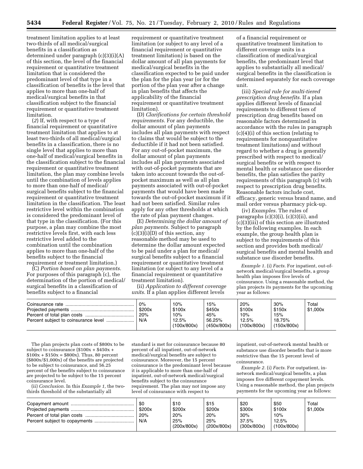**5434 Federal Register** / Vol. 75, No. 21 / Tuesday, February 2, 2010 / Rules and Regulations

treatment limitation applies to at least two-thirds of all medical/surgical benefits in a classification as determined under paragraph (c)(3)(i)(A) of this section, the level of the financial requirement or quantitative treatment limitation that is considered the predominant level of that type in a classification of benefits is the level that applies to more than one-half of medical/surgical benefits in that classification subject to the financial requirement or quantitative treatment limitation.

(*2*) If, with respect to a type of financial requirement or quantitative treatment limitation that applies to at least two-thirds of all medical/surgical benefits in a classification, there is no single level that applies to more than one-half of medical/surgical benefits in the classification subject to the financial requirement or quantitative treatment limitation, the plan may combine levels until the combination of levels applies to more than one-half of medical/ surgical benefits subject to the financial requirement or quantitative treatment limitation in the classification. The least restrictive level within the combination is considered the predominant level of that type in the classification. (For this purpose, a plan may combine the most restrictive levels first, with each less restrictive level added to the combination until the combination applies to more than one-half of the benefits subject to the financial requirement or treatment limitation.)

(C) *Portion based on plan payments.*  For purposes of this paragraph (c), the determination of the portion of medical/ surgical benefits in a classification of benefits subject to a financial

requirement or quantitative treatment limitation (or subject to any level of a financial requirement or quantitative treatment limitation) is based on the dollar amount of all plan payments for medical/surgical benefits in the classification expected to be paid under the plan for the plan year (or for the portion of the plan year after a change in plan benefits that affects the applicability of the financial requirement or quantitative treatment limitation).

(D) *Clarifications for certain threshold requirements.* For any deductible, the dollar amount of plan payments includes all plan payments with respect to claims that would be subject to the deductible if it had not been satisfied. For any out-of-pocket maximum, the dollar amount of plan payments includes all plan payments associated with out-of-pocket payments that are taken into account towards the out-ofpocket maximum as well as all plan payments associated with out-of-pocket payments that would have been made towards the out-of-pocket maximum if it had not been satisfied. Similar rules apply for any other thresholds at which the rate of plan payment changes.

(E) *Determining the dollar amount of plan payments.* Subject to paragraph  $(c)(3)(i)(D)$  of this section, any reasonable method may be used to determine the dollar amount expected to be paid under a plan for medical/ surgical benefits subject to a financial requirement or quantitative treatment limitation (or subject to any level of a financial requirement or quantitative treatment limitation).

(ii) *Application to different coverage units.* If a plan applies different levels

of a financial requirement or quantitative treatment limitation to different coverage units in a classification of medical/surgical benefits, the predominant level that applies to substantially all medical/ surgical benefits in the classification is determined separately for each coverage unit.

(iii) *Special rule for multi-tiered prescription drug benefits.* If a plan applies different levels of financial requirements to different tiers of prescription drug benefits based on reasonable factors determined in accordance with the rules in paragraph (c)(4)(i) of this section (relating to requirements for nonquantitative treatment limitations) and without regard to whether a drug is generally prescribed with respect to medical/ surgical benefits or with respect to mental health or substance use disorder benefits, the plan satisfies the parity requirements of this paragraph (c) with respect to prescription drug benefits. Reasonable factors include cost, efficacy, generic versus brand name, and mail order versus pharmacy pick-up.

(iv) *Examples.* The rules of paragraphs  $(c)(3)(i)$ ,  $(c)(3)(ii)$ , and  $(c)(3)$ (iii) of this section are illustrated by the following examples. In each example, the group health plan is subject to the requirements of this section and provides both medical/ surgical benefits and mental health and substance use disorder benefits.

*Example 1.* (i) *Facts.* For inpatient, out-ofnetwork medical/surgical benefits, a group health plan imposes five levels of coinsurance. Using a reasonable method, the plan projects its payments for the upcoming year as follows:

| 0%<br>\$200x<br>20%<br>N/A | 10%<br>\$100x<br>10%<br>12.5%<br>(100x/800x) | 15%<br>\$450x<br>45%<br>56.25%<br>(450x/800x) | 20%<br>\$100x<br>10%<br>12.5%<br>(100x/800x) | 30%<br>\$150x<br>15%<br>18.75%<br>(150x/800x) | Total<br>\$1,000x |
|----------------------------|----------------------------------------------|-----------------------------------------------|----------------------------------------------|-----------------------------------------------|-------------------|
|                            |                                              |                                               |                                              |                                               |                   |

The plan projects plan costs of \$800x to be subject to coinsurance  $(\$100x + \$450x +$  $$100x + $150x = $800x$ . Thus, 80 percent (\$800x/\$1,000x) of the benefits are projected to be subject to coinsurance, and 56.25 percent of the benefits subject to coinsurance are projected to be subject to the 15 percent coinsurance level.

(ii) *Conclusion.* In this *Example 1,* the twothirds threshold of the substantially all

standard is met for coinsurance because 80 percent of all inpatient, out-of-network medical/surgical benefits are subject to coinsurance. Moreover, the 15 percent coinsurance is the predominant level because it is applicable to more than one-half of inpatient, out-of-network medical/surgical benefits subject to the coinsurance requirement. The plan may not impose any level of coinsurance with respect to

inpatient, out-of-network mental health or substance use disorder benefits that is more restrictive than the 15 percent level of coinsurance.

*Example 2.* (i) *Facts.* For outpatient, innetwork medical/surgical benefits, a plan imposes five different copayment levels. Using a reasonable method, the plan projects payments for the upcoming year as follows:

|  | \$0<br>\$200x<br>20%<br>N/A | \$10<br>\$200x<br>20%<br>25%<br>(200x/800x) | \$15<br>\$200x<br>20%<br>25%<br>(200x/800x) | \$20<br>\$300x<br>30%<br>37.5%<br>(300x/800x) | \$50<br>\$100x<br>10%<br>12.5%<br>(100x/800x) | Total<br>\$1.000x |
|--|-----------------------------|---------------------------------------------|---------------------------------------------|-----------------------------------------------|-----------------------------------------------|-------------------|
|--|-----------------------------|---------------------------------------------|---------------------------------------------|-----------------------------------------------|-----------------------------------------------|-------------------|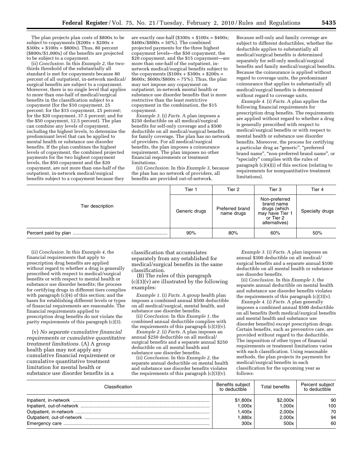The plan projects plan costs of \$800x to be subject to copayments (\$200x + \$200x +  $$300x + $100x = $800x$ . Thus, 80 percent (\$800x/\$1,000x) of the benefits are projected to be subject to a copayment.

(ii) *Conclusion.* In this *Example 2,* the twothirds threshold of the substantially all standard is met for copayments because 80 percent of all outpatient, in-network medical/ surgical benefits are subject to a copayment. Moreover, there is no single level that applies to more than one-half of medical/surgical benefits in the classification subject to a copayment (for the \$10 copayment, 25 percent; for the \$15 copayment, 25 percent; for the \$20 copayment, 37.5 percent; and for the \$50 copayment, 12.5 percent). The plan can combine any levels of copayment, including the highest levels, to determine the predominant level that can be applied to mental health or substance use disorder benefits. If the plan combines the highest levels of copayment, the combined projected payments for the two highest copayment levels, the \$50 copayment and the \$20 copayment, are not more than one-half of the outpatient, in-network medical/surgical benefits subject to a copayment because they

are exactly one-half  $(\$300x + \$100x = \$400x;$  $$400x$ /\$800 $x = 50\%$ ). The combined projected payments for the three highest copayment levels—the \$50 copayment, the \$20 copayment, and the \$15 copayment—are more than one-half of the outpatient, innetwork medical/surgical benefits subject to the copayments  $(\$100x + \$300x + \$200x =$  $$600x; $600x/$800x = 75\%$ . Thus, the plan may not impose any copayment on outpatient, in-network mental health or substance use disorder benefits that is more restrictive than the least restrictive copayment in the combination, the \$15 copayment.

*Example 3.* (i) *Facts.* A plan imposes a \$250 deductible on all medical/surgical benefits for self-only coverage and a \$500 deductible on all medical/surgical benefits for family coverage. The plan has no network of providers. For all medical/surgical benefits, the plan imposes a coinsurance requirement. The plan imposes no other financial requirements or treatment limitations.

(ii) *Conclusion.* In this *Example 3,* because the plan has no network of providers, all benefits are provided out-of-network.

Because self-only and family coverage are subject to different deductibles, whether the deductible applies to substantially all medical/surgical benefits is determined separately for self-only medical/surgical benefits and family medical/surgical benefits. Because the coinsurance is applied without regard to coverage units, the predominant coinsurance that applies to substantially all medical/surgical benefits is determined without regard to coverage units.

*Example 4.* (i) *Facts.* A plan applies the following financial requirements for prescription drug benefits. The requirements are applied without regard to whether a drug is generally prescribed with respect to medical/surgical benefits or with respect to mental health or substance use disorder benefits. Moreover, the process for certifying a particular drug as ''generic'', ''preferred brand name'', ''non-preferred brand name'', or ''specialty'' complies with the rules of paragraph  $(c)(4)(i)$  of this section (relating to requirements for nonquantitative treatment limitations).

|                  | Tier 1        | Tier 2                        | Tier 3                                                                                       | Tier 4          |
|------------------|---------------|-------------------------------|----------------------------------------------------------------------------------------------|-----------------|
| Tier description | Generic drugs | Preferred brand<br>name drugs | Non-preferred<br>brand name<br>drugs (which<br>may have Tier 1<br>or Tier 2<br>alternatives) | Specialty drugs |
|                  | 90%           | 80%                           | 60%                                                                                          | 50%             |

(ii) *Conclusion.* In this *Example 4,* the financial requirements that apply to prescription drug benefits are applied without regard to whether a drug is generally prescribed with respect to medical/surgical benefits or with respect to mental health or substance use disorder benefits; the process for certifying drugs in different tiers complies with paragraph  $(c)(4)$  of this section; and the bases for establishing different levels or types of financial requirements are reasonable. The financial requirements applied to prescription drug benefits do not violate the parity requirements of this paragraph (c)(3).

(v) *No separate cumulative financial requirements or cumulative quantitative treatment limitations.* (A) A group health plan may not apply any cumulative financial requirement or cumulative quantitative treatment limitation for mental health or substance use disorder benefits in a

classification that accumulates separately from any established for medical/surgical benefits in the same classification.

(B) The rules of this paragraph  $(c)(3)(v)$  are illustrated by the following examples:

*Example 1.* (i) *Facts.* A group health plan imposes a combined annual \$500 deductible on all medical/surgical, mental health, and substance use disorder benefits.

(ii) *Conclusion.* In this *Example 1,* the combined annual deductible complies with the requirements of this paragraph  $(c)(3)(v)$ .

*Example 2.* (i) *Facts.* A plan imposes an annual \$250 deductible on all medical/ surgical benefits and a separate annual \$250 deductible on all mental health and substance use disorder benefits.

(ii) *Conclusion.* In this *Example 2,* the separate annual deductible on mental health and substance use disorder benefits violates the requirements of this paragraph  $(c)(3)(v)$ .

*Example 3.* (i) *Facts.* A plan imposes an annual \$300 deductible on all medical/ surgical benefits and a separate annual \$100 deductible on all mental health or substance use disorder benefits.

(ii) *Conclusion.* In this *Example 3,* the separate annual deductible on mental health and substance use disorder benefits violates the requirements of this paragraph  $(c)(3)(v)$ .

*Example 4.* (i) *Facts.* A plan generally imposes a combined annual \$500 deductible on all benefits (both medical/surgical benefits and mental health and substance use disorder benefits) except prescription drugs. Certain benefits, such as preventive care, are provided without regard to the deductible. The imposition of other types of financial requirements or treatment limitations varies with each classification. Using reasonable methods, the plan projects its payments for medical/surgical benefits in each classification for the upcoming year as follows:

| Classification | Benefits subject<br>to deductible | <b>Total benefits</b> | Percent subject<br>to deductible |
|----------------|-----------------------------------|-----------------------|----------------------------------|
|                | \$1.800x                          | \$2,000x              | 90                               |
|                | 1.000x                            | 1.000x                | 100                              |
|                | 1.400x                            | 2.000x                | 70                               |
|                | 1.880x                            | 2.000x                | 94                               |
|                | 300x                              | 500x                  | 60                               |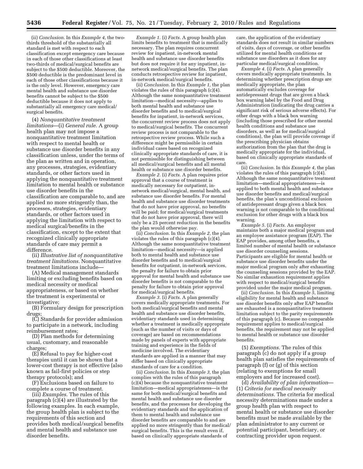(ii) *Conclusion.* In this *Example 4,* the twothirds threshold of the substantially all standard is met with respect to each classification except emergency care because in each of those other classifications at least two-thirds of medical/surgical benefits are subject to the \$500 deductible. Moreover, the \$500 deductible is the predominant level in each of those other classifications because it is the only level. However, emergency care mental health and substance use disorder benefits cannot be subject to the \$500 deductible because it does not apply to substantially all emergency care medical/ surgical benefits.

(4) *Nonquantitative treatment limitations*—(i) *General rule.* A group health plan may not impose a nonquantitative treatment limitation with respect to mental health or substance use disorder benefits in any classification unless, under the terms of the plan as written and in operation, any processes, strategies, evidentiary standards, or other factors used in applying the nonquantitative treatment limitation to mental health or substance use disorder benefits in the classification are comparable to, and are applied no more stringently than, the processes, strategies, evidentiary standards, or other factors used in applying the limitation with respect to medical surgical/benefits in the classification, except to the extent that recognized clinically appropriate standards of care may permit a difference.

(ii) *Illustrative list of nonquantitative treatment limitations.* Nonquantitative treatment limitations include—

(A) Medical management standards limiting or excluding benefits based on medical necessity or medical appropriateness, or based on whether the treatment is experimental or investigative;

(B) Formulary design for prescription drugs;

(C) Standards for provider admission to participate in a network, including reimbursement rates;

(D) Plan methods for determining usual, customary, and reasonable charges;

(E) Refusal to pay for higher-cost therapies until it can be shown that a lower-cost therapy is not effective (also known as fail-first policies or step therapy protocols); and

(F) Exclusions based on failure to complete a course of treatment.

(iii) *Examples.* The rules of this paragraph (c)(4) are illustrated by the following examples. In each example, the group health plan is subject to the requirements of this section and provides both medical/surgical benefits and mental health and substance use disorder benefits.

*Example 1.* (i) *Facts.* A group health plan limits benefits to treatment that is medically necessary. The plan requires concurrent review for inpatient, in-network mental health and substance use disorder benefits but does not require it for any inpatient, innetwork medical/surgical benefits. The plan conducts retrospective review for inpatient, in-network medical/surgical benefits.

(ii) *Conclusion.* In this *Example 1,* the plan violates the rules of this paragraph (c)(4). Although the same nonquantitative treatment limitation—medical necessity—applies to both mental health and substance use disorder benefits and to medical/surgical benefits for inpatient, in-network services, the concurrent review process does not apply to medical/surgical benefits. The concurrent review process is not comparable to the retrospective review process. While such a difference might be permissible in certain individual cases based on recognized clinically appropriate standards of care, it is not permissible for distinguishing between all medical/surgical benefits and all mental health or substance use disorder benefits.

*Example 2.* (i) *Facts.* A plan requires prior approval that a course of treatment is medically necessary for outpatient, innetwork medical/surgical, mental health, and substance use disorder benefits. For mental health and substance use disorder treatments that do not have prior approval, no benefits will be paid; for medical/surgical treatments that do not have prior approval, there will only be a 25 percent reduction in the benefits the plan would otherwise pay.

(ii) *Conclusion.* In this *Example 2,* the plan violates the rules of this paragraph (c)(4). Although the same nonquantitative treatment limitation—medical necessity—is applied both to mental health and substance use disorder benefits and to medical/surgical benefits for outpatient, in-network services, the penalty for failure to obtain prior approval for mental health and substance use disorder benefits is not comparable to the penalty for failure to obtain prior approval for medical/surgical benefits.

*Example 3.* (i) *Facts.* A plan generally covers medically appropriate treatments. For both medical/surgical benefits and mental health and substance use disorder benefits, evidentiary standards used in determining whether a treatment is medically appropriate (such as the number of visits or days of coverage) are based on recommendations made by panels of experts with appropriate training and experience in the fields of medicine involved. The evidentiary standards are applied in a manner that may differ based on clinically appropriate standards of care for a condition.

(ii) *Conclusion.* In this *Example 3,* the plan complies with the rules of this paragraph (c)(4) because the nonquantitative treatment limitation—medical appropriateness—is the same for both medical/surgical benefits and mental health and substance use disorder benefits, and the processes for developing the evidentiary standards and the application of them to mental health and substance use disorder benefits are comparable to and are applied no more stringently than for medical/ surgical benefits. This is the result even if, based on clinically appropriate standards of

care, the application of the evidentiary standards does not result in similar numbers of visits, days of coverage, or other benefits utilized for mental health conditions or substance use disorders as it does for any particular medical/surgical condition.

*Example 4.* (i) *Facts.* A plan generally covers medically appropriate treatments. In determining whether prescription drugs are medically appropriate, the plan automatically excludes coverage for antidepressant drugs that are given a black box warning label by the Food and Drug Administration (indicating the drug carries a significant risk of serious adverse effects). For other drugs with a black box warning (including those prescribed for other mental health conditions and substance use disorders, as well as for medical/surgical conditions), the plan will provide coverage if the prescribing physician obtains authorization from the plan that the drug is medically appropriate for the individual, based on clinically appropriate standards of care.

(ii) *Conclusion.* In this *Example 4,* the plan violates the rules of this paragraph (c)(4). Although the same nonquantitative treatment limitation—medical appropriateness—is applied to both mental health and substance use disorder benefits and medical/surgical benefits, the plan's unconditional exclusion of antidepressant drugs given a black box warning is not comparable to the conditional exclusion for other drugs with a black box warning.

*Example 5.* (i) *Facts.* An employer maintains both a major medical program and an employee assistance program (EAP). The EAP provides, among other benefits, a limited number of mental health or substance use disorder counseling sessions. Participants are eligible for mental health or substance use disorder benefits under the major medical program only after exhausting the counseling sessions provided by the EAP. No similar exhaustion requirement applies with respect to medical/surgical benefits provided under the major medical program.

(ii) *Conclusion.* In this *Example 5,* limiting eligibility for mental health and substance use disorder benefits only after EAP benefits are exhausted is a nonquantitative treatment limitation subject to the parity requirements of this paragraph (c). Because no comparable requirement applies to medical/surgical benefits, the requirement may not be applied to mental health or substance use disorder benefits.

(5) *Exemptions.* The rules of this paragraph (c) do not apply if a group health plan satisfies the requirements of paragraph (f) or (g) of this section (relating to exemptions for small employers and for increased cost).

(d) *Availability of plan information*— (1) *Criteria for medical necessity determinations.* The criteria for medical necessity determinations made under a group health plan with respect to mental health or substance use disorder benefits must be made available by the plan administrator to any current or potential participant, beneficiary, or contracting provider upon request.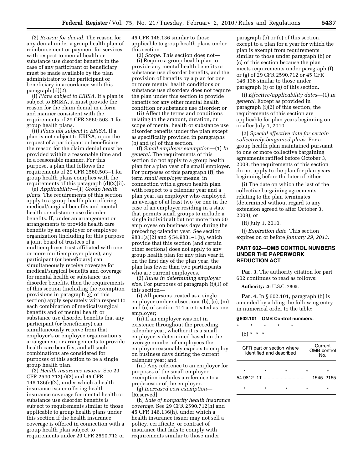(2) *Reason for denial.* The reason for any denial under a group health plan of reimbursement or payment for services with respect to mental health or substance use disorder benefits in the case of any participant or beneficiary must be made available by the plan administrator to the participant or beneficiary in accordance with this paragraph (d)(2).

(i) *Plans subject to ERISA.* If a plan is subject to ERISA, it must provide the reason for the claim denial in a form and manner consistent with the requirements of 29 CFR 2560.503–1 for group health plans.

(ii) *Plans not subject to ERISA.* If a plan is not subject to ERISA, upon the request of a participant or beneficiary the reason for the claim denial must be provided within a reasonable time and in a reasonable manner. For this purpose, a plan that follows the requirements of 29 CFR 2560.503–1 for group health plans complies with the requirements of this paragraph (d)(2)(ii).

(e) *Applicability*—(1) *Group health plans.* The requirements of this section apply to a group health plan offering medical/surgical benefits and mental health or substance use disorder benefits. If, under an arrangement or arrangements to provide health care benefits by an employer or employee organization (including for this purpose a joint board of trustees of a multiemployer trust affiliated with one or more multiemployer plans), any participant (or beneficiary) can simultaneously receive coverage for medical/surgical benefits and coverage for mental health or substance use disorder benefits, then the requirements of this section (including the exemption provisions in paragraph (g) of this section) apply separately with respect to each combination of medical/surgical benefits and of mental health or substance use disorder benefits that any participant (or beneficiary) can simultaneously receive from that employer's or employee organization's arrangement or arrangements to provide health care benefits, and all such combinations are considered for purposes of this section to be a single group health plan.

(2) *Health insurance issuers.* See 29 CFR 2590.712(e)(2) and 45 CFR 146.136(e)(2), under which a health insurance issuer offering health insurance coverage for mental health or substance use disorder benefits is subject to requirements similar to those applicable to group health plans under this section if the health insurance coverage is offered in connection with a group health plan subject to requirements under 29 CFR 2590.712 or

45 CFR 146.136 similar to those applicable to group health plans under this section.

(3) *Scope.* This section does not—

(i) Require a group health plan to provide any mental health benefits or substance use disorder benefits, and the provision of benefits by a plan for one or more mental health conditions or substance use disorders does not require the plan under this section to provide benefits for any other mental health condition or substance use disorder; or

(ii) Affect the terms and conditions relating to the amount, duration, or scope of mental health or substance use disorder benefits under the plan except as specifically provided in paragraphs (b) and (c) of this section.

(f) *Small employer exemption*—(1) *In general.* The requirements of this section do not apply to a group health plan for a plan year of a small employer. For purposes of this paragraph (f), the term *small employer* means, in connection with a group health plan with respect to a calendar year and a plan year, an employer who employed an average of at least two (or one in the case of an employer residing in a state that permits small groups to include a single individual) but not more than 50 employees on business days during the preceding calendar year. See section 9831(a)(2) and § 54.9831–1(b), which provide that this section (and certain other sections) does not apply to any group health plan for any plan year if, on the first day of the plan year, the plan has fewer than two participants who are current employees.

(2) *Rules in determining employer size.* For purposes of paragraph (f)(1) of this section—

(i) All persons treated as a single employer under subsections (b), (c), (m), and (o) of section 414 are treated as one employer;

(ii) If an employer was not in existence throughout the preceding calendar year, whether it is a small employer is determined based on the average number of employees the employer reasonably expects to employ on business days during the current calendar year; and

(iii) Any reference to an employer for purposes of the small employer exemption includes a reference to a predecessor of the employer.

(g) *Increased cost exemption*— [Reserved].

(h) *Sale of nonparity health insurance coverage.* See 29 CFR 2590.712(h) and 45 CFR 146.136(h), under which a health insurance issuer may not sell a policy, certificate, or contract of insurance that fails to comply with requirements similar to those under

paragraph (b) or (c) of this section, except to a plan for a year for which the plan is exempt from requirements similar to those under paragraph (b) or (c) of this section because the plan meets requirements under paragraph (f) or (g) of 29 CFR 2590.712 or 45 CFR 146.136 similar to those under paragraph (f) or (g) of this section.

(i) *Effective/applicability dates*—(1) *In general.* Except as provided in paragraph (i)(2) of this section, the requirements of this section are applicable for plan years beginning on or after July 1, 2010.

(2) *Special effective date for certain collectively-bargained plans.* For a group health plan maintained pursuant to one or more collective bargaining agreements ratified before October 3, 2008, the requirements of this section do not apply to the plan for plan years beginning before the later of either—

(i) The date on which the last of the collective bargaining agreements relating to the plan terminates (determined without regard to any extension agreed to after October 3, 2008); or

(ii) July 1, 2010.

(j) *Expiration date.* This section expires on or before *January 29, 2013.* 

## **PART 602—OMB CONTROL NUMBERS UNDER THE PAPERWORK REDUCTION ACT**

**Par. 3.** The authority citation for part 602 continues to read as follows:

**Authority:** 26 U.S.C. 7805.

**Par. 4.** In § 602.101, paragraph (b) is amended by adding the following entry in numerical order to the table:

#### **§ 602.101 OMB Control numbers.**

\* \* \* \* \*

(b)  $* * * *$ 

| CFR part or section where<br>identified and described |  | Current<br>OMB control<br>N∩ |           |
|-------------------------------------------------------|--|------------------------------|-----------|
|                                                       |  | ÷                            | ÷         |
| 54.9812–1T                                            |  |                              | 1545-2165 |
|                                                       |  |                              |           |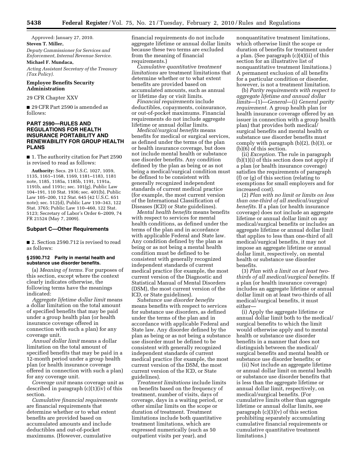Approved: January 27, 2010. **Steven T. Miller,** 

*Deputy Commissioner for Services and Enforcement, Internal Revenue Service.* 

## **Michael F. Mundaca,**

*Acting Assistant Secretary of the Treasury (Tax Policy).* 

## **Employee Benefits Security Administration**

29 CFR Chapter XXV

■ 29 CFR Part 2590 is amended as follows:

## **PART 2590—RULES AND REGULATIONS FOR HEALTH INSURANCE PORTABILITY AND RENEWABILITY FOR GROUP HEALTH PLANS**

■ 1. The authority citation for Part 2590 is revised to read as follows:

**Authority:** Secs. 29 U.S.C. 1027, 1059, 1135, 1161–1168, 1169, 1181–1183, 1181 note, 1185, 1185a, 1185b, 1191, 1191a, 1191b, and 1191c; sec. 101(g), Public Law 104–191, 110 Stat. 1936; sec. 401(b), Public Law 105–200, 112 Stat. 645 (42 U.S.C. 651 note); sec. 512(d), Public Law 110–343, 122 Stat. 3765; Public Law 110–460, 122 Stat. 5123; Secretary of Labor's Order 6–2009, 74 FR 21524 (May 7, 2009).

#### **Subpart C—Other Requirements**

■ 2. Section 2590.712 is revised to read as follows:

#### **§ 2590.712 Parity in mental health and substance use disorder benefits.**

(a) *Meaning of terms.* For purposes of this section, except where the context clearly indicates otherwise, the following terms have the meanings indicated:

*Aggregate lifetime dollar limit* means a dollar limitation on the total amount of specified benefits that may be paid under a group health plan (or health insurance coverage offered in connection with such a plan) for any coverage unit.

*Annual dollar limit* means a dollar limitation on the total amount of specified benefits that may be paid in a 12-month period under a group health plan (or health insurance coverage offered in connection with such a plan) for any coverage unit.

*Coverage unit* means coverage unit as described in paragraph (c)(1)(iv) of this section.

*Cumulative financial requirements*  are financial requirements that determine whether or to what extent benefits are provided based on accumulated amounts and include deductibles and out-of-pocket maximums. (However, cumulative

financial requirements do not include aggregate lifetime or annual dollar limits because these two terms are excluded from the meaning of financial requirements.)

*Cumulative quantitative treatment limitations* are treatment limitations that determine whether or to what extent benefits are provided based on accumulated amounts, such as annual or lifetime day or visit limits.

*Financial requirements* include deductibles, copayments, coinsurance, or out-of-pocket maximums. Financial requirements do not include aggregate lifetime or annual dollar limits.

*Medical/surgical benefits* means benefits for medical or surgical services, as defined under the terms of the plan or health insurance coverage, but does not include mental health or substance use disorder benefits. Any condition defined by the plan as being or as not being a medical/surgical condition must be defined to be consistent with generally recognized independent standards of current medical practice (for example, the most current version of the International Classification of Diseases (ICD) or State guidelines).

*Mental health benefits* means benefits with respect to services for mental health conditions, as defined under the terms of the plan and in accordance with applicable Federal and State law. Any condition defined by the plan as being or as not being a mental health condition must be defined to be consistent with generally recognized independent standards of current medical practice (for example, the most current version of the Diagnostic and Statistical Manual of Mental Disorders (DSM), the most current version of the ICD, or State guidelines).

*Substance use disorder benefits*  means benefits with respect to services for substance use disorders, as defined under the terms of the plan and in accordance with applicable Federal and State law. Any disorder defined by the plan as being or as not being a substance use disorder must be defined to be consistent with generally recognized independent standards of current medical practice (for example, the most current version of the DSM, the most current version of the ICD, or State guidelines).

*Treatment limitations* include limits on benefits based on the frequency of treatment, number of visits, days of coverage, days in a waiting period, or other similar limits on the scope or duration of treatment. Treatment limitations include both quantitative treatment limitations, which are expressed numerically (such as 50 outpatient visits per year), and

nonquantitative treatment limitations, which otherwise limit the scope or duration of benefits for treatment under a plan. (See paragraph (c)(4)(ii) of this section for an illustrative list of nonquantitative treatment limitations.) A permanent exclusion of all benefits for a particular condition or disorder, however, is not a treatment limitation.

(b) *Parity requirements with respect to aggregate lifetime and annual dollar limits*—(1)—*General*—(i) *General parity requirement.* A group health plan (or health insurance coverage offered by an issuer in connection with a group health plan) that provides both medical/ surgical benefits and mental health or substance use disorder benefits must comply with paragraph (b)(2), (b)(3), or (b)(6) of this section.

(ii) *Exception.* The rule in paragraph (b)(1)(i) of this section does not apply if a plan (or health insurance coverage) satisfies the requirements of paragraph (f) or (g) of this section (relating to exemptions for small employers and for increased cost).

(2) *Plan with no limit or limits on less than one-third of all medical/surgical benefits.* If a plan (or health insurance coverage) does not include an aggregate lifetime or annual dollar limit on any medical/surgical benefits or includes an aggregate lifetime or annual dollar limit that applies to less than one-third of all medical/surgical benefits, it may not impose an aggregate lifetime or annual dollar limit, respectively, on mental health or substance use disorder benefits.

(3) *Plan with a limit on at least twothirds of all medical/surgical benefits.* If a plan (or health insurance coverage) includes an aggregate lifetime or annual dollar limit on at least two-thirds of all medical/surgical benefits, it must either—

(i) Apply the aggregate lifetime or annual dollar limit both to the medical/ surgical benefits to which the limit would otherwise apply and to mental health or substance use disorder benefits in a manner that does not distinguish between the medical/ surgical benefits and mental health or substance use disorder benefits; or

(ii) Not include an aggregate lifetime or annual dollar limit on mental health or substance use disorder benefits that is less than the aggregate lifetime or annual dollar limit, respectively, on medical/surgical benefits. (For cumulative limits other than aggregate lifetime or annual dollar limits, see paragraph  $(c)(3)(v)$  of this section prohibiting separately accumulating cumulative financial requirements or cumulative quantitative treatment limitations.)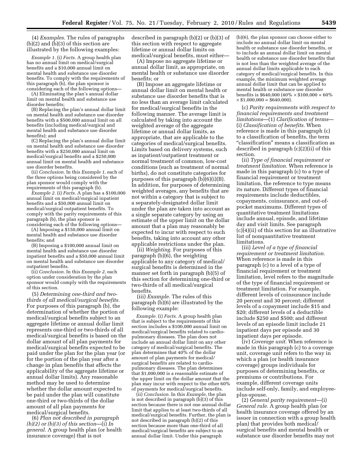(4) *Examples.* The rules of paragraphs (b)(2) and (b)(3) of this section are illustrated by the following examples:

*Example 1.* (i) *Facts.* A group health plan has no annual limit on medical/surgical benefits and a \$10,000 annual limit on mental health and substance use disorder benefits. To comply with the requirements of this paragraph (b), the plan sponsor is considering each of the following options—

(A) Eliminating the plan's annual dollar limit on mental health and substance use disorder benefits;

(B) Replacing the plan's annual dollar limit on mental health and substance use disorder benefits with a \$500,000 annual limit on all benefits (including medical/surgical and mental health and substance use disorder benefits); and

(C) Replacing the plan's annual dollar limit on mental health and substance use disorder benefits with a \$250,000 annual limit on medical/surgical benefits and a \$250,000 annual limit on mental health and substance use disorder benefits.

(ii) *Conclusion.* In this *Example 1,* each of the three options being considered by the plan sponsor would comply with the requirements of this paragraph (b).

*Example 2.* (i) *Facts.* A plan has a \$100,000 annual limit on medical/surgical inpatient benefits and a \$50,000 annual limit on medical/surgical outpatient benefits. To comply with the parity requirements of this paragraph (b), the plan sponsor is considering each of the following options—

(A) Imposing a \$150,000 annual limit on mental health and substance use disorder benefits; and

(B) Imposing a \$100,000 annual limit on mental health and substance use disorder inpatient benefits and a \$50,000 annual limit on mental health and substance use disorder outpatient benefits.

(ii) *Conclusion.* In this *Example 2,* each option under consideration by the plan sponsor would comply with the requirements of this section.

(5) *Determining one-third and twothirds of all medical/surgical benefits.*  For purposes of this paragraph (b), the determination of whether the portion of medical/surgical benefits subject to an aggregate lifetime or annual dollar limit represents one-third or two-thirds of all medical/surgical benefits is based on the dollar amount of all plan payments for medical/surgical benefits expected to be paid under the plan for the plan year (or for the portion of the plan year after a change in plan benefits that affects the applicability of the aggregate lifetime or annual dollar limits). Any reasonable method may be used to determine whether the dollar amount expected to be paid under the plan will constitute one-third or two-thirds of the dollar amount of all plan payments for medical/surgical benefits.

(6) *Plan not described in paragraph (b)(2) or (b)(3) of this section*—(i) *In general.* A group health plan (or health insurance coverage) that is not

described in paragraph (b)(2) or (b)(3) of this section with respect to aggregate lifetime or annual dollar limits on medical/surgical benefits, must either—

(A) Impose no aggregate lifetime or annual dollar limit, as appropriate, on mental health or substance use disorder benefits; or

(B) Impose an aggregate lifetime or annual dollar limit on mental health or substance use disorder benefits that is no less than an average limit calculated for medical/surgical benefits in the following manner. The average limit is calculated by taking into account the weighted average of the aggregate lifetime or annual dollar limits, as appropriate, that are applicable to the categories of medical/surgical benefits. Limits based on delivery systems, such as inpatient/outpatient treatment or normal treatment of common, low-cost conditions (such as treatment of normal births), do not constitute categories for purposes of this paragraph (b)(6)(i)(B). In addition, for purposes of determining weighted averages, any benefits that are not within a category that is subject to a separately-designated dollar limit under the plan are taken into account as a single separate category by using an estimate of the upper limit on the dollar amount that a plan may reasonably be expected to incur with respect to such benefits, taking into account any other applicable restrictions under the plan.

(ii) *Weighting.* For purposes of this paragraph (b)(6), the weighting applicable to any category of medical/ surgical benefits is determined in the manner set forth in paragraph (b)(5) of this section for determining one-third or two-thirds of all medical/surgical benefits.

(iii) *Example.* The rules of this paragraph (b)(6) are illustrated by the following example:

*Example.* (i) *Facts.* A group health plan that is subject to the requirements of this section includes a \$100,000 annual limit on medical/surgical benefits related to cardiopulmonary diseases. The plan does not include an annual dollar limit on any other category of medical/surgical benefits. The plan determines that 40% of the dollar amount of plan payments for medical/ surgical benefits are related to cardiopulmonary diseases. The plan determines that \$1,000,000 is a reasonable estimate of the upper limit on the dollar amount that the plan may incur with respect to the other 60% of payments for medical/surgical benefits.

(ii) *Conclusion.* In this *Example,* the plan is not described in paragraph (b)(3) of this section because there is not one annual dollar limit that applies to at least two-thirds of all medical/surgical benefits. Further, the plan is not described in paragraph (b)(2) of this section because more than one-third of all medical/surgical benefits are subject to an annual dollar limit. Under this paragraph

(b)(6), the plan sponsor can choose either to include no annual dollar limit on mental health or substance use disorder benefits, or to include an annual dollar limit on mental health or substance use disorder benefits that is not less than the weighted average of the annual dollar limits applicable to each category of medical/surgical benefits. In this example, the minimum weighted average annual dollar limit that can be applied to mental health or substance use disorder benefits is \$640,000 (40%  $\times$  \$100,000 + 60%)  $\times$  \$1,000,000 = \$640,000).

(c) *Parity requirements with respect to financial requirements and treatment limitations*—(1) *Clarification of terms*— (i) *Classification of benefits.* When reference is made in this paragraph (c) to a classification of benefits, the term "classification" means a classification as described in paragraph (c)(2)(ii) of this section.

(ii) *Type of financial requirement or treatment limitation.* When reference is made in this paragraph (c) to a type of financial requirement or treatment limitation, the reference to type means its nature. Different types of financial requirements include deductibles, copayments, coinsurance, and out-ofpocket maximums. Different types of quantitative treatment limitations include annual, episode, and lifetime day and visit limits. See paragraph (c)(4)(ii) of this section for an illustrative list of nonquantitative treatment limitations.

(iii) *Level of a type of financial requirement or treatment limitation.*  When reference is made in this paragraph (c) to a level of a type of financial requirement or treatment limitation, level refers to the magnitude of the type of financial requirement or treatment limitation. For example, different levels of coinsurance include 20 percent and 30 percent; different levels of a copayment include \$15 and \$20; different levels of a deductible include \$250 and \$500; and different levels of an episode limit include 21 inpatient days per episode and 30 inpatient days per episode.

(iv) *Coverage unit.* When reference is made in this paragraph (c) to a coverage unit, coverage unit refers to the way in which a plan (or health insurance coverage) groups individuals for purposes of determining benefits, or premiums or contributions. For example, different coverage units include self-only, family, and employeeplus-spouse.

(2) *General parity requirement*—(i) *General rule.* A group health plan (or health insurance coverage offered by an issuer in connection with a group health plan) that provides both medical/ surgical benefits and mental health or substance use disorder benefits may not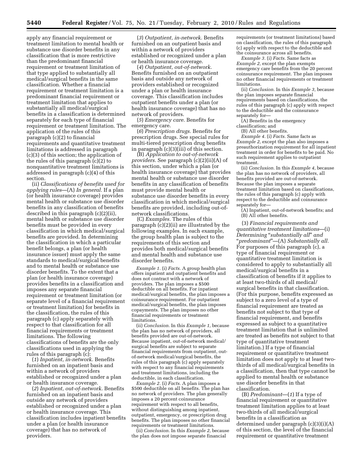apply any financial requirement or treatment limitation to mental health or substance use disorder benefits in any classification that is more restrictive than the predominant financial requirement or treatment limitation of that type applied to substantially all medical/surgical benefits in the same classification. Whether a financial requirement or treatment limitation is a predominant financial requirement or treatment limitation that applies to substantially all medical/surgical benefits in a classification is determined separately for each type of financial requirement or treatment limitation. The application of the rules of this paragraph (c)(2) to financial requirements and quantitative treatment limitations is addressed in paragraph (c)(3) of this section; the application of the rules of this paragraph (c)(2) to nonquantitative treatment limitations is addressed in paragraph (c)(4) of this section.

(ii) *Classifications of benefits used for applying rules*—(A) *In general.* If a plan (or health insurance coverage) provides mental health or substance use disorder benefits in any classification of benefits described in this paragraph (c)(2)(ii), mental health or substance use disorder benefits must be provided in every classification in which medical/surgical benefits are provided. In determining the classification in which a particular benefit belongs, a plan (or health insurance issuer) must apply the same standards to medical/surgical benefits and to mental health or substance use disorder benefits. To the extent that a plan (or health insurance coverage) provides benefits in a classification and imposes any separate financial requirement or treatment limitation (or separate level of a financial requirement or treatment limitation) for benefits in the classification, the rules of this paragraph (c) apply separately with respect to that classification for all financial requirements or treatment limitations. The following classifications of benefits are the only classifications used in applying the rules of this paragraph (c):

(*1*) *Inpatient, in-network.* Benefits furnished on an inpatient basis and within a network of providers established or recognized under a plan or health insurance coverage.

(*2*) *Inpatient, out-of-network.* Benefits furnished on an inpatient basis and outside any network of providers established or recognized under a plan or health insurance coverage. This classification includes inpatient benefits under a plan (or health insurance coverage) that has no network of providers.

(*3*) *Outpatient, in-network.* Benefits furnished on an outpatient basis and within a network of providers established or recognized under a plan or health insurance coverage.

(*4*) *Outpatient, out-of-network.*  Benefits furnished on an outpatient basis and outside any network of providers established or recognized under a plan or health insurance coverage. This classification includes outpatient benefits under a plan (or health insurance coverage) that has no network of providers.

(*5*) *Emergency care.* Benefits for emergency care.

(*6*) *Prescription drugs.* Benefits for prescription drugs. See special rules for multi-tiered prescription drug benefits in paragraph (c)(3)(iii) of this section.

(B) *Application to out-of-network providers.* See paragraph (c)(2)(ii)(A) of this section, under which a plan (or health insurance coverage) that provides mental health or substance use disorder benefits in any classification of benefits must provide mental health or substance use disorder benefits in every classification in which medical/surgical benefits are provided, including out-ofnetwork classifications.

(C) *Examples.* The rules of this paragraph (c)(2)(ii) are illustrated by the following examples. In each example, the group health plan is subject to the requirements of this section and provides both medical/surgical benefits and mental health and substance use disorder benefits.

*Example 1.* (i) *Facts.* A group health plan offers inpatient and outpatient benefits and does not contract with a network of providers. The plan imposes a \$500 deductible on all benefits. For inpatient medical/surgical benefits, the plan imposes a coinsurance requirement. For outpatient medical/surgical benefits, the plan imposes copayments. The plan imposes no other financial requirements or treatment limitations.

(ii) *Conclusion.* In this *Example 1,* because the plan has no network of providers, all benefits provided are out-of-network. Because inpatient, out-of-network medical/ surgical benefits are subject to separate financial requirements from outpatient, outof-network medical/surgical benefits, the rules of this paragraph (c) apply separately with respect to any financial requirements and treatment limitations, including the deductible, in each classification.

*Example 2.* (i) *Facts.* A plan imposes a \$500 deductible on all benefits. The plan has no network of providers. The plan generally imposes a 20 percent coinsurance requirement with respect to all benefits, without distinguishing among inpatient, outpatient, emergency, or prescription drug benefits. The plan imposes no other financial requirements or treatment limitations.

(ii) *Conclusion.* In this *Example 2,* because the plan does not impose separate financial

requirements (or treatment limitations) based on classification, the rules of this paragraph (c) apply with respect to the deductible and the coinsurance across all benefits.

*Example 3.* (i) *Facts.* Same facts as *Example 2,* except the plan exempts emergency care benefits from the 20 percent coinsurance requirement. The plan imposes no other financial requirements or treatment limitations.

(ii) *Conclusion.* In this *Example 3,* because the plan imposes separate financial requirements based on classifications, the rules of this paragraph (c) apply with respect to the deductible and the coinsurance separately for—

(A) Benefits in the emergency

classification; and

(B) All other benefits.

*Example 4.* (i) *Facts.* Same facts as *Example 2,* except the plan also imposes a preauthorization requirement for all inpatient treatment in order for benefits to be paid. No such requirement applies to outpatient treatment.

(ii) *Conclusion.* In this *Example 4,* because the plan has no network of providers, all benefits provided are out-of-network. Because the plan imposes a separate treatment limitation based on classifications, the rules of this paragraph (c) apply with respect to the deductible and coinsurance separately for—

(A) Inpatient, out-of-network benefits; and (B) All other benefits.

(3) *Financial requirements and quantitative treatment limitations*—(i) *Determining* ''*substantially all*'' *and*  ''*predominant*''—(A) *Substantially all.*  For purposes of this paragraph (c), a type of financial requirement or quantitative treatment limitation is considered to apply to substantially all medical/surgical benefits in a classification of benefits if it applies to at least two-thirds of all medical/ surgical benefits in that classification. (For this purpose, benefits expressed as subject to a zero level of a type of financial requirement are treated as benefits not subject to that type of financial requirement, and benefits expressed as subject to a quantitative treatment limitation that is unlimited are treated as benefits not subject to that type of quantitative treatment limitation.) If a type of financial requirement or quantitative treatment limitation does not apply to at least twothirds of all medical/surgical benefits in a classification, then that type cannot be applied to mental health or substance use disorder benefits in that classification.

(B) *Predominant*—(*1*) If a type of financial requirement or quantitative treatment limitation applies to at least two-thirds of all medical/surgical benefits in a classification as determined under paragraph (c)(3)(i)(A) of this section, the level of the financial requirement or quantitative treatment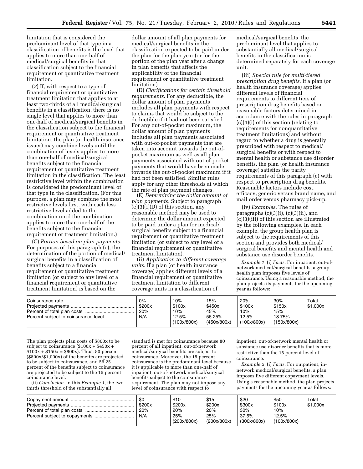limitation that is considered the predominant level of that type in a classification of benefits is the level that applies to more than one-half of medical/surgical benefits in that classification subject to the financial requirement or quantitative treatment limitation.

(*2*) If, with respect to a type of financial requirement or quantitative treatment limitation that applies to at least two-thirds of all medical/surgical benefits in a classification, there is no single level that applies to more than one-half of medical/surgical benefits in the classification subject to the financial requirement or quantitative treatment limitation, the plan (or health insurance issuer) may combine levels until the combination of levels applies to more than one-half of medical/surgical benefits subject to the financial requirement or quantitative treatment limitation in the classification. The least restrictive level within the combination is considered the predominant level of that type in the classification. (For this purpose, a plan may combine the most restrictive levels first, with each less restrictive level added to the combination until the combination applies to more than one-half of the benefits subject to the financial requirement or treatment limitation.)

(C) *Portion based on plan payments.*  For purposes of this paragraph (c), the determination of the portion of medical/ surgical benefits in a classification of benefits subject to a financial requirement or quantitative treatment limitation (or subject to any level of a financial requirement or quantitative treatment limitation) is based on the

dollar amount of all plan payments for medical/surgical benefits in the classification expected to be paid under the plan for the plan year (or for the portion of the plan year after a change in plan benefits that affects the applicability of the financial requirement or quantitative treatment limitation).

(D) *Clarifications for certain threshold requirements.* For any deductible, the dollar amount of plan payments includes all plan payments with respect to claims that would be subject to the deductible if it had not been satisfied. For any out-of-pocket maximum, the dollar amount of plan payments includes all plan payments associated with out-of-pocket payments that are taken into account towards the out-ofpocket maximum as well as all plan payments associated with out-of-pocket payments that would have been made towards the out-of-pocket maximum if it had not been satisfied. Similar rules apply for any other thresholds at which the rate of plan payment changes.

(E) *Determining the dollar amount of plan payments.* Subject to paragraph  $(c)(3)(i)(D)$  of this section, any reasonable method may be used to determine the dollar amount expected to be paid under a plan for medical/ surgical benefits subject to a financial requirement or quantitative treatment limitation (or subject to any level of a financial requirement or quantitative treatment limitation).

(ii) *Application to different coverage units.* If a plan (or health insurance coverage) applies different levels of a financial requirement or quantitative treatment limitation to different coverage units in a classification of

medical/surgical benefits, the predominant level that applies to substantially all medical/surgical benefits in the classification is determined separately for each coverage unit.

(iii) *Special rule for multi-tiered prescription drug benefits.* If a plan (or health insurance coverage) applies different levels of financial requirements to different tiers of prescription drug benefits based on reasonable factors determined in accordance with the rules in paragraph (c)(4)(i) of this section (relating to requirements for nonquantitative treatment limitations) and without regard to whether a drug is generally prescribed with respect to medical/ surgical benefits or with respect to mental health or substance use disorder benefits, the plan (or health insurance coverage) satisfies the parity requirements of this paragraph (c) with respect to prescription drug benefits. Reasonable factors include cost, efficacy, generic versus brand name, and mail order versus pharmacy pick-up.

(iv) *Examples.* The rules of paragraphs (c)(3)(i), (c)(3)(ii), and (c)(3)(iii) of this section are illustrated by the following examples. In each example, the group health plan is subject to the requirements of this section and provides both medical/ surgical benefits and mental health and substance use disorder benefits.

*Example 1.* (i) *Facts.* For inpatient, out-ofnetwork medical/surgical benefits, a group health plan imposes five levels of coinsurance. Using a reasonable method, the plan projects its payments for the upcoming year as follows:

| 0%<br>\$200x | 10%<br>\$100x | 15%<br>\$450x | 20%<br>\$100x | 30%<br>\$150x | Total<br>\$1,000x |
|--------------|---------------|---------------|---------------|---------------|-------------------|
| 20%          | 10%           | 45%           | 10%           | 15%           |                   |
| N/A          | 12.5%         | 56.25%        | 12.5%         | 18.75%        |                   |
|              | (100x/800x)   | (450x/800x)   | (100x/800x)   | (150x/800x)   |                   |

The plan projects plan costs of \$800x to be subject to coinsurance (\$100x + \$450x +  $$100x + $150x = $800x$ . Thus, 80 percent (\$800x/\$1,000x) of the benefits are projected to be subject to coinsurance, and 56.25 percent of the benefits subject to coinsurance are projected to be subject to the 15 percent coinsurance level.

(ii) *Conclusion.* In this *Example 1,* the twothirds threshold of the substantially all

standard is met for coinsurance because 80 percent of all inpatient, out-of-network medical/surgical benefits are subject to coinsurance. Moreover, the 15 percent coinsurance is the predominant level because it is applicable to more than one-half of inpatient, out-of-network medical/surgical benefits subject to the coinsurance requirement. The plan may not impose any level of coinsurance with respect to

inpatient, out-of-network mental health or substance use disorder benefits that is more restrictive than the 15 percent level of coinsurance.

*Example 2.* (i) *Facts.* For outpatient, innetwork medical/surgical benefits, a plan imposes five different copayment levels. Using a reasonable method, the plan projects payments for the upcoming year as follows:

| \$0<br>\$200x | \$10<br>\$200x     | \$15<br>\$200x     | \$20<br>\$300x       | \$50<br>\$100x       | Total<br>\$1.000x |
|---------------|--------------------|--------------------|----------------------|----------------------|-------------------|
| 20%           | 20%                | 20%                | 30%                  | 10%                  |                   |
| N/A           | 25%<br>(200x/800x) | 25%<br>(200x/800x) | 37.5%<br>(300x/800x) | 12.5%<br>(100x/800x) |                   |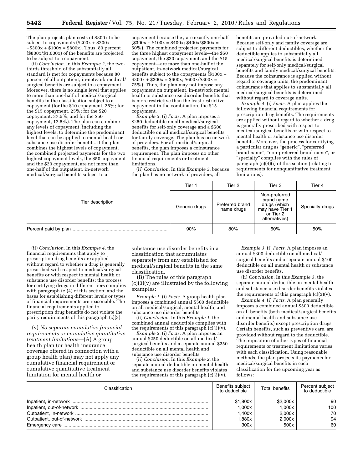The plan projects plan costs of \$800x to be subject to copayments (\$200x + \$200x  $+\$300x + \$100x = \$800x$ . Thus, 80 percent (\$800x/\$1,000x) of the benefits are projected to be subject to a copayment.

(ii) *Conclusion.* In this *Example 2,* the twothirds threshold of the substantially all standard is met for copayments because 80 percent of all outpatient, in-network medical/ surgical benefits are subject to a copayment. Moreover, there is no single level that applies to more than one-half of medical/surgical benefits in the classification subject to a copayment (for the \$10 copayment, 25%; for the \$15 copayment, 25%; for the \$20 copayment, 37.5%; and for the \$50 copayment, 12.5%). The plan can combine any levels of copayment, including the highest levels, to determine the predominant level that can be applied to mental health or substance use disorder benefits. If the plan combines the highest levels of copayment, the combined projected payments for the two highest copayment levels, the \$50 copayment and the \$20 copayment, are not more than one-half of the outpatient, in-network medical/surgical benefits subject to a

copayment because they are exactly one-half  $($300x + $100x = $400x; $400x/$800x =$ 50%). The combined projected payments for the three highest copayment levels—the \$50 copayment, the \$20 copayment, and the \$15 copayment—are more than one-half of the outpatient, in-network medical/surgical benefits subject to the copayments (\$100x +  $$300x + $200x = $600x; $600x/$800x =$ 75%). Thus, the plan may not impose any copayment on outpatient, in-network mental health or substance use disorder benefits that is more restrictive than the least restrictive copayment in the combination, the \$15 copayment.

*Example 3.* (i) *Facts.* A plan imposes a \$250 deductible on all medical/surgical benefits for self-only coverage and a \$500 deductible on all medical/surgical benefits for family coverage. The plan has no network of providers. For all medical/surgical benefits, the plan imposes a coinsurance requirement. The plan imposes no other financial requirements or treatment limitations.

(ii) *Conclusion.* In this *Example 3,* because the plan has no network of providers, all

benefits are provided out-of-network. Because self-only and family coverage are subject to different deductibles, whether the deductible applies to substantially all medical/surgical benefits is determined separately for self-only medical/surgical benefits and family medical/surgical benefits. Because the coinsurance is applied without regard to coverage units, the predominant coinsurance that applies to substantially all medical/surgical benefits is determined without regard to coverage units.

*Example 4.* (i) *Facts.* A plan applies the following financial requirements for prescription drug benefits. The requirements are applied without regard to whether a drug is generally prescribed with respect to medical/surgical benefits or with respect to mental health or substance use disorder benefits. Moreover, the process for certifying a particular drug as ''generic'', ''preferred brand name'', ''non-preferred brand name'', or ''specialty'' complies with the rules of paragraph (c)(4)(i) of this section (relating to requirements for nonquantitative treatment limitations).

|                  | Tier 1        | Tier 2                        | Tier 3                                                                                       | Tier 4          |
|------------------|---------------|-------------------------------|----------------------------------------------------------------------------------------------|-----------------|
| Tier description | Generic drugs | Preferred brand<br>name drugs | Non-preferred<br>brand name<br>drugs (which<br>may have Tier 1<br>or Tier 2<br>alternatives) | Specialty drugs |
|                  | 90%           | 80%                           | 60%                                                                                          | 50%             |

(ii) *Conclusion.* In this *Example 4,* the financial requirements that apply to prescription drug benefits are applied without regard to whether a drug is generally prescribed with respect to medical/surgical benefits or with respect to mental health or substance use disorder benefits; the process for certifying drugs in different tiers complies with paragraph  $(c)(4)$  of this section; and the bases for establishing different levels or types of financial requirements are reasonable. The financial requirements applied to prescription drug benefits do not violate the parity requirements of this paragraph (c)(3).

(v) *No separate cumulative financial requirements or cumulative quantitative treatment limitations*—(A) A group health plan (or health insurance coverage offered in connection with a group health plan) may not apply any cumulative financial requirement or cumulative quantitative treatment limitation for mental health or

substance use disorder benefits in a classification that accumulates separately from any established for medical/surgical benefits in the same classification.

(B) The rules of this paragraph (c)(3)(v) are illustrated by the following examples:

*Example 1.* (i) *Facts.* A group health plan imposes a combined annual \$500 deductible on all medical/surgical, mental health, and substance use disorder benefits.

(ii) *Conclusion.* In this *Example 1,* the combined annual deductible complies with the requirements of this paragraph  $(c)(3)(v)$ .

*Example 2.* (i) *Facts.* A plan imposes an annual \$250 deductible on all medical/ surgical benefits and a separate annual \$250 deductible on all mental health and substance use disorder benefits.

(ii) *Conclusion.* In this *Example 2,* the separate annual deductible on mental health and substance use disorder benefits violates the requirements of this paragraph  $(c)(3)(v)$ .

*Example 3.* (i) *Facts.* A plan imposes an annual \$300 deductible on all medical/ surgical benefits and a separate annual \$100 deductible on all mental health or substance use disorder benefits.

(ii) *Conclusion.* In this *Example 3,* the separate annual deductible on mental health and substance use disorder benefits violates the requirements of this paragraph (c)(3)(v).

*Example 4.* (i) *Facts.* A plan generally imposes a combined annual \$500 deductible on all benefits (both medical/surgical benefits and mental health and substance use disorder benefits) except prescription drugs. Certain benefits, such as preventive care, are provided without regard to the deductible. The imposition of other types of financial requirements or treatment limitations varies with each classification. Using reasonable methods, the plan projects its payments for medical/surgical benefits in each classification for the upcoming year as follows:

| Classification | Benefits subiect<br>to deductible | <b>Total benefits</b> | Percent subject<br>to deductible |
|----------------|-----------------------------------|-----------------------|----------------------------------|
|                | \$1.800x                          | \$2.000x              | 90                               |
|                | 1.000x                            | 1.000x                | 100                              |
|                | 1.400x                            | 2.000x                | 70                               |
|                | 1.880x                            | 2.000x                | 94                               |
|                | 300x                              | 500x                  | 60                               |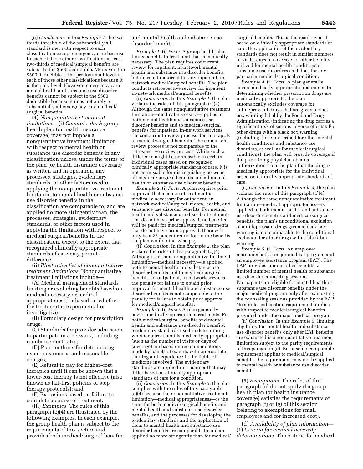(ii) *Conclusion.* In this *Example 4,* the twothirds threshold of the substantially all standard is met with respect to each classification except emergency care because in each of those other classifications at least two-thirds of medical/surgical benefits are subject to the \$500 deductible. Moreover, the \$500 deductible is the predominant level in each of those other classifications because it is the only level. However, emergency care mental health and substance use disorder benefits cannot be subject to the \$500 deductible because it does not apply to substantially all emergency care medical/ surgical benefits.

(4) *Nonquantitative treatment limitations*—(i) *General rule.* A group health plan (or health insurance coverage) may not impose a nonquantitative treatment limitation with respect to mental health or substance use disorder benefits in any classification unless, under the terms of the plan (or health insurance coverage) as written and in operation, any processes, strategies, evidentiary standards, or other factors used in applying the nonquantitative treatment limitation to mental health or substance use disorder benefits in the classification are comparable to, and are applied no more stringently than, the processes, strategies, evidentiary standards, or other factors used in applying the limitation with respect to medical surgical/benefits in the classification, except to the extent that recognized clinically appropriate standards of care may permit a difference.

(ii) *Illustrative list of nonquantitative treatment limitations.* Nonquantitative treatment limitations include—

(A) Medical management standards limiting or excluding benefits based on medical necessity or medical appropriateness, or based on whether the treatment is experimental or investigative;

(B) Formulary design for prescription drugs;

(C) Standards for provider admission to participate in a network, including reimbursement rates;

(D) Plan methods for determining usual, customary, and reasonable charges;

(E) Refusal to pay for higher-cost therapies until it can be shown that a lower-cost therapy is not effective (also known as fail-first policies or step therapy protocols); and

(F) Exclusions based on failure to complete a course of treatment.

(iii) *Examples.* The rules of this paragraph (c)(4) are illustrated by the following examples. In each example, the group health plan is subject to the requirements of this section and provides both medical/surgical benefits and mental health and substance use disorder benefits.

*Example 1.* (i) *Facts.* A group health plan limits benefits to treatment that is medically necessary. The plan requires concurrent review for inpatient, in-network mental health and substance use disorder benefits but does not require it for any inpatient, innetwork medical/surgical benefits. The plan conducts retrospective review for inpatient, in-network medical/surgical benefits.

(ii) *Conclusion.* In this *Example 1,* the plan violates the rules of this paragraph (c)(4). Although the same nonquantitative treatment limitation—medical necessity—applies to both mental health and substance use disorder benefits and to medical/surgical benefits for inpatient, in-network services, the concurrent review process does not apply to medical/surgical benefits. The concurrent review process is not comparable to the retrospective review process. While such a difference might be permissible in certain individual cases based on recognized clinically appropriate standards of care, it is not permissible for distinguishing between all medical/surgical benefits and all mental health or substance use disorder benefits.

*Example 2.* (i) *Facts.* A plan requires prior approval that a course of treatment is medically necessary for outpatient, innetwork medical/surgical, mental health, and substance use disorder benefits. For mental health and substance use disorder treatments that do not have prior approval, no benefits will be paid; for medical/surgical treatments that do not have prior approval, there will only be a 25 percent reduction in the benefits the plan would otherwise pay.

(ii) *Conclusion.* In this *Example 2,* the plan violates the rules of this paragraph (c)(4). Although the same nonquantitative treatment limitation—medical necessity—is applied both to mental health and substance use disorder benefits and to medical/surgical benefits for outpatient, in-network services, the penalty for failure to obtain prior approval for mental health and substance use disorder benefits is not comparable to the penalty for failure to obtain prior approval for medical/surgical benefits.

*Example 3.* (i) *Facts.* A plan generally covers medically appropriate treatments. For both medical/surgical benefits and mental health and substance use disorder benefits, evidentiary standards used in determining whether a treatment is medically appropriate (such as the number of visits or days of coverage) are based on recommendations made by panels of experts with appropriate training and experience in the fields of medicine involved. The evidentiary standards are applied in a manner that may differ based on clinically appropriate standards of care for a condition.

(ii) *Conclusion.* In this *Example 3,* the plan complies with the rules of this paragraph (c)(4) because the nonquantitative treatment limitation—medical appropriateness—is the same for both medical/surgical benefits and mental health and substance use disorder benefits, and the processes for developing the evidentiary standards and the application of them to mental health and substance use disorder benefits are comparable to and are applied no more stringently than for medical/

surgical benefits. This is the result even if, based on clinically appropriate standards of care, the application of the evidentiary standards does not result in similar numbers of visits, days of coverage, or other benefits utilized for mental health conditions or substance use disorders as it does for any particular medical/surgical condition.

*Example 4.* (i) *Facts.* A plan generally covers medically appropriate treatments. In determining whether prescription drugs are medically appropriate, the plan automatically excludes coverage for antidepressant drugs that are given a black box warning label by the Food and Drug Administration (indicating the drug carries a significant risk of serious adverse effects). For other drugs with a black box warning (including those prescribed for other mental health conditions and substance use disorders, as well as for medical/surgical conditions), the plan will provide coverage if the prescribing physician obtains authorization from the plan that the drug is medically appropriate for the individual, based on clinically appropriate standards of care.

(ii) *Conclusion.* In this *Example 4,* the plan violates the rules of this paragraph (c)(4). Although the same nonquantitative treatment limitation—medical appropriateness—is applied to both mental health and substance use disorder benefits and medical/surgical benefits, the plan's unconditional exclusion of antidepressant drugs given a black box warning is not comparable to the conditional exclusion for other drugs with a black box warning.

*Example 5.* (i) *Facts.* An employer maintains both a major medical program and an employee assistance program (EAP). The EAP provides, among other benefits, a limited number of mental health or substance use disorder counseling sessions. Participants are eligible for mental health or substance use disorder benefits under the major medical program only after exhausting the counseling sessions provided by the EAP. No similar exhaustion requirement applies with respect to medical/surgical benefits provided under the major medical program.

(ii) *Conclusion.* In this *Example 5,* limiting eligibility for mental health and substance use disorder benefits only after EAP benefits are exhausted is a nonquantitative treatment limitation subject to the parity requirements of this paragraph (c). Because no comparable requirement applies to medical/surgical benefits, the requirement may not be applied to mental health or substance use disorder benefits.

(5) *Exemptions.* The rules of this paragraph (c) do not apply if a group health plan (or health insurance coverage) satisfies the requirements of paragraph (f) or (g) of this section (relating to exemptions for small employers and for increased cost).

(d) *Availability of plan information*— (1) *Criteria for medical necessity determinations.* The criteria for medical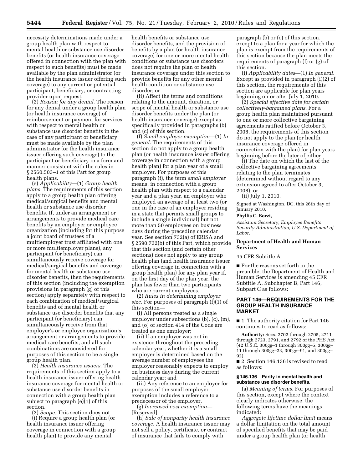necessity determinations made under a group health plan with respect to mental health or substance use disorder benefits (or health insurance coverage offered in connection with the plan with respect to such benefits) must be made available by the plan administrator (or the health insurance issuer offering such coverage) to any current or potential participant, beneficiary, or contracting provider upon request.

(2) *Reason for any denial.* The reason for any denial under a group health plan (or health insurance coverage) of reimbursement or payment for services with respect to mental health or substance use disorder benefits in the case of any participant or beneficiary must be made available by the plan administrator (or the health insurance issuer offering such coverage) to the participant or beneficiary in a form and manner consistent with the rules in § 2560.503–1 of this Part for group health plans.

(e) *Applicability*—(1) *Group health plans.* The requirements of this section apply to a group health plan offering medical/surgical benefits and mental health or substance use disorder benefits. If, under an arrangement or arrangements to provide medical care benefits by an employer or employee organization (including for this purpose a joint board of trustees of a multiemployer trust affiliated with one or more multiemployer plans), any participant (or beneficiary) can simultaneously receive coverage for medical/surgical benefits and coverage for mental health or substance use disorder benefits, then the requirements of this section (including the exemption provisions in paragraph (g) of this section) apply separately with respect to each combination of medical/surgical benefits and of mental health or substance use disorder benefits that any participant (or beneficiary) can simultaneously receive from that employer's or employee organization's arrangement or arrangements to provide medical care benefits, and all such combinations are considered for purposes of this section to be a single group health plan.

(2) *Health insurance issuers.* The requirements of this section apply to a health insurance issuer offering health insurance coverage for mental health or substance use disorder benefits in connection with a group health plan subject to paragraph (e)(1) of this section.

(3) *Scope.* This section does not— (i) Require a group health plan (or health insurance issuer offering coverage in connection with a group health plan) to provide any mental

health benefits or substance use disorder benefits, and the provision of benefits by a plan (or health insurance coverage) for one or more mental health conditions or substance use disorders does not require the plan or health insurance coverage under this section to provide benefits for any other mental health condition or substance use disorder; or

(ii) Affect the terms and conditions relating to the amount, duration, or scope of mental health or substance use disorder benefits under the plan (or health insurance coverage) except as specifically provided in paragraphs (b) and (c) of this section.

(f) *Small employer exemption*—(1) *In general.* The requirements of this section do not apply to a group health plan (or health insurance issuer offering coverage in connection with a group health plan) for a plan year of a small employer. For purposes of this paragraph (f), the term *small employer*  means, in connection with a group health plan with respect to a calendar year and a plan year, an employer who employed an average of at least two (or one in the case of an employer residing in a state that permits small groups to include a single individual) but not more than 50 employees on business days during the preceding calendar year. See section 732(a) of ERISA and § 2590.732(b) of this Part, which provide that this section (and certain other sections) does not apply to any group health plan (and health insurance issuer offering coverage in connection with a group health plan) for any plan year if, on the first day of the plan year, the plan has fewer than two participants who are current employees.

(2) *Rules in determining employer size.* For purposes of paragraph (f)(1) of this section—

(i) All persons treated as a single employer under subsections (b), (c), (m), and (o) of section 414 of the Code are treated as one employer;

(ii) If an employer was not in existence throughout the preceding calendar year, whether it is a small employer is determined based on the average number of employees the employer reasonably expects to employ on business days during the current calendar year; and

(iii) Any reference to an employer for purposes of the small employer exemption includes a reference to a predecessor of the employer.

(g) *Increased cost exemption*— [Reserved]

(h) *Sale of nonparity health insurance coverage.* A health insurance issuer may not sell a policy, certificate, or contract of insurance that fails to comply with

paragraph (b) or (c) of this section, except to a plan for a year for which the plan is exempt from the requirements of this section because the plan meets the requirements of paragraph (f) or (g) of this section.

(i) *Applicability dates*—(1) *In general.*  Except as provided in paragraph (i)(2) of this section, the requirements of this section are applicable for plan years beginning on or after July 1, 2010.

(2) *Special effective date for certain collectively-bargained plans.* For a group health plan maintained pursuant to one or more collective bargaining agreements ratified before October 3, 2008, the requirements of this section do not apply to the plan (or health insurance coverage offered in connection with the plan) for plan years beginning before the later of either—

(i) The date on which the last of the collective bargaining agreements relating to the plan terminates (determined without regard to any extension agreed to after October 3, 2008); or

(ii) July 1, 2010.

Signed at Washington, DC, this 26th day of January 2010.

### **Phyllis C. Borzi,**

*Assistant Secretary, Employee Benefits Security Administration, U.S. Department of Labor*.

#### **Department of Health and Human Services**

45 CFR Subtitle A

■ For the reasons set forth in the preamble, the Department of Health and Human Services is amending 45 CFR Subtitle A, Subchapter B, Part 146, Subpart C as follows:

## **PART 146—REQUIREMENTS FOR THE GROUP HEALTH INSURANCE MARKET**

■ 1. The authority citation for Part 146 continues to read as follows:

**Authority:** Secs. 2702 through 2705, 2711 through 2723, 2791, and 2792 of the PHS Act (42 U.S.C. 300gg–1 through 300gg–5, 300gg– 11 through 300gg–23, 300gg–91, and 300gg– 92).

■ 2. Section 146.136 is revised to read as follows:

#### **§ 146.136 Parity in mental health and substance use disorder benefits.**

(a) *Meaning of terms.* For purposes of this section, except where the context clearly indicates otherwise, the following terms have the meanings indicated:

*Aggregate lifetime dollar limit* means a dollar limitation on the total amount of specified benefits that may be paid under a group health plan (or health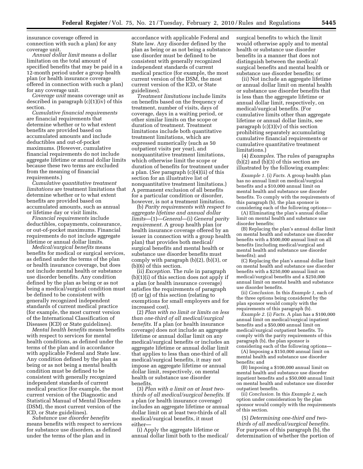insurance coverage offered in connection with such a plan) for any coverage unit.

*Annual dollar limit* means a dollar limitation on the total amount of specified benefits that may be paid in a 12-month period under a group health plan (or health insurance coverage offered in connection with such a plan) for any coverage unit.

*Coverage unit* means coverage unit as described in paragraph (c)(1)(iv) of this section.

*Cumulative financial requirements*  are financial requirements that determine whether or to what extent benefits are provided based on accumulated amounts and include deductibles and out-of-pocket maximums. (However, cumulative financial requirements do not include aggregate lifetime or annual dollar limits because these two terms are excluded from the meaning of financial requirements.)

*Cumulative quantitative treatment limitations* are treatment limitations that determine whether or to what extent benefits are provided based on accumulated amounts, such as annual or lifetime day or visit limits.

*Financial requirements* include deductibles, copayments, coinsurance, or out-of-pocket maximums. Financial requirements do not include aggregate lifetime or annual dollar limits.

*Medical/surgical benefits* means benefits for medical or surgical services, as defined under the terms of the plan or health insurance coverage, but does not include mental health or substance use disorder benefits. Any condition defined by the plan as being or as not being a medical/surgical condition must be defined to be consistent with generally recognized independent standards of current medical practice (for example, the most current version of the International Classification of Diseases (ICD) or State guidelines).

*Mental health benefits* means benefits with respect to services for mental health conditions, as defined under the terms of the plan and in accordance with applicable Federal and State law. Any condition defined by the plan as being or as not being a mental health condition must be defined to be consistent with generally recognized independent standards of current medical practice (for example, the most current version of the Diagnostic and Statistical Manual of Mental Disorders (DSM), the most current version of the ICD, or State guidelines).

*Substance use disorder benefits*  means benefits with respect to services for substance use disorders, as defined under the terms of the plan and in

accordance with applicable Federal and State law. Any disorder defined by the plan as being or as not being a substance use disorder must be defined to be consistent with generally recognized independent standards of current medical practice (for example, the most current version of the DSM, the most current version of the ICD, or State guidelines).

*Treatment limitations* include limits on benefits based on the frequency of treatment, number of visits, days of coverage, days in a waiting period, or other similar limits on the scope or duration of treatment. Treatment limitations include both quantitative treatment limitations, which are expressed numerically (such as 50 outpatient visits per year), and nonquantitative treatment limitations, which otherwise limit the scope or duration of benefits for treatment under a plan. (*See* paragraph (c)(4)(ii) of this section for an illustrative list of nonquantitative treatment limitations.) A permanent exclusion of all benefits for a particular condition or disorder, however, is not a treatment limitation.

(b) *Parity requirements with respect to aggregate lifetime and annual dollar limits*—(1)—*General*—(i) *General parity requirement.* A group health plan (or health insurance coverage offered by an issuer in connection with a group health plan) that provides both medical/ surgical benefits and mental health or substance use disorder benefits must comply with paragraph (b)(2), (b)(3), or (b)(6) of this section.

(ii) *Exception.* The rule in paragraph (b)(1)(i) of this section does not apply if a plan (or health insurance coverage) satisfies the requirements of paragraph (f) or (g) of this section (relating to exemptions for small employers and for increased cost).

(2) *Plan with no limit or limits on less than one-third of all medical/surgical benefits.* If a plan (or health insurance coverage) does not include an aggregate lifetime or annual dollar limit on any medical/surgical benefits or includes an aggregate lifetime or annual dollar limit that applies to less than one-third of all medical/surgical benefits, it may not impose an aggregate lifetime or annual dollar limit, respectively, on mental health or substance use disorder benefits.

(3) *Plan with a limit on at least twothirds of all medical/surgical benefits.* If a plan (or health insurance coverage) includes an aggregate lifetime or annual dollar limit on at least two-thirds of all medical/surgical benefits, it must either—

(i) Apply the aggregate lifetime or annual dollar limit both to the medical/

surgical benefits to which the limit would otherwise apply and to mental health or substance use disorder benefits in a manner that does not distinguish between the medical/ surgical benefits and mental health or substance use disorder benefits; or

(ii) Not include an aggregate lifetime or annual dollar limit on mental health or substance use disorder benefits that is less than the aggregate lifetime or annual dollar limit, respectively, on medical/surgical benefits. (For cumulative limits other than aggregate lifetime or annual dollar limits, see paragraph  $(c)(3)(v)$  of this section prohibiting separately accumulating cumulative financial requirements or cumulative quantitative treatment limitations.)

(4) *Examples.* The rules of paragraphs (b)(2) and (b)(3) of this section are illustrated by the following examples:

*Example 1.* (i) *Facts.* A group health plan has no annual limit on medical/surgical benefits and a \$10,000 annual limit on mental health and substance use disorder benefits. To comply with the requirements of this paragraph (b), the plan sponsor is considering each of the following options—

(A) Eliminating the plan's annual dollar limit on mental health and substance use disorder benefits;

(B) Replacing the plan's annual dollar limit on mental health and substance use disorder benefits with a \$500,000 annual limit on all benefits (including medical/surgical and mental health and substance use disorder benefits); and

(C) Replacing the plan's annual dollar limit on mental health and substance use disorder benefits with a \$250,000 annual limit on medical/surgical benefits and a \$250,000 annual limit on mental health and substance use disorder benefits.

(ii) *Conclusion.* In this *Example 1,* each of the three options being considered by the plan sponsor would comply with the requirements of this paragraph (b).

*Example 2.* (i) *Facts.* A plan has a \$100,000 annual limit on medical/surgical inpatient benefits and a \$50,000 annual limit on medical/surgical outpatient benefits. To comply with the parity requirements of this paragraph (b), the plan sponsor is considering each of the following options—

(A) Imposing a \$150,000 annual limit on mental health and substance use disorder benefits; and

(B) Imposing a \$100,000 annual limit on mental health and substance use disorder inpatient benefits and a \$50,000 annual limit on mental health and substance use disorder outpatient benefits.

(ii) *Conclusion.* In this *Example 2,* each option under consideration by the plan sponsor would comply with the requirements of this section.

(5) *Determining one-third and twothirds of all medical/surgical benefits.*  For purposes of this paragraph (b), the determination of whether the portion of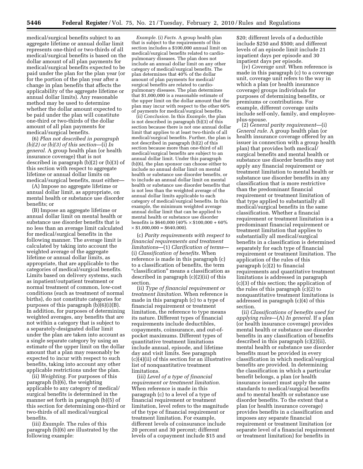medical/surgical benefits subject to an aggregate lifetime or annual dollar limit represents one-third or two-thirds of all medical/surgical benefits is based on the dollar amount of all plan payments for medical/surgical benefits expected to be paid under the plan for the plan year (or for the portion of the plan year after a change in plan benefits that affects the applicability of the aggregate lifetime or annual dollar limits). Any reasonable method may be used to determine whether the dollar amount expected to be paid under the plan will constitute one-third or two-thirds of the dollar amount of all plan payments for medical/surgical benefits.

(6) *Plan not described in paragraph (b)(2) or (b)(3) of this section*—(i) *In general.* A group health plan (or health insurance coverage) that is not described in paragraph (b)(2) or (b)(3) of this section with respect to aggregate lifetime or annual dollar limits on medical/surgical benefits, must either—

(A) Impose no aggregate lifetime or annual dollar limit, as appropriate, on mental health or substance use disorder benefits; or

(B) Impose an aggregate lifetime or annual dollar limit on mental health or substance use disorder benefits that is no less than an average limit calculated for medical/surgical benefits in the following manner. The average limit is calculated by taking into account the weighted average of the aggregate lifetime or annual dollar limits, as appropriate, that are applicable to the categories of medical/surgical benefits. Limits based on delivery systems, such as inpatient/outpatient treatment or normal treatment of common, low-cost conditions (such as treatment of normal births), do not constitute categories for purposes of this paragraph (b)(6)(i)(B). In addition, for purposes of determining weighted averages, any benefits that are not within a category that is subject to a separately-designated dollar limit under the plan are taken into account as a single separate category by using an estimate of the upper limit on the dollar amount that a plan may reasonably be expected to incur with respect to such benefits, taking into account any other applicable restrictions under the plan.

(ii) *Weighting.* For purposes of this paragraph (b)(6), the weighting applicable to any category of medical/ surgical benefits is determined in the manner set forth in paragraph (b)(5) of this section for determining one-third or two-thirds of all medical/surgical benefits.

(iii) *Example.* The rules of this paragraph (b)(6) are illustrated by the following example:

*Example.* (i) *Facts.* A group health plan that is subject to the requirements of this section includes a \$100,000 annual limit on medical/surgical benefits related to cardiopulmonary diseases. The plan does not include an annual dollar limit on any other category of medical/surgical benefits. The plan determines that 40% of the dollar amount of plan payments for medical/ surgical benefits are related to cardiopulmonary diseases. The plan determines that \$1,000,000 is a reasonable estimate of the upper limit on the dollar amount that the plan may incur with respect to the other 60% of payments for medical/surgical benefits.

(ii) *Conclusion.* In this *Example,* the plan is not described in paragraph (b)(3) of this section because there is not one annual dollar limit that applies to at least two-thirds of all medical/surgical benefits. Further, the plan is not described in paragraph (b)(2) of this section because more than one-third of all medical/surgical benefits are subject to an annual dollar limit. Under this paragraph (b)(6), the plan sponsor can choose either to include no annual dollar limit on mental health or substance use disorder benefits, or to include an annual dollar limit on mental health or substance use disorder benefits that is not less than the weighted average of the annual dollar limits applicable to each category of medical/surgical benefits. In this example, the minimum weighted average annual dollar limit that can be applied to mental health or substance use disorder benefits is \$640,000 (40%  $\times$  \$100,000 + 60%)  $\times$  \$1,000,000 = \$640,000).

(c) *Parity requirements with respect to financial requirements and treatment limitations*—(1) *Clarification of terms*— (i) *Classification of benefits.* When reference is made in this paragraph (c) to a classification of benefits, the term ''classification'' means a classification as described in paragraph (c)(2)(ii) of this section.

(ii) *Type of financial requirement or treatment limitation.* When reference is made in this paragraph (c) to a type of financial requirement or treatment limitation, the reference to type means its nature. Different types of financial requirements include deductibles, copayments, coinsurance, and out-ofpocket maximums. Different types of quantitative treatment limitations include annual, episode, and lifetime day and visit limits. See paragraph (c)(4)(ii) of this section for an illustrative list of nonquantitative treatment limitations.

(iii) *Level of a type of financial requirement or treatment limitation.*  When reference is made in this paragraph (c) to a level of a type of financial requirement or treatment limitation, level refers to the magnitude of the type of financial requirement or treatment limitation. For example, different levels of coinsurance include 20 percent and 30 percent; different levels of a copayment include \$15 and

\$20; different levels of a deductible include \$250 and \$500; and different levels of an episode limit include 21 inpatient days per episode and 30 inpatient days per episode.

(iv) *Coverage unit.* When reference is made in this paragraph (c) to a coverage unit, coverage unit refers to the way in which a plan (or health insurance coverage) groups individuals for purposes of determining benefits, or premiums or contributions. For example, different coverage units include self-only, family, and employeeplus-spouse.

(2) *General parity requirement*—(i) *General rule.* A group health plan (or health insurance coverage offered by an issuer in connection with a group health plan) that provides both medical/ surgical benefits and mental health or substance use disorder benefits may not apply any financial requirement or treatment limitation to mental health or substance use disorder benefits in any classification that is more restrictive than the predominant financial requirement or treatment limitation of that type applied to substantially all medical/surgical benefits in the same classification. Whether a financial requirement or treatment limitation is a predominant financial requirement or treatment limitation that applies to substantially all medical/surgical benefits in a classification is determined separately for each type of financial requirement or treatment limitation. The application of the rules of this paragraph (c)(2) to financial requirements and quantitative treatment limitations is addressed in paragraph (c)(3) of this section; the application of the rules of this paragraph (c)(2) to nonquantitative treatment limitations is addressed in paragraph (c)(4) of this section.

(ii) *Classifications of benefits used for applying rules*—(A) *In general.* If a plan (or health insurance coverage) provides mental health or substance use disorder benefits in any classification of benefits described in this paragraph (c)(2)(ii), mental health or substance use disorder benefits must be provided in every classification in which medical/surgical benefits are provided. In determining the classification in which a particular benefit belongs, a plan (or health insurance issuer) must apply the same standards to medical/surgical benefits and to mental health or substance use disorder benefits. To the extent that a plan (or health insurance coverage) provides benefits in a classification and imposes any separate financial requirement or treatment limitation (or separate level of a financial requirement or treatment limitation) for benefits in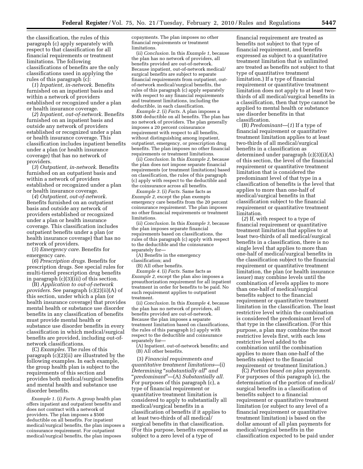the classification, the rules of this paragraph (c) apply separately with respect to that classification for all financial requirements or treatment limitations. The following classifications of benefits are the only classifications used in applying the rules of this paragraph (c):

(*1*) *Inpatient, in-network.* Benefits furnished on an inpatient basis and within a network of providers established or recognized under a plan or health insurance coverage.

(*2*) *Inpatient, out-of-network.* Benefits furnished on an inpatient basis and outside any network of providers established or recognized under a plan or health insurance coverage. This classification includes inpatient benefits under a plan (or health insurance coverage) that has no network of providers.

(*3*) *Outpatient, in-network.* Benefits furnished on an outpatient basis and within a network of providers established or recognized under a plan or health insurance coverage.

(*4*) *Outpatient, out-of-network.*  Benefits furnished on an outpatient basis and outside any network of providers established or recognized under a plan or health insurance coverage. This classification includes outpatient benefits under a plan (or health insurance coverage) that has no network of providers.

(*5*) *Emergency care.* Benefits for emergency care.

(*6*) *Prescription drugs.* Benefits for prescription drugs. See special rules for multi-tiered prescription drug benefits in paragraph (c)(3)(iii) of this section.

(B) *Application to out-of-network providers.* See paragraph (c)(2)(ii)(A) of this section, under which a plan (or health insurance coverage) that provides mental health or substance use disorder benefits in any classification of benefits must provide mental health or substance use disorder benefits in every classification in which medical/surgical benefits are provided, including out-ofnetwork classifications.

(C) *Examples.* The rules of this paragraph (c)(2)(ii) are illustrated by the following examples. In each example, the group health plan is subject to the requirements of this section and provides both medical/surgical benefits and mental health and substance use disorder benefits.

*Example 1.* (i) *Facts.* A group health plan offers inpatient and outpatient benefits and does not contract with a network of providers. The plan imposes a \$500 deductible on all benefits. For inpatient medical/surgical benefits, the plan imposes a coinsurance requirement. For outpatient medical/surgical benefits, the plan imposes

copayments. The plan imposes no other financial requirements or treatment limitations.

(ii) *Conclusion.* In this *Example 1,* because the plan has no network of providers, all benefits provided are out-of-network. Because inpatient, out-of-network medical/ surgical benefits are subject to separate financial requirements from outpatient, outof-network medical/surgical benefits, the rules of this paragraph (c) apply separately with respect to any financial requirements and treatment limitations, including the deductible, in each classification.

*Example 2.* (i) *Facts.* A plan imposes a \$500 deductible on all benefits. The plan has no network of providers. The plan generally imposes a 20 percent coinsurance requirement with respect to all benefits, without distinguishing among inpatient, outpatient, emergency, or prescription drug benefits. The plan imposes no other financial requirements or treatment limitations.

(ii) *Conclusion.* In this *Example 2,* because the plan does not impose separate financial requirements (or treatment limitations) based on classification, the rules of this paragraph (c) apply with respect to the deductible and the coinsurance across all benefits.

*Example 3.* (i) *Facts.* Same facts as *Example 2,* except the plan exempts emergency care benefits from the 20 percent coinsurance requirement. The plan imposes no other financial requirements or treatment limitations.

(ii) *Conclusion.* In this *Example 3,* because the plan imposes separate financial requirements based on classifications, the rules of this paragraph (c) apply with respect to the deductible and the coinsurance separately for—

(A) Benefits in the emergency

classification; and

(B) All other benefits.

*Example 4.* (i) *Facts.* Same facts as *Example 2,* except the plan also imposes a preauthorization requirement for all inpatient treatment in order for benefits to be paid. No such requirement applies to outpatient treatment.

(ii) *Conclusion.* In this *Example 4,* because the plan has no network of providers, all benefits provided are out-of-network. Because the plan imposes a separate treatment limitation based on classifications, the rules of this paragraph (c) apply with respect to the deductible and coinsurance separately for—

(A) Inpatient, out-of-network benefits; and (B) All other benefits.

(3) *Financial requirements and quantitative treatment limitations*—(i) *Determining* ''*substantially all*'' *and*  ''*predominant*''—(A) *Substantially all.*  For purposes of this paragraph (c), a type of financial requirement or quantitative treatment limitation is considered to apply to substantially all medical/surgical benefits in a classification of benefits if it applies to at least two-thirds of all medical/ surgical benefits in that classification. (For this purpose, benefits expressed as subject to a zero level of a type of

financial requirement are treated as benefits not subject to that type of financial requirement, and benefits expressed as subject to a quantitative treatment limitation that is unlimited are treated as benefits not subject to that type of quantitative treatment limitation.) If a type of financial requirement or quantitative treatment limitation does not apply to at least twothirds of all medical/surgical benefits in a classification, then that type cannot be applied to mental health or substance use disorder benefits in that classification.

(B) *Predominant*—(*1*) If a type of financial requirement or quantitative treatment limitation applies to at least two-thirds of all medical/surgical benefits in a classification as determined under paragraph (c)(3)(i)(A) of this section, the level of the financial requirement or quantitative treatment limitation that is considered the predominant level of that type in a classification of benefits is the level that applies to more than one-half of medical/surgical benefits in that classification subject to the financial requirement or quantitative treatment limitation.

(*2*) If, with respect to a type of financial requirement or quantitative treatment limitation that applies to at least two-thirds of all medical/surgical benefits in a classification, there is no single level that applies to more than one-half of medical/surgical benefits in the classification subject to the financial requirement or quantitative treatment limitation, the plan (or health insurance issuer) may combine levels until the combination of levels applies to more than one-half of medical/surgical benefits subject to the financial requirement or quantitative treatment limitation in the classification. The least restrictive level within the combination is considered the predominant level of that type in the classification. (For this purpose, a plan may combine the most restrictive levels first, with each less restrictive level added to the combination until the combination applies to more than one-half of the benefits subject to the financial requirement or treatment limitation.)

(C) *Portion based on plan payments.*  For purposes of this paragraph (c), the determination of the portion of medical/ surgical benefits in a classification of benefits subject to a financial requirement or quantitative treatment limitation (or subject to any level of a financial requirement or quantitative treatment limitation) is based on the dollar amount of all plan payments for medical/surgical benefits in the classification expected to be paid under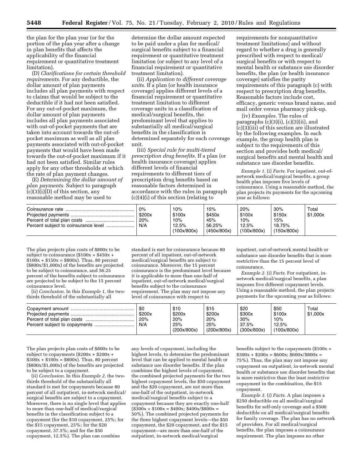the plan for the plan year (or for the portion of the plan year after a change in plan benefits that affects the applicability of the financial requirement or quantitative treatment limitation).

(D) *Clarifications for certain threshold requirements.* For any deductible, the dollar amount of plan payments includes all plan payments with respect to claims that would be subject to the deductible if it had not been satisfied. For any out-of-pocket maximum, the dollar amount of plan payments includes all plan payments associated with out-of-pocket payments that are taken into account towards the out-ofpocket maximum as well as all plan payments associated with out-of-pocket payments that would have been made towards the out-of-pocket maximum if it had not been satisfied. Similar rules apply for any other thresholds at which the rate of plan payment changes.

(E) *Determining the dollar amount of plan payments.* Subject to paragraph  $(c)(3)(i)(D)$  of this section, any reasonable method may be used to

determine the dollar amount expected to be paid under a plan for medical/ surgical benefits subject to a financial requirement or quantitative treatment limitation (or subject to any level of a financial requirement or quantitative treatment limitation).

(ii) *Application to different coverage units.* If a plan (or health insurance coverage) applies different levels of a financial requirement or quantitative treatment limitation to different coverage units in a classification of medical/surgical benefits, the predominant level that applies to substantially all medical/surgical benefits in the classification is determined separately for each coverage unit.

(iii) *Special rule for multi-tiered prescription drug benefits.* If a plan (or health insurance coverage) applies different levels of financial requirements to different tiers of prescription drug benefits based on reasonable factors determined in accordance with the rules in paragraph (c)(4)(i) of this section (relating to

requirements for nonquantitative treatment limitations) and without regard to whether a drug is generally prescribed with respect to medical/ surgical benefits or with respect to mental health or substance use disorder benefits, the plan (or health insurance coverage) satisfies the parity requirements of this paragraph (c) with respect to prescription drug benefits. Reasonable factors include cost, efficacy, generic versus brand name, and mail order versus pharmacy pick-up.

(iv) *Examples.* The rules of paragraphs  $(c)(3)(i)$ ,  $(c)(3)(ii)$ , and (c)(3)(iii) of this section are illustrated by the following examples. In each example, the group health plan is subject to the requirements of this section and provides both medical/ surgical benefits and mental health and substance use disorder benefits.

*Example 1.* (i) *Facts.* For inpatient, out-ofnetwork medical/surgical benefits, a group health plan imposes five levels of coinsurance. Using a reasonable method, the plan projects its payments for the upcoming year as follows:

|  | $0\%$<br>\$200x<br>20%<br>N/A | 10%<br>\$100x<br>10%<br>12.5%<br>(100x/800x) | 15%<br>\$450x<br>45%<br>56.25%<br>(450x/800x) | 20%<br>\$100x<br>10%<br>12.5%<br>(100x/800x) | 30%<br>\$150x<br>15%<br>18.75%<br>(150x/800x) | $\mathsf{Total}$<br>\$1.000x |
|--|-------------------------------|----------------------------------------------|-----------------------------------------------|----------------------------------------------|-----------------------------------------------|------------------------------|
|--|-------------------------------|----------------------------------------------|-----------------------------------------------|----------------------------------------------|-----------------------------------------------|------------------------------|

The plan projects plan costs of \$800x to be subject to coinsurance  $(\$100x + \$450x +$  $$100x + $150x = $800x$ . Thus, 80 percent (\$800x/\$1,000x) of the benefits are projected to be subject to coinsurance, and 56.25 percent of the benefits subject to coinsurance are projected to be subject to the 15 percent coinsurance level.

(ii) *Conclusion.* In this *Example 1,* the twothirds threshold of the substantially all

standard is met for coinsurance because 80 percent of all inpatient, out-of-network medical/surgical benefits are subject to coinsurance. Moreover, the 15 percent coinsurance is the predominant level because it is applicable to more than one-half of inpatient, out-of-network medical/surgical benefits subject to the coinsurance requirement. The plan may not impose any level of coinsurance with respect to

inpatient, out-of-network mental health or substance use disorder benefits that is more restrictive than the 15 percent level of coinsurance.

*Example 2.* (i) *Facts.* For outpatient, innetwork medical/surgical benefits, a plan imposes five different copayment levels. Using a reasonable method, the plan projects payments for the upcoming year as follows:

|  | -\$0<br>\$200x<br>20%<br>N/A | \$10<br>\$200x<br>20%<br>25%<br>(200x/800x) | \$15<br>\$200x<br>20%<br>25%<br>(200x/800x) | \$20<br>\$300x<br>30%<br>37.5%<br>(300x/800x) | \$50<br>\$100x<br>10%<br>12.5%<br>(100x/800x) | Total<br>\$1,000x |
|--|------------------------------|---------------------------------------------|---------------------------------------------|-----------------------------------------------|-----------------------------------------------|-------------------|
|--|------------------------------|---------------------------------------------|---------------------------------------------|-----------------------------------------------|-----------------------------------------------|-------------------|

The plan projects plan costs of \$800x to be subject to copayments (\$200x + \$200x +  $$300x + $100x = $800x$ . Thus, 80 percent (\$800x/\$1,000x) of the benefits are projected to be subject to a copayment.

(ii) *Conclusion.* In this *Example 2,* the twothirds threshold of the substantially all standard is met for copayments because 80 percent of all outpatient, in-network medical/ surgical benefits are subject to a copayment. Moreover, there is no single level that applies to more than one-half of medical/surgical benefits in the classification subject to a copayment (for the \$10 copayment, 25%; for the \$15 copayment, 25%; for the \$20 copayment, 37.5%; and for the \$50 copayment, 12.5%). The plan can combine

any levels of copayment, including the highest levels, to determine the predominant level that can be applied to mental health or substance use disorder benefits. If the plan combines the highest levels of copayment, the combined projected payments for the two highest copayment levels, the \$50 copayment and the \$20 copayment, are not more than one-half of the outpatient, in-network medical/surgical benefits subject to a copayment because they are exactly one-half  $($300x + $100x = $400x; $400x/$800x =$ 50%). The combined projected payments for the three highest copayment levels—the \$50 copayment, the \$20 copayment, and the \$15 copayment—are more than one-half of the outpatient, in-network medical/surgical

benefits subject to the copayments (\$100x +  $$300x + $200x = $600x; $600x/$800x =$ 75%). Thus, the plan may not impose any copayment on outpatient, in-network mental health or substance use disorder benefits that is more restrictive than the least restrictive copayment in the combination, the \$15 copayment.

*Example 3.* (i) *Facts.* A plan imposes a \$250 deductible on all medical/surgical benefits for self-only coverage and a \$500 deductible on all medical/surgical benefits for family coverage. The plan has no network of providers. For all medical/surgical benefits, the plan imposes a coinsurance requirement. The plan imposes no other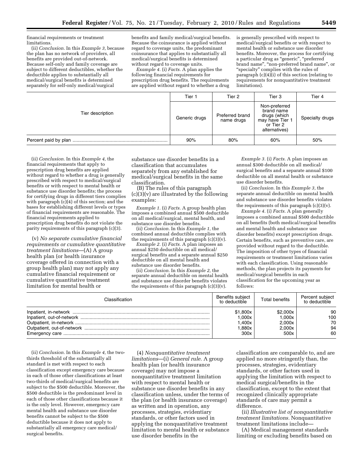financial requirements or treatment limitations.

(ii) *Conclusion.* In this *Example 3,* because the plan has no network of providers, all benefits are provided out-of-network. Because self-only and family coverage are subject to different deductibles, whether the deductible applies to substantially all medical/surgical benefits is determined separately for self-only medical/surgical

benefits and family medical/surgical benefits. Because the coinsurance is applied without regard to coverage units, the predominant coinsurance that applies to substantially all medical/surgical benefits is determined without regard to coverage units.

*Example 4.* (i) *Facts.* A plan applies the following financial requirements for prescription drug benefits. The requirements are applied without regard to whether a drug is generally prescribed with respect to medical/surgical benefits or with respect to mental health or substance use disorder benefits. Moreover, the process for certifying a particular drug as ''generic'', ''preferred brand name", "non-preferred brand name", or ''specialty'' complies with the rules of paragraph  $(c)(4)(i)$  of this section (relating to requirements for nonquantitative treatment limitations).

| Tier description | Tier 1        | Tier 2                        | Tier 3                                                                                       | Tier 4          |
|------------------|---------------|-------------------------------|----------------------------------------------------------------------------------------------|-----------------|
|                  | Generic drugs | Preferred brand<br>name drugs | Non-preferred<br>brand name<br>drugs (which<br>may have Tier 1<br>or Tier 2<br>alternatives) | Specialty drugs |
|                  | 90%           | 80%                           | 60%                                                                                          | 50%             |

(ii) *Conclusion.* In this *Example 4,* the financial requirements that apply to prescription drug benefits are applied without regard to whether a drug is generally prescribed with respect to medical/surgical benefits or with respect to mental health or substance use disorder benefits; the process for certifying drugs in different tiers complies with paragraph  $(c)(4)$  of this section; and the bases for establishing different levels or types of financial requirements are reasonable. The financial requirements applied to prescription drug benefits do not violate the parity requirements of this paragraph (c)(3).

(v) *No separate cumulative financial requirements or cumulative quantitative treatment limitations*—(A) A group health plan (or health insurance coverage offered in connection with a group health plan) may not apply any cumulative financial requirement or cumulative quantitative treatment limitation for mental health or

substance use disorder benefits in a classification that accumulates separately from any established for medical/surgical benefits in the same classification.

(B) The rules of this paragraph (c)(3)(v) are illustrated by the following examples:

*Example 1.* (i) *Facts.* A group health plan imposes a combined annual \$500 deductible on all medical/surgical, mental health, and substance use disorder benefits.

(ii) *Conclusion.* In this *Example 1,* the combined annual deductible complies with the requirements of this paragraph  $(c)(3)(v)$ .

*Example 2.* (i) *Facts.* A plan imposes an annual \$250 deductible on all medical/ surgical benefits and a separate annual \$250 deductible on all mental health and substance use disorder benefits.

(ii) *Conclusion.* In this *Example 2,* the separate annual deductible on mental health and substance use disorder benefits violates the requirements of this paragraph (c)(3)(v).

*Example 3.* (i) *Facts.* A plan imposes an annual \$300 deductible on all medical/ surgical benefits and a separate annual \$100 deductible on all mental health or substance use disorder benefits.

(ii) *Conclusion.* In this *Example 3,* the separate annual deductible on mental health and substance use disorder benefits violates the requirements of this paragraph (c)(3)(v).

*Example 4.* (i) *Facts.* A plan generally imposes a combined annual \$500 deductible on all benefits (both medical/surgical benefits and mental health and substance use disorder benefits) except prescription drugs. Certain benefits, such as preventive care, are provided without regard to the deductible. The imposition of other types of financial requirements or treatment limitations varies with each classification. Using reasonable methods, the plan projects its payments for medical/surgical benefits in each classification for the upcoming year as follows:

| Classification. | Benefits subiect<br>to deductible | Total benefits | Percent subiect<br>to deductible |
|-----------------|-----------------------------------|----------------|----------------------------------|
|                 | \$1,800x                          | \$2,000x       | 90                               |
|                 | .000x                             | 1.000x         | 100                              |
|                 | .400x                             | 2.000x         | 70                               |
|                 | .880x                             | 2.000x         | 94                               |
|                 | 300x                              | 500x           | 60                               |

(ii) *Conclusion.* In this *Example 4,* the twothirds threshold of the substantially all standard is met with respect to each classification except emergency care because in each of those other classifications at least two-thirds of medical/surgical benefits are subject to the \$500 deductible. Moreover, the \$500 deductible is the predominant level in each of those other classifications because it is the only level. However, emergency care mental health and substance use disorder benefits cannot be subject to the \$500 deductible because it does not apply to substantially all emergency care medical/ surgical benefits.

(4) *Nonquantitative treatment limitations*—(i) *General rule.* A group health plan (or health insurance coverage) may not impose a nonquantitative treatment limitation with respect to mental health or substance use disorder benefits in any classification unless, under the terms of the plan (or health insurance coverage) as written and in operation, any processes, strategies, evidentiary standards, or other factors used in applying the nonquantitative treatment limitation to mental health or substance use disorder benefits in the

classification are comparable to, and are applied no more stringently than, the processes, strategies, evidentiary standards, or other factors used in applying the limitation with respect to medical surgical/benefits in the classification, except to the extent that recognized clinically appropriate standards of care may permit a difference.

(ii) *Illustrative list of nonquantitative treatment limitations.* Nonquantitative treatment limitations include—

(A) Medical management standards limiting or excluding benefits based on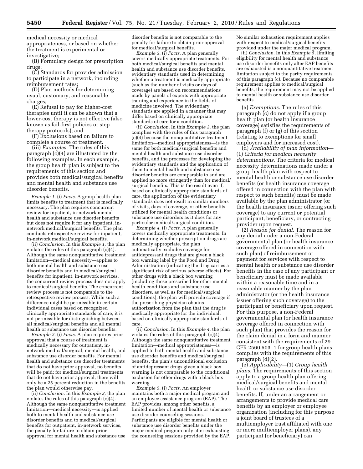medical necessity or medical appropriateness, or based on whether the treatment is experimental or investigative;

(B) Formulary design for prescription drugs;

(C) Standards for provider admission to participate in a network, including reimbursement rates;

(D) Plan methods for determining usual, customary, and reasonable charges;

(E) Refusal to pay for higher-cost therapies until it can be shown that a lower-cost therapy is not effective (also known as fail-first policies or step therapy protocols); and

(F) Exclusions based on failure to complete a course of treatment.

(iii) *Examples.* The rules of this paragraph (c)(4) are illustrated by the following examples. In each example, the group health plan is subject to the requirements of this section and provides both medical/surgical benefits and mental health and substance use disorder benefits.

*Example 1.* (i) *Facts.* A group health plan limits benefits to treatment that is medically necessary. The plan requires concurrent review for inpatient, in-network mental health and substance use disorder benefits but does not require it for any inpatient, innetwork medical/surgical benefits. The plan conducts retrospective review for inpatient, in-network medical/surgical benefits.

(ii) *Conclusion.* In this *Example 1,* the plan violates the rules of this paragraph (c)(4). Although the same nonquantitative treatment limitation—medical necessity—applies to both mental health and substance use disorder benefits and to medical/surgical benefits for inpatient, in-network services, the concurrent review process does not apply to medical/surgical benefits. The concurrent review process is not comparable to the retrospective review process. While such a difference might be permissible in certain individual cases based on recognized clinically appropriate standards of care, it is not permissible for distinguishing between all medical/surgical benefits and all mental health or substance use disorder benefits.

*Example 2.* (i) *Facts.* A plan requires prior approval that a course of treatment is medically necessary for outpatient, innetwork medical/surgical, mental health, and substance use disorder benefits. For mental health and substance use disorder treatments that do not have prior approval, no benefits will be paid; for medical/surgical treatments that do not have prior approval, there will only be a 25 percent reduction in the benefits the plan would otherwise pay.

(ii) *Conclusion.* In this *Example 2,* the plan violates the rules of this paragraph (c)(4). Although the same nonquantitative treatment limitation—medical necessity—is applied both to mental health and substance use disorder benefits and to medical/surgical benefits for outpatient, in-network services, the penalty for failure to obtain prior approval for mental health and substance use

disorder benefits is not comparable to the penalty for failure to obtain prior approval for medical/surgical benefits.

*Example 3.* (i) *Facts.* A plan generally covers medically appropriate treatments. For both medical/surgical benefits and mental health and substance use disorder benefits, evidentiary standards used in determining whether a treatment is medically appropriate (such as the number of visits or days of coverage) are based on recommendations made by panels of experts with appropriate training and experience in the fields of medicine involved. The evidentiary standards are applied in a manner that may differ based on clinically appropriate standards of care for a condition.

(ii) *Conclusion.* In this *Example 3,* the plan complies with the rules of this paragraph (c)(4) because the nonquantitative treatment limitation—medical appropriateness—is the same for both medical/surgical benefits and mental health and substance use disorder benefits, and the processes for developing the evidentiary standards and the application of them to mental health and substance use disorder benefits are comparable to and are applied no more stringently than for medical/ surgical benefits. This is the result even if, based on clinically appropriate standards of care, the application of the evidentiary standards does not result in similar numbers of visits, days of coverage, or other benefits utilized for mental health conditions or substance use disorders as it does for any particular medical/surgical condition.

*Example 4.* (i) *Facts.* A plan generally covers medically appropriate treatments. In determining whether prescription drugs are medically appropriate, the plan automatically excludes coverage for antidepressant drugs that are given a black box warning label by the Food and Drug Administration (indicating the drug carries a significant risk of serious adverse effects). For other drugs with a black box warning (including those prescribed for other mental health conditions and substance use disorders, as well as for medical/surgical conditions), the plan will provide coverage if the prescribing physician obtains authorization from the plan that the drug is medically appropriate for the individual, based on clinically appropriate standards of care.

(ii) *Conclusion.* In this *Example 4,* the plan violates the rules of this paragraph (c)(4). Although the same nonquantitative treatment limitation—medical appropriateness—is applied to both mental health and substance use disorder benefits and medical/surgical benefits, the plan's unconditional exclusion of antidepressant drugs given a black box warning is not comparable to the conditional exclusion for other drugs with a black box warning.

*Example 5.* (i) *Facts.* An employer maintains both a major medical program and an employee assistance program (EAP). The EAP provides, among other benefits, a limited number of mental health or substance use disorder counseling sessions. Participants are eligible for mental health or substance use disorder benefits under the major medical program only after exhausting the counseling sessions provided by the EAP.

No similar exhaustion requirement applies with respect to medical/surgical benefits provided under the major medical program.

(ii) *Conclusion.* In this *Example 5,* limiting eligibility for mental health and substance use disorder benefits only after EAP benefits are exhausted is a nonquantitative treatment limitation subject to the parity requirements of this paragraph (c). Because no comparable requirement applies to medical/surgical benefits, the requirement may not be applied to mental health or substance use disorder benefits.

(5) *Exemptions.* The rules of this paragraph (c) do not apply if a group health plan (or health insurance coverage) satisfies the requirements of paragraph (f) or (g) of this section (relating to exemptions for small employers and for increased cost).

(d) *Availability of plan information*— (1) *Criteria for medical necessity determinations.* The criteria for medical necessity determinations made under a group health plan with respect to mental health or substance use disorder benefits (or health insurance coverage offered in connection with the plan with respect to such benefits) must be made available by the plan administrator (or the health insurance issuer offering such coverage) to any current or potential participant, beneficiary, or contracting provider upon request.

(2) *Reason for denial.* The reason for any denial under a non-Federal governmental plan (or health insurance coverage offered in connection with such plan) of reimbursement or payment for services with respect to mental health or substance use disorder benefits in the case of any participant or beneficiary must be made available within a reasonable time and in a reasonable manner by the plan administrator (or the health insurance issuer offering such coverage) to the participant or beneficiary upon request. For this purpose, a non-Federal governmental plan (or health insurance coverage offered in connection with such plan) that provides the reason for the claim denial in a form and manner consistent with the requirements of 29 CFR 2560.503–1 for group health plans complies with the requirements of this paragraph (d)(2).

(e) *Applicability*—(1) *Group health plans.* The requirements of this section apply to a group health plan offering medical/surgical benefits and mental health or substance use disorder benefits. If, under an arrangement or arrangements to provide medical care benefits by an employer or employee organization (including for this purpose a joint board of trustees of a multiemployer trust affiliated with one or more multiemployer plans), any participant (or beneficiary) can